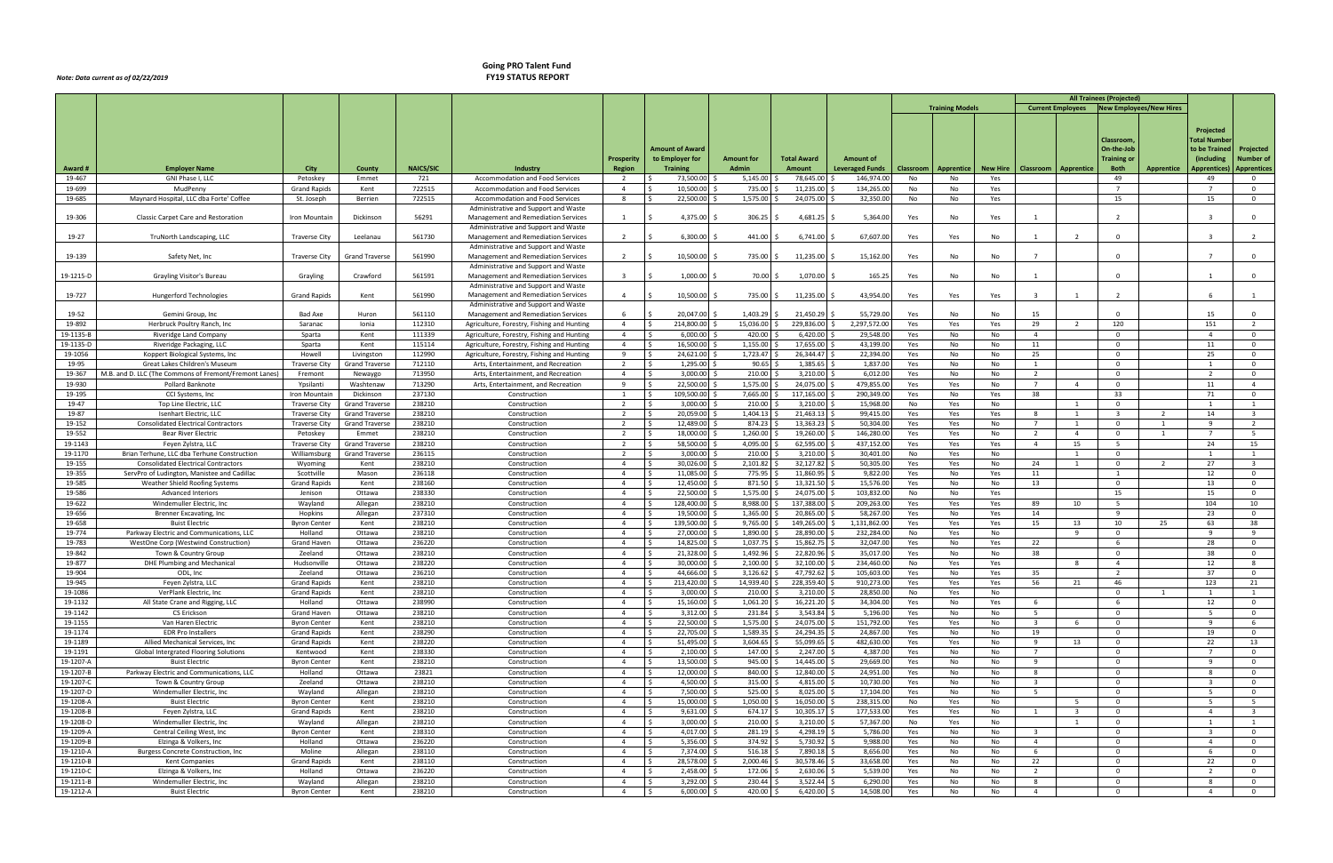## *Note: Data current as of 02/22/2019*

## **Going PRO Talent Fund**

|                    |                                                                      |                                              |                                                |                  |                                                                             |                                  |                                               |                              |                               |                        |                  |                        |                 |                         |                         | <b>All Trainees (Projected)</b>                    |                |                         |                              |
|--------------------|----------------------------------------------------------------------|----------------------------------------------|------------------------------------------------|------------------|-----------------------------------------------------------------------------|----------------------------------|-----------------------------------------------|------------------------------|-------------------------------|------------------------|------------------|------------------------|-----------------|-------------------------|-------------------------|----------------------------------------------------|----------------|-------------------------|------------------------------|
|                    |                                                                      |                                              |                                                |                  |                                                                             |                                  |                                               |                              |                               |                        |                  | <b>Training Models</b> |                 |                         |                         | <b>Current Employees   New Employees/New Hires</b> |                |                         |                              |
|                    |                                                                      |                                              |                                                |                  |                                                                             |                                  |                                               |                              |                               |                        |                  |                        |                 |                         |                         |                                                    |                |                         |                              |
|                    |                                                                      |                                              |                                                |                  |                                                                             |                                  |                                               |                              |                               |                        |                  |                        |                 |                         |                         |                                                    |                | Projected               |                              |
|                    |                                                                      |                                              |                                                |                  |                                                                             |                                  |                                               |                              |                               |                        |                  |                        |                 |                         |                         | Classroom                                          |                | Total Numbe             |                              |
|                    |                                                                      |                                              |                                                |                  |                                                                             |                                  | <b>Amount of Award</b>                        |                              |                               |                        |                  |                        |                 |                         |                         | On-the-Job                                         |                | to be Trained           | Projected                    |
|                    |                                                                      |                                              |                                                |                  |                                                                             | Prosperity                       | to Employer for                               | <b>Amount for</b>            | <b>Total Award</b>            | <b>Amount of</b>       |                  |                        |                 |                         |                         | Training or                                        |                | (including              | Number of                    |
| Award #            | <b>Employer Name</b>                                                 | City                                         | County                                         | <b>NAICS/SIC</b> | Industry                                                                    | Region                           | <b>Training</b>                               | Admin                        | Amount                        | Leveraged Funds        | <b>Classroom</b> | Apprentice             | <b>New Hire</b> | Classroom   Apprentice  |                         | <b>Both</b>                                        | Apprentice     | <b>Apprentices</b>      | <b>Apprentices</b>           |
| 19-467             | GNI Phase I, LLC                                                     | Petoskey                                     | Emmet                                          | 721              | Accommodation and Food Services                                             | $\overline{2}$                   | 73,500.00                                     | 5,145.00                     | 78,645.00                     | 146,974.0              | No               | No                     | Yes             |                         |                         | 49                                                 |                | 49                      | $\mathbf 0$                  |
| 19-699             | MudPenny                                                             | <b>Grand Rapids</b>                          | Kent                                           | 722515           | Accommodation and Food Services                                             | $\overline{4}$                   | 10,500.00                                     | 735.00                       | 11,235.00                     | 134,265.0              | No               | No                     | Yes             |                         |                         | $7^{\circ}$                                        |                |                         | $\mathbf 0$                  |
| 19-685             | Maynard Hospital, LLC dba Forte' Coffee                              | St. Joseph                                   | Berrien                                        | 722515           | Accommodation and Food Services                                             | 8                                | 22,500.00                                     | 1,575.00                     | 24,075.00                     | 32,350.00              | No               | No                     | Yes             |                         |                         | 15                                                 |                | 15                      | $\mathbf 0$                  |
|                    |                                                                      |                                              |                                                |                  | Administrative and Support and Waste                                        |                                  |                                               |                              |                               |                        |                  |                        |                 |                         |                         |                                                    |                |                         |                              |
| 19-306             | Classic Carpet Care and Restoration                                  | Iron Mountain                                | Dickinsor                                      | 56291            | Management and Remediation Services                                         |                                  | 4,375.00                                      | 306.25                       | 4,681.25                      | 5,364.00               | Yes              | No                     | Yes             | $\overline{1}$          |                         | $\overline{2}$                                     |                |                         | $\Omega$                     |
| 19-27              | TruNorth Landscaping, LLC                                            | <b>Traverse City</b>                         | Leelanau                                       | 561730           | Administrative and Support and Waste                                        |                                  | 6,300.00                                      | 441.00                       | 6,741.00                      | 67,607.00              | Yes              | Yes                    | No              |                         |                         | $\Omega$                                           |                |                         |                              |
|                    |                                                                      |                                              |                                                |                  | Management and Remediation Services<br>Administrative and Support and Waste |                                  |                                               |                              |                               |                        |                  |                        |                 |                         |                         |                                                    |                |                         |                              |
| 19-139             | Safety Net, Inc                                                      | Traverse City                                | <b>Grand Traverse</b>                          | 561990           | Management and Remediation Services                                         | $\overline{2}$                   | 10,500.00                                     | 735.00 \$                    | 11,235.00 \$                  | 15,162.00              | Yes              | No                     | No              | $\overline{7}$          |                         | $\Omega$                                           |                | - 7                     | $\Omega$                     |
|                    |                                                                      |                                              |                                                |                  | Administrative and Support and Waste                                        |                                  |                                               |                              |                               |                        |                  |                        |                 |                         |                         |                                                    |                |                         |                              |
| 19-1215-D          | Grayling Visitor's Bureau                                            | Grayling                                     | Crawford                                       | 561591           | Management and Remediation Services                                         |                                  | 1,000.00                                      | 70.00                        | 1,070.00                      | 165.25                 | Yes              | No                     | No              |                         |                         | $\Omega$                                           |                |                         | $\Omega$                     |
|                    |                                                                      |                                              |                                                |                  | Administrative and Support and Waste                                        |                                  |                                               |                              |                               |                        |                  |                        |                 |                         |                         |                                                    |                |                         |                              |
| 19-727             | Hungerford Technologies                                              | <b>Grand Rapids</b>                          | Kent                                           | 561990           | Management and Remediation Services                                         | $\overline{4}$                   | 10,500.00                                     | 735.00 \$                    | $11,235.00$ \$                | 43,954.00              | Yes              | Yes                    | Yes             | $\overline{3}$          |                         | 2                                                  |                |                         |                              |
|                    |                                                                      |                                              |                                                |                  | Administrative and Support and Waste                                        |                                  |                                               |                              |                               |                        |                  |                        |                 |                         |                         |                                                    |                |                         |                              |
| 19-52              | Gemini Group, Inc                                                    | Bad Axe                                      | Huron                                          | 561110           | Management and Remediation Services                                         | - 6                              | 20,047.00 \$                                  | $1,403.29$ \$                | 21,450.29 \$                  | 55,729.00              | Yes              | No                     | No              | 15                      |                         | $\Omega$                                           |                | 15                      | $\Omega$                     |
| 19-892             | Herbruck Poultry Ranch, Inc.                                         | Saranac                                      | Ionia                                          | 112310           | Agriculture, Forestry, Fishing and Hunting                                  | $\overline{4}$                   | 214,800.00<br>۱Ś                              | 15,036.00                    | 229,836.00 \$                 | 2,297,572.00           | Yes              | Yes                    | Yes             | 29                      | $\overline{2}$          | 120                                                |                | 151                     | $\overline{2}$               |
| 19-1135-B          | Riveridge Land Company                                               | Sparta                                       | Kent                                           | 111339           | Agriculture, Forestry, Fishing and Hunting                                  | $\overline{4}$                   | l \$<br>$6,000.00$ \$                         | $420.00$ \$                  | $6,420.00$ \$                 | 29,548.00              | Yes              | No                     | No              | $\overline{4}$          |                         | $\mathbf 0$                                        |                | $\overline{4}$          | $\mathbf 0$                  |
| 19-1135-D          | Riveridge Packaging, LLC                                             | Sparta                                       | Kent                                           | 115114           | Agriculture, Forestry, Fishing and Hunting                                  | $\overline{4}$                   | I \$<br>16,500.00 \$                          | $1,155.00$ \$                | 17,655.00 \$                  | 43,199.00              | Yes              | No                     | No              | 11                      |                         | $\mathbf 0$                                        |                | 11                      | $\mathbf 0$                  |
| 19-1056            | Koppert Biological Systems, Inc.                                     | Howell                                       | Livingston                                     | 112990           | Agriculture, Forestry, Fishing and Hunting                                  | 9                                | 24,621.00 \$<br>I\$                           | 1,723.47                     | 26,344.47 \$                  | 22,394.00              | Yes              | No                     | No              | 25                      |                         | $\Omega$                                           |                | 25                      | $\mathbf 0$                  |
| 19-95              | Great Lakes Children's Museum                                        | <b>Traverse City</b>                         | <b>Grand Travers</b>                           | 712110           | Arts, Entertainment, and Recreation                                         | $\overline{2}$                   | l s<br>1,295.00 \$                            | 90.65                        | 1,385.65 \$                   | 1,837.00               | Yes              | No                     | No              | 1                       |                         | $\Omega$                                           |                |                         | $\mathbf{0}$                 |
| 19-367             | M.B. and D. LLC (The Commons of Fremont/Fremont Lanes)               | Fremont                                      | Newaygo                                        | 713950           | Arts, Entertainment, and Recreation                                         | $\overline{4}$                   | l \$<br>$3,000.00$ \$                         | $210.00$ \$                  | 3,210.00 \$                   | 6,012.00               | Yes              | No                     | No              | 2                       |                         | $\Omega$                                           |                | $\overline{z}$          | $\mathbf 0$                  |
| 19-930             | Pollard Banknote                                                     | Ypsilanti                                    | Washtenaw                                      | 713290           | Arts, Entertainment, and Recreation                                         | 9                                | 22,500.00 \$<br>l S                           | 1,575.00                     | 24,075.00 \$                  | 479,855.0              | Yes              | Yes                    | No              | $\overline{7}$          | $\overline{4}$          | $\Omega$                                           |                | 11                      | $\overline{4}$               |
| 19-195             | CCI Systems, Inc.                                                    | Iron Mountain                                | Dickinson                                      | 237130           | Construction                                                                | 1                                | 109,500.00 \$<br>l S                          | 7,665.00                     | 117,165.00 \$                 | 290,349.0              | Yes              | No                     | Yes             | 38                      |                         | 33<br>$\Omega$                                     |                | 71                      | $^{\circ}$                   |
| 19-47              | Top Line Electric, LLC                                               | <b>Traverse City</b>                         | <b>Grand Travers</b>                           | 238210           | Construction                                                                | 2<br>2                           | 3,000.00<br>- Ś                               | 210.00<br>1,404.13           | 3,210.00<br>$21,463.13$ \$    | 15,968.0               | No               | Yes                    | No              |                         |                         | $\overline{\mathbf{3}}$                            | $\overline{2}$ | 14                      | 1<br>$\overline{\mathbf{3}}$ |
| 19-87<br>19-152    | Isenhart Electric, LLC<br><b>Consolidated Electrical Contractors</b> | <b>Traverse City</b><br><b>Traverse City</b> | <b>Grand Traverse</b><br><b>Grand Traverse</b> | 238210<br>238210 | Construction<br>Construction                                                | $\overline{2}$                   | 20,059.00 \$<br>12,489.00                     | 874.23                       | 13,363.23                     | 99,415.00<br>50,304.00 | Yes<br>Yes       | Yes<br>Yes             | Yes<br>No       | 8<br>$7^{\circ}$        | $\overline{1}$          | $\overline{0}$                                     | -1             | $\mathbf{q}$            | $\overline{2}$               |
| 19-552             | Bear River Electric                                                  | Petoskey                                     | Emmet                                          | 238210           | Construction                                                                | 2                                | 18,000.00 \$<br>l S                           | 1,260.00                     | 19,260.00 \$                  | 146,280.0              | Yes              | Yes                    | No              | $\overline{2}$          | $\overline{4}$          | $\overline{0}$                                     | -1             |                         | 5 <sup>5</sup>               |
| 19-1143            | Feyen Zylstra, LLC                                                   | <b>Traverse City</b>                         | Grand Travers                                  | 238210           | Construction                                                                | 2                                | 58,500.00 \$<br>l S                           | 4,095.00                     | 62,595.00                     | 437,152.0              | Yes              | Yes                    | Yes             | $\overline{4}$          | 15                      | 5                                                  |                | 24                      | 15                           |
| 19-1170            | Brian Terhune, LLC dba Terhune Construction                          | Williamsburg                                 | <b>Grand Traverse</b>                          | 236115           | Construction                                                                | $\overline{2}$                   | l s<br>$3,000.00$ \$                          | 210.00                       | 3,210.00                      | 30,401.00              | No               | Yes                    | No              |                         |                         | $\overline{0}$                                     |                |                         | $\mathbf{1}$                 |
| 19-155             | <b>Consolidated Electrical Contractors</b>                           | Wyoming                                      | Kent                                           | 238210           | Construction                                                                | $\overline{4}$                   | 30,026.00 \$<br>l s                           | 2,101.82                     | 32,127.82 \$                  | 50,305.0               | Yes              | Yes                    | No              | 24                      | <sup>1</sup>            | $\overline{0}$                                     | $\overline{2}$ | 27                      | $\overline{\mathbf{3}}$      |
| 19-355             | ServPro of Ludington, Manistee and Cadillac                          | Scottville                                   | Mason                                          | 236118           | Construction                                                                | $\overline{4}$                   | ۱Ś.<br>11,085.00 \$                           | 775.95                       | 11,860.95 \$                  | 9,822.00               | Yes              | No                     | Yes             | 11                      |                         | 1                                                  |                | 12                      | $\mathbf 0$                  |
| 19-585             | <b>Weather Shield Roofing Systems</b>                                | <b>Grand Rapids</b>                          | Kent                                           | 238160           | Construction                                                                | $\overline{4}$                   | 12,450.00 \$<br>- Ś                           | 871.50                       | 13,321.50 \$                  | 15,576.0               | Yes              | No                     | No              | 13                      |                         | $\overline{0}$                                     |                | 13                      | $\mathbf 0$                  |
| 19-586             | Advanced Interiors                                                   | Jenison                                      | Ottawa                                         | 238330           | Construction                                                                | $\overline{4}$                   | 22,500.00 \$                                  | 1,575.00                     | 24,075.00 \$                  | 103,832.0              | No               | No                     | Yes             |                         |                         | 15                                                 |                | 15                      | $\mathbf 0$                  |
| 19-622             | Windemuller Electric, Inc.                                           | Wayland                                      | Allegan                                        | 238210           | Construction                                                                | $\overline{4}$                   | 128,400.00                                    | 8,988.00                     | 137,388.00                    | 209,263.0              | Yes              | Yes                    | Yes             | 89                      | 10                      | -5                                                 |                | 104                     | 10                           |
| 19-656             | Brenner Excavating, Inc.                                             | Hopkins                                      | Allegan                                        | 237310           | Construction                                                                | $\overline{4}$                   | 19,500.00                                     | 1,365.00                     | 20,865.00                     | 58,267.00              | Yes              | No                     | Yes             | 14                      |                         | q                                                  |                | 23                      | $\Omega$                     |
| 19-658             | <b>Buist Electric</b>                                                | <b>Byron Center</b>                          | Kent                                           | 238210           | Construction                                                                | $\overline{a}$                   | 139,500.00                                    | 9,765.00                     | 149,265.00 \$                 | 1,131,862.00           | Yes              | Yes                    | Yes             | 15                      | 13                      | 10                                                 | 25             | 63                      | 38                           |
| 19-774             | Parkway Electric and Communications, LLC                             | Holland                                      | Ottawa                                         | 238210           | Construction                                                                | $\overline{4}$                   | 27,000.00 \$                                  | 1,890.00                     | 28,890.00                     | 232,284.0              | No               | Yes                    | No              |                         |                         | $\Omega$                                           |                |                         | -9                           |
| 19-783             | WestOne Corp (Westwind Construction)                                 | Grand Haven                                  | Ottawa                                         | 236220           | Construction                                                                | $\overline{4}$                   | 14,825.00 \$                                  | $1,037.75$ \$                | 15,862.75 \$                  | 32,047.00              | Yes              | No                     | Yes             | 22                      |                         | 6                                                  |                | 28                      | $^{\circ}$                   |
| 19-842             | Town & Country Group                                                 | Zeeland                                      | Ottawa                                         | 238210           | Construction                                                                | $\overline{4}$                   | 21,328.00 \$                                  | 1,492.96                     | 22,820.96 \$                  | 35,017.00              | Yes              | No                     | No              | 38                      |                         | $\mathbf 0$                                        |                | 38                      | $\mathbf 0$                  |
| 19-877             | <b>DHE Plumbing and Mechanical</b>                                   | Hudsonville                                  | Ottawa                                         | 238220           | Construction                                                                | $\overline{4}$                   | 30,000.00<br>- Ś                              | 2,100.00                     | $32,100.00$ \$                | 234,460.00             | No               | Yes                    | Yes             |                         | - 8                     | $\overline{4}$                                     |                | 12                      | 8                            |
| 19-904             | ODL, Inc                                                             | Zeeland                                      | Ottawa                                         | 236210           | Construction                                                                | $\overline{a}$                   | 44,666.00                                     | 3,126.62                     | 47,792.62 \$                  | 105,603.0              | Yes              | No                     | Yes             | 35                      |                         | 2                                                  |                | 37                      | $\mathbf{0}$                 |
| 19-945             | Feyen Zylstra, LLC                                                   | Grand Rapids                                 | Kent                                           | 238210           | Construction                                                                | -4                               | IŞ.<br>213,420.00 \$                          | 14,939.40 \$                 | 228,359.40 \$                 | 910,273.00             | Yes              | Yes                    | Yes             | 56                      | -21                     | -46                                                |                | 123                     | -21                          |
| 19-1086            | VerPlank Electric, Inc                                               | <b>Grand Rapids</b>                          | Kent                                           | 238210           | Construction                                                                | $\overline{4}$<br>$\overline{4}$ | l \$<br>$3,000.00$ \$<br>15,160.00 \$<br>l \$ | $210.00$ \$<br>$1,061.20$ \$ | $3,210.00$ \$<br>16,221.20 \$ | 28,850.00              | No               | Yes                    | No              |                         |                         | $^{\circ}$<br>6                                    | 1              |                         | 1                            |
| 19-1132<br>19-1142 | All State Crane and Rigging, LLC<br>CS Erickson                      | Holland<br>Grand Haven                       | Ottawa<br>Ottawa                               | 238990<br>238210 | Construction<br>Construction                                                | $\overline{4}$                   | $\vert$ \$<br>$3,312.00$ \$                   | $231.84$ \$                  | 3,543.84 \$                   | 34,304.00<br>5,196.00  | Yes<br>Yes       | No<br>No               | Yes<br>No       | 6<br>5                  |                         | $\Omega$                                           |                | 12<br>- 5               | $\mathbf 0$<br>$\mathbf 0$   |
| 19-1155            | Van Haren Electric                                                   | <b>Byron Center</b>                          | Kent                                           | 238210           | Construction                                                                | $\overline{4}$                   | $\vert$ \$<br>22,500.00 \$                    | 1,575.00 \$                  | 24,075.00 \$                  | 151,792.00             | Yes              | Yes                    | No              | $\overline{\mathbf{3}}$ | - 6                     | $\Omega$                                           |                | $\mathbf{q}$            | 6                            |
| 19-1174            | <b>EDR Pro Installers</b>                                            | <b>Grand Rapids</b>                          | Kent                                           | 238290           | Construction                                                                | $\overline{4}$                   | 22,705.00 \$<br>l \$                          | 1,589.35                     | 24,294.35 \$                  | 24,867.00              | Yes              | No                     | No              | 19                      |                         | $\overline{0}$                                     |                | 19                      | $^{\circ}$                   |
| 19-1189            | Allied Mechanical Services, Inc.                                     | <b>Grand Rapids</b>                          | Kent                                           | 238220           | Construction                                                                | $\overline{4}$                   | 51,495.00 \$<br>۱\$                           | 3,604.65                     | 55,099.65 \$                  | 482,630.0              | Yes              | Yes                    | No              | 9                       | 13                      | $\Omega$                                           |                | 22                      | 13                           |
| 19-1191            | Global Intergrated Flooring Solutions                                | Kentwood                                     | Kent                                           | 238330           | Construction                                                                | $\overline{4}$                   | $2,100.00$ \$<br>l S                          | 147.00                       | 2,247.00 \$                   | 4,387.00               | Yes              | No                     | No              | $\overline{7}$          |                         | $\mathbf{0}$                                       |                | $\overline{7}$          | $^{\circ}$                   |
| 19-1207-A          | <b>Buist Electric</b>                                                | <b>Byron Center</b>                          | Kent                                           | 238210           | Construction                                                                | $\overline{4}$                   | 13,500.00 \$<br>l \$                          | 945.00                       | 14,445.00 \$                  | 29,669.00              | Yes              | No                     | No              | 9                       |                         | $\Omega$                                           |                | $\mathbf{q}$            | $\mathbf 0$                  |
| 19-1207-B          | Parkway Electric and Communications, LLC                             | Holland                                      | Ottawa                                         | 23821            | Construction                                                                | $\overline{4}$                   | 12,000.00 \$<br>- Ś                           | 840.00                       | 12,840.00 \$                  | 24,951.00              | Yes              | No                     | No              | 8                       |                         | $\overline{0}$                                     |                | - 8                     | $\mathbf 0$                  |
| 19-1207-C          | Town & Country Group                                                 | Zeeland                                      | Ottawa                                         | 238210           | Construction                                                                | $\overline{4}$                   | $4,500.00$ \$<br>I\$                          | 315.00                       | 4,815.00 \$                   | 10,730.00              | Yes              | No                     | No              | $\overline{\mathbf{3}}$ |                         | $\mathbf 0$                                        |                | $\overline{\mathbf{3}}$ | $\mathbf 0$                  |
| 19-1207-D          | Windemuller Electric, Inc                                            | Wayland                                      | Allegan                                        | 238210           | Construction                                                                | $\overline{4}$                   | 7,500.00 \$<br>l \$                           | 525.00                       | 8,025.00                      | 17,104.00              | Yes              | No                     | No              | 5                       |                         | $\overline{0}$                                     |                | - 5                     | $\mathbf{0}$                 |
| 19-1208-A          | <b>Buist Electric</b>                                                | <b>Byron Center</b>                          | Kent                                           | 238210           | Construction                                                                | $\overline{4}$                   | 15,000.00 \$<br>I \$                          | 1,050.00                     | 16,050.00 \$                  | 238,315.0              | No               | Yes                    | No              |                         | - 5                     | $\overline{0}$                                     |                | - 5                     | 5 <sup>5</sup>               |
| 19-1208-B          | Feyen Zylstra, LLC                                                   | <b>Grand Rapids</b>                          | Kent                                           | 238210           | Construction                                                                | $\overline{4}$                   | $9,631.00$ \$<br>l \$                         | 674.17                       | 10,305.17 \$                  | 177,533.0              | Yes              | Yes                    | No              | $\mathbf{1}$            | $\overline{\mathbf{3}}$ | $\overline{0}$                                     |                | $\overline{4}$          | $\overline{\mathbf{3}}$      |
| 19-1208-D          | Windemuller Electric, Inc.                                           | Wayland                                      | Allegan                                        | 238210           | Construction                                                                | $\overline{4}$                   | $3,000.00$ \$<br>l s                          | 210.00                       | $3,210.00$ \$                 | 57,367.00              | No               | Yes                    | No              |                         | 1                       | $\mathbf{0}$                                       |                |                         | 1                            |
| 19-1209-A          | Central Ceiling West, Inc                                            | <b>Byron Center</b>                          | Kent                                           | 238310           | Construction                                                                | $\overline{4}$                   | l \$<br>4,017.00 \$                           | $281.19$ \$                  | 4,298.19 \$                   | 5,786.00               | Yes              | No                     | No              | $\overline{\mathbf{3}}$ |                         | $\overline{0}$                                     |                | $\overline{\mathbf{3}}$ | $\mathbf 0$                  |
| 19-1209-B          | Elzinga & Volkers, Inc                                               | Holland                                      | Ottawa                                         | 236220           | Construction                                                                | $\overline{4}$                   | $5,356.00$ \$<br>l s                          | 374.92                       | 5,730.92 \$                   | 9,988.0                | Yes              | No                     | No              | $\overline{4}$          |                         | $\mathbf 0$                                        |                | $\overline{4}$          | $\mathbf 0$                  |
| 19-1210-A          | Burgess Concrete Construction, Inc.                                  | Moline                                       | Allegan                                        | 238110           | Construction                                                                | $\overline{4}$                   | 7,374.00 \$<br>l \$                           | 516.18                       | 7,890.18 \$                   | 8,656.0                | Yes              | No                     | No              | 6                       |                         | $\mathbf 0$                                        |                | -6                      | $\mathbf 0$                  |
| 19-1210-B          | Kent Companies                                                       | <b>Grand Rapids</b>                          | Kent                                           | 238110           | Construction                                                                | $\overline{4}$                   | 28,578.00 \$<br>- Ś                           | 2,000.46                     | 30,578.46 \$                  | 33,658.0               | Yes              | No                     | No              | 22                      |                         | $\Omega$                                           |                | 22                      | $^{\circ}$                   |
| 19-1210-C          | Elzinga & Volkers, Inc.                                              | Holland                                      | Ottawa                                         | 236220           | Construction                                                                | $\overline{4}$                   | 2,458.00 \$<br>l \$                           | 172.06 \$                    | 2,630.06 \$                   | 5,539.0                | Yes              | No                     | No              | $\overline{2}$          |                         | $\Omega$                                           |                |                         | $\mathbf 0$                  |
| 19-1211-B          | Windemuller Electric, Inc.                                           | Wayland                                      | Allegan                                        | 238210           | Construction                                                                | $\overline{4}$                   | 3,292.00 \$<br>I \$                           | 230.44 \$                    | $3,522.44$ \$                 | 6,290.00               | Yes              | No                     | No              | 8                       |                         | $\mathbf{0}$                                       |                |                         | $\mathbf 0$                  |
| 19-1212-A          | <b>Buist Electric</b>                                                | <b>Byron Center</b>                          | Kent                                           | 238210           | Construction                                                                | $\overline{4}$                   | $6,000.00$ \$<br>-\$                          | 420.00 \$                    | $6,420.00$ \$                 | 14,508.00              | Yes              | No                     | No              | $\overline{4}$          |                         | $\mathbf 0$                                        |                | $\overline{4}$          | $\overline{0}$               |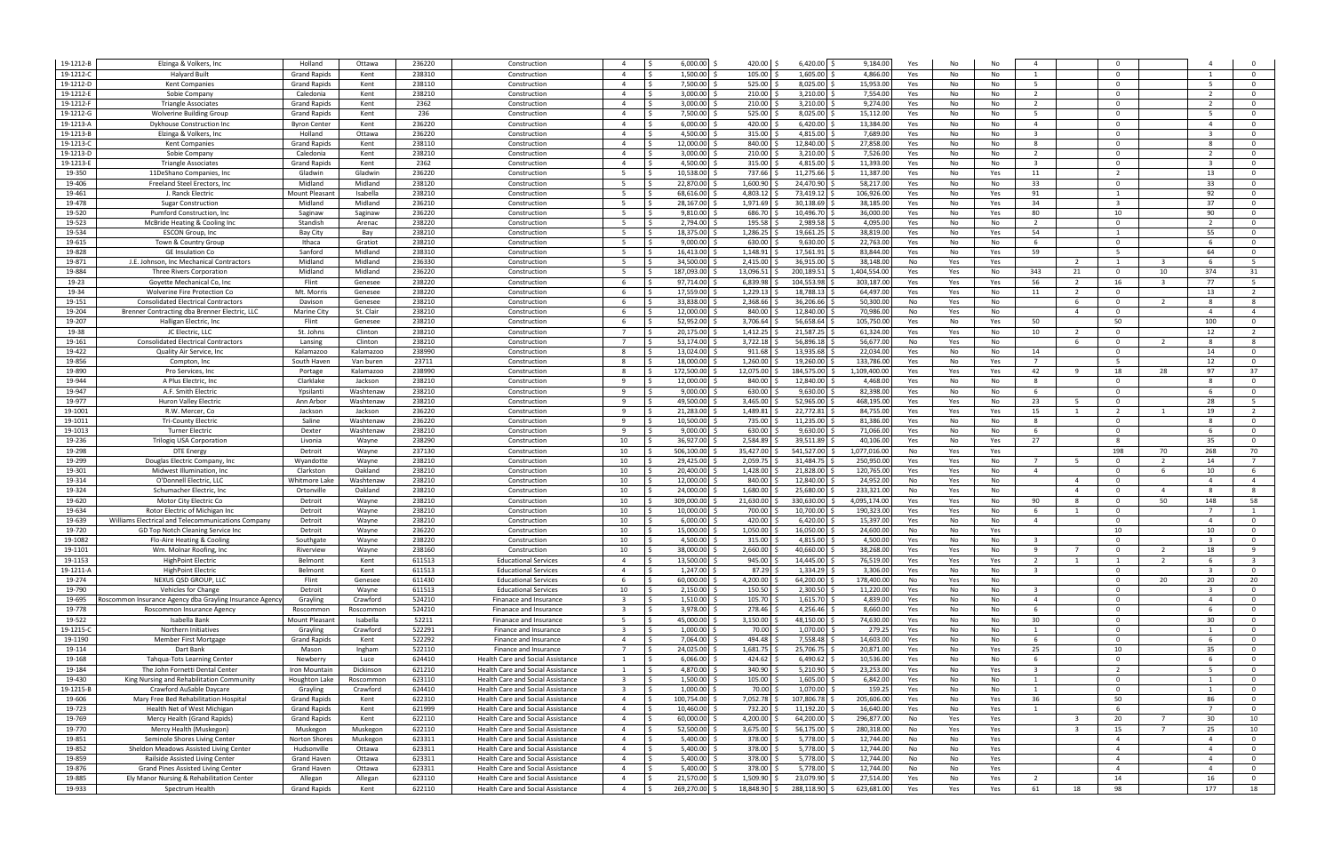| 19-1212-E        | Elzinga & Volkers, Inc.                                      | Holland                        | Ottawa          | 236220           | Construction                                                                         | -4                      | 6,000.00                      | 420.00                | 6,420.00                   | 9,184.00                | Yes<br>No               |            | $\overline{4}$          |                         | $\Omega$                 |                         |                         |                         |
|------------------|--------------------------------------------------------------|--------------------------------|-----------------|------------------|--------------------------------------------------------------------------------------|-------------------------|-------------------------------|-----------------------|----------------------------|-------------------------|-------------------------|------------|-------------------------|-------------------------|--------------------------|-------------------------|-------------------------|-------------------------|
| 19-1212-0        | Halyard Built                                                | <b>Grand Rapids</b>            | Kent            | 238310           | Construction                                                                         | $\overline{4}$          | 1,500.00                      | 105.00                | 1,605.00                   | 4,866.0                 | Yes<br>No               | No         | 1                       |                         | $\Omega$                 |                         |                         | $\Omega$                |
| 19-1212-D        | <b>Kent Companies</b>                                        | <b>Grand Rapids</b>            | Kent            | 238110           | Construction                                                                         | $\overline{a}$          | 7,500.00                      | 525.00                | 8,025.00                   | 15,953.0                | Yes<br>No               | No         | 5                       |                         | $\Omega$                 |                         | - 5                     | $\overline{0}$          |
|                  |                                                              |                                |                 |                  |                                                                                      | $\overline{4}$          | 3,000.00                      | 210.00                |                            |                         |                         |            | $\overline{2}$          |                         | $\Omega$                 |                         |                         | $\Omega$                |
| 19-1212-1        | Sobie Company                                                | Caledonia                      | Kent            | 238210           | Construction                                                                         |                         |                               |                       | 3,210.00                   | 7,554.0                 | Yes<br>No               | No         |                         |                         |                          |                         |                         |                         |
| 19-1212-1        | <b>Triangle Associates</b>                                   | <b>Grand Rapids</b>            | Kent            | 2362             | Construction                                                                         | $\overline{a}$          | 3,000.00                      | 210.00                | 3,210.00                   | 9,274.0                 | Yes<br>No               | No         | $\overline{2}$          |                         | $\Omega$                 |                         |                         | $\Omega$                |
| 19-1212-G        | Wolverine Building Group                                     | <b>Grand Rapids</b>            | Kent            | 236              | Construction                                                                         | $\overline{a}$          | 7.500.00                      | 525.00                | 8,025.00                   | 15,112.0                | Yes<br>No               | No         | -5                      |                         | $\Omega$                 |                         |                         | $\Omega$                |
| 19-1213-A        | Dykhouse Construction Inc                                    | <b>Byron Cente</b>             | Kent            | 236220           | Constructior                                                                         |                         | 6,000.00                      | 420.00                | 6,420.00                   | 13,384.0                | Yes<br>No               | No         | $\overline{4}$          |                         | $\Omega$                 |                         |                         | $\Omega$                |
| 19-1213-B        | Elzinga & Volkers, Inc.                                      | Holland                        | Ottawa          | 236220           | Construction                                                                         | $\overline{a}$          | 4,500.00                      | 315.00                | 4,815.00                   | 7,689.0                 | Yes<br>No               | No         |                         |                         | $\Omega$                 |                         |                         | $\Omega$                |
| 19-1213-C        | <b>Kent Companies</b>                                        | <b>Grand Rapids</b>            | Kent            | 238110           | Construction                                                                         | $\overline{a}$          | 12,000.00                     | 840.00                | 12,840.00                  | 27,858.0                | Yes<br>No               | No         | -8                      |                         | $\Omega$                 |                         |                         | $\Omega$                |
| 19-1213-D        | Sobie Company                                                | Caledonia                      | Kent            | 238210           | Construction                                                                         | $\overline{a}$          | $3,000.00$ \$                 | 210.00                | 3,210.00                   | 7,526.00                | Yes<br>No               | No         | $\overline{2}$          |                         | $\Omega$                 |                         |                         | $\overline{\mathbf{0}}$ |
| 19-1213-E        | <b>Triangle Associates</b>                                   | <b>Grand Rapids</b>            | Kent            | 2362             | Construction                                                                         | $\overline{a}$          | 4,500.00                      | 315.00                | 4,815.00                   | 11,393.00               | Yes<br>No               | No         | $\overline{\mathbf{3}}$ |                         | $\mathbf 0$              |                         |                         | $\overline{\mathbf{0}}$ |
| 19-350           | 11DeShano Companies, Inc.                                    | Gladwin                        | Gladwin         | 236220           | Construction                                                                         |                         | 10,538.00                     | 737.66                | 11,275.66                  | 11,387.00               | Yes<br>No               | Yes        | 11                      |                         | $\overline{\phantom{a}}$ |                         | 13                      | $\overline{\mathbf{0}}$ |
|                  |                                                              |                                |                 |                  |                                                                                      |                         |                               |                       |                            |                         |                         |            |                         |                         | $\Omega$                 |                         |                         |                         |
| 19-406           | Freeland Steel Erectors, Inc                                 | Midland                        | Midland         | 238120           | Construction                                                                         | - 5                     | 22,870.00                     | 1,600.90              | 24,470.90                  | 58,217.00               | Yes<br>No               | No         | 33                      |                         |                          |                         | 33                      | $\overline{0}$          |
| 19-461           | J. Ranck Electric                                            | Mount Pleasan                  | Isabella        | 238210           | Construction                                                                         | 5                       | 68,616.00 \$                  | 4,803.12              | 73,419.12                  | 106,926.00              | Yes<br>No               | Yes        | 91                      |                         | -1                       |                         | 92                      | $\overline{0}$          |
| 19-478           | <b>Sugar Construction</b>                                    | Midland                        | Midland         | 236210           | Construction                                                                         | - 5                     | 28.167.00 \$                  | 1,971.69              | 30,138.69                  | 38,185.00               | Yes<br>No               | Yes        | 34                      |                         | $\overline{3}$           |                         | 37                      | $\overline{0}$          |
| 19-520           | Pumford Construction, Inc.                                   | Saginaw                        | Saginaw         | 236220           | Construction                                                                         | - 5                     | $9,810.00$ \$                 | 686.70                | 10,496.70                  | 36,000.00               | Yes<br>No               | Yes        | 80                      |                         | 10                       |                         | 90                      | $\overline{0}$          |
| 19-523           | McBride Heating & Cooling Inc                                | Standish                       | Arenac          | 238220           | Construction                                                                         | - 5                     | 2,794.00                      | 195.58                | 2,989.58                   | 4,095.0                 | Yes<br>No               | No         | 2                       |                         | 0                        |                         |                         | $\mathbf 0$             |
| 19-534           | <b>ESCON Group, Inc</b>                                      | Bay City                       | Bay             | 238210           | Construction                                                                         | 5                       | 18,375.00 \$                  | 1,286.25              | 19,661.25                  | 38,819.00               | Yes<br>No               | Yes        | 54                      |                         | $\mathbf{1}$             |                         | 55                      | $\overline{0}$          |
| 19-615           | Town & Country Group                                         | Ithaca                         | Gratiot         | 238210           | Construction                                                                         | 5                       | $9,000.00$ \$                 | 630.00                | 9,630.00                   | 22,763.00               | Yes<br>No               | No         | 6                       |                         | $\Omega$                 |                         |                         | $\overline{\mathbf{0}}$ |
| 19-828           | <b>GE Insulation Co</b>                                      | Sanford                        | Midland         | 238310           | Construction                                                                         | - 5                     | 16,413.00 \$                  | 1,148.91              | 17,561.91                  | 83,844.00               | Yes<br>No               | Yes        | 59                      |                         | - 5                      |                         | 64                      | $\overline{0}$          |
| 19-871           | J.E. Johnson, Inc Mechanical Contractors                     | Midland                        | Midland         | 236330           | Construction                                                                         | - 5                     | 34.500.00 \$                  | 2,415.00              | 36,915.00                  | 38,148.0                | No<br>Yes               | Yes        |                         | 2                       | 1                        |                         |                         | 5                       |
| 19-884           |                                                              |                                |                 | 236220           |                                                                                      |                         | 187,093.00 \$                 | 13,096.51             | 200,189.51                 | 1,404,554.00            |                         |            |                         |                         | - 0                      | 10                      | 374                     |                         |
|                  | Three Rivers Corporation                                     | Midland                        | Midland         |                  | Construction                                                                         | - 5                     |                               |                       |                            |                         | Yes<br>Yes              | No         | 343                     | 21                      |                          |                         |                         | 31                      |
| 19-23            | Goyette Mechanical Co, Inc.                                  | Flint                          | Genesee         | 238220           | Construction                                                                         | -6                      | 97.714.00 9                   | 6,839.98              | 104,553.98                 | 303,187.0               | Yes<br>Yes              | Yes        | 56                      | $\overline{2}$          | 16                       | $\overline{\mathbf{3}}$ | 77                      | 5                       |
| 19-34            | Wolverine Fire Protection Co                                 | Mt. Morris                     | Genesee         | 238220           | Construction                                                                         | -6                      | 17,559.00                     | 1,229.13              | 18,788.13                  | 64,497.0                | Yes<br>Yes              | No         | 11                      | 2                       | $\Omega$                 |                         | 13                      | $\overline{2}$          |
| 19-151           | <b>Consolidated Electrical Contractors</b>                   | Davison                        | Genesee         | 238210           | Construction                                                                         | -6                      | 33,838.00                     | 2,368.66              | 36,206.66                  | 50,300.0                | No<br>Yes               | No         |                         | - 6                     | $\Omega$                 | 2                       |                         | 8                       |
| 19-204           | Brenner Contracting dba Brenner Electric, LLC                | Marine City                    | St. Clair       | 238210           | Constructior                                                                         | -6                      | 12.000.00                     | 840.00                | 12,840.00                  | 70,986.0                | No<br>Yes               | No         |                         | $\overline{a}$          | $\Omega$                 |                         |                         | $\overline{4}$          |
| 19-207           | Halligan Electric, Inc.                                      | Flint                          | Genesee         | 238210           | Construction                                                                         | -6                      | 52,952.00                     | 3,706.64              | 56,658.64                  | 105,750.0               | Yes<br>No               | Yes        | 50                      |                         | 50                       |                         | 100                     | $\overline{\mathbf{0}}$ |
| 19-38            | JC Electric, LLC                                             | St. Johns                      | Clinton         | 238210           | Construction                                                                         | $\overline{7}$          | 20,175.00                     | 1,412.25              | 21,587.25                  | 61,324.0                | Yes<br>Yes              | No         | 10                      | $\overline{2}$          | $\Omega$                 |                         | 12                      | $\overline{2}$          |
| 19-161           | <b>Consolidated Electrical Contractors</b>                   | Lansing                        | Clinton         | 238210           | Construction                                                                         | $\overline{7}$          | 53,174.00                     | 3,722.18              | 56,896.18                  | 56,677.0                | No<br>Yes               | No         |                         | - 6                     | $\Omega$                 | $\overline{2}$          |                         | 8                       |
| 19-422           | Quality Air Service, Inc                                     | Kalamazoo                      | Kalamazoo       | 238990           | Construction                                                                         | -8                      | 13,024.00                     | 911.68                | 13,935.68                  | 22,034.0                | Yes<br>No               | No         | 14                      |                         | $\Omega$                 |                         | 14                      | $\overline{0}$          |
| 19-856           | Compton, Inc                                                 | South Haver                    | Van buren       | 23711            | Constructior                                                                         | -8                      | 18,000.00                     | 1,260.00              | 19,260.00                  | 133,786.0               | Yes<br>No               | Yes        | $7^{\circ}$             |                         | - 5                      |                         | 12                      | $\overline{0}$          |
|                  |                                                              |                                |                 |                  |                                                                                      |                         |                               |                       |                            |                         |                         |            |                         | <b>q</b>                |                          |                         |                         |                         |
| 19-890           | Pro Services, Inc.                                           | Portage                        | Kalamazoo       | 238990           | Construction                                                                         | -8                      | 172,500.00                    | 12,075.00             | 184,575.00                 | 1,109,400.0             | Yes<br>Yes              | Yes        | 42                      |                         | 18                       | 28                      | 97                      | 37                      |
| 19-944           | A Plus Electric, Inc                                         | Clarklake                      | Jackson         | 238210           | Construction                                                                         | <sup>9</sup>            | 12,000.00                     | 840.00                | 12,840.00                  | 4,468.0                 | Yes<br>No               | No         | 8                       |                         | $\Omega$                 |                         |                         | $\overline{0}$          |
| 19-947           | A.F. Smith Electric                                          | Ypsilanti                      | Washtenaw       | 238210           | Construction                                                                         | <sup>9</sup>            | 9,000.00                      | 630.00                | 9,630.00                   | 82,398.0                | Yes<br>No               | No         | 6                       |                         | $\Omega$                 |                         |                         | $\overline{0}$          |
| 19-977           | Huron Valley Electric                                        | Ann Arbor                      | Washtenaw       | 238210           | Construction                                                                         |                         | 49,500.00                     | 3,465.00              | 52,965.00                  | 468,195.0               | Yes<br>Yes              | No         | 23                      |                         | $\Omega$                 |                         | 28                      | - 5                     |
| 19-1001          | R.W. Mercer, Co                                              | Jackson                        | Jackson         | 236220           | Construction                                                                         |                         | 21.283.00                     | 1,489.81              | 22,772.81                  | 84,755.0                | Yes<br>Yes              | Yes        | 15                      |                         | $\overline{2}$           |                         | 19                      |                         |
| 19-1011          | <b>Tri-County Electric</b>                                   | Saline                         | Washtenaw       | 236220           | Constructior                                                                         |                         | 10,500.00                     | 735.00                | 11,235.00                  | 81,386.0                | Yes<br>No               | No         | -8                      |                         | $\Omega$                 |                         |                         | $\Omega$                |
| 19-1013          | <b>Turner Electric</b>                                       | Dexter                         | Washtenaw       | 238210           | Constructior                                                                         |                         | 9,000.00                      | 630.00                | 9,630.00                   | 71,066.0                | Yes<br>No               | No         | - 6                     |                         | $\Omega$                 |                         |                         | $\Omega$                |
| 19-236           | <b>Trilogiq USA Corporation</b>                              | Livonia                        | Wayne           | 238290           | Construction                                                                         | 10                      | 36,927.00                     | 2,584.89              | 39,511.89                  | 40,106.0                | Yes<br>No               | Yes        | 27                      |                         |                          |                         | 35                      | $\overline{\mathbf{0}}$ |
| 19-298           | <b>DTE Energy</b>                                            | Detroit                        | Wayne           | 237130           | Construction                                                                         | 10                      | 506,100.00 \$                 | 35,427.00             | 541,527.00                 | 1,077,016.00            | No<br>Yes               | Yes        |                         |                         | 198                      | 70                      | 268                     | 70                      |
| 19-299           | Douglas Electric Company, Inc.                               | Wyandotte                      | Wayne           | 238210           | Construction                                                                         | 10                      | 29,425.00 \$                  | 2,059.75              | 31,484.75                  | 250,950.00              | Yes<br>Yes              | No         | $\overline{7}$          | - 5                     | $\Omega$                 | -2                      | 14                      | $\overline{7}$          |
| 19-301           | Midwest Illumination, Inc.                                   | Clarkston                      | Oakland         | 238210           | Construction                                                                         | 10                      | 20,400.00                     | 1,428.00              | 21,828.00                  | 120,765.00              | Yes<br>Yes              | No         | $\overline{4}$          |                         | $\Omega$                 | 6                       | 10                      | 6                       |
|                  |                                                              |                                |                 |                  |                                                                                      |                         |                               |                       |                            |                         |                         |            |                         |                         | $\Omega$                 |                         |                         |                         |
| 19-314           | O'Donnell Electric, LLC                                      | Whitmore Lake                  | Washtenaw       | 238210           | Construction                                                                         | 10                      | 12,000.00 \$                  | 840.00                | 12,840.00                  | 24,952.00               | No<br>Yes               | No         |                         | $\overline{4}$          |                          |                         | 4                       | $\overline{4}$          |
| 19-324           | Schumacher Electric, Inc.                                    | Ortonville                     | Oakland         | 238210           | Construction                                                                         | 10                      | 24,000.00 \$                  | 1,680.00              | 25,680.00                  | 233,321.00              | No<br>Yes               | No         |                         | $\overline{4}$          | $\Omega$                 | $\overline{4}$          |                         | 8                       |
| 19-620           | Motor City Electric Co                                       | Detroit                        | Wayne           | 238210           | Construction                                                                         | 10                      | 309,000.00 \$                 | 21,630.00             | 330,630.00                 | 4,095,174.00            | Yes<br>Yes              | No         | 90                      | - 8                     | $\Omega$                 | 50                      | 148                     | 58                      |
| 19-634           |                                                              |                                |                 |                  |                                                                                      |                         |                               |                       |                            |                         |                         |            |                         |                         |                          |                         |                         | $\overline{1}$          |
| 19-639           | Rotor Electric of Michigan Inc                               | Detroit                        | Wayne           | 238210           | Construction                                                                         | 10                      | 10,000.00                     | 700.00                | 10,700.00                  | 190,323.0               | Yes<br>Yes              | No         | - 6                     |                         | $\Omega$                 |                         | $\overline{7}$          |                         |
|                  | Williams Electrical and Telecommunications Company           | Detroit                        | Wayne           | 238210           | Construction                                                                         | 10                      | $6.000.00$ \$                 | 420.00                | 6,420.00                   | 15,397.0                | Yes<br>No               | No         | $\overline{4}$          |                         | $\Omega$                 |                         | -4                      | $\overline{0}$          |
| 19-720           | GD Top Notch Cleaning Service Inc                            | Detroit                        | Wavne           | 236220           | Construction                                                                         | 10                      | 15.000.00                     | 1,050.00              | 16,050.00                  | 24,600.0                | No<br>No                | Yes        |                         |                         | 10                       |                         | 10                      | $\Omega$                |
| 19-1082          | Flo-Aire Heating & Cooling                                   | Southgate                      | Wayne           | 238220           | Construction                                                                         | 10                      | $4.500.00$ \$                 | 315.00                | 4,815.00                   | 4,500.00                | Yes<br>No               | No         | $\mathbf{R}$            |                         | $\Omega$                 |                         |                         | $\Omega$                |
|                  |                                                              |                                |                 |                  |                                                                                      |                         |                               |                       |                            |                         |                         |            | 9                       | $\overline{7}$          | $\overline{0}$           |                         |                         | - 9                     |
| 19-1101          | Wm. Molnar Roofing, Inc.                                     | Riverview                      | Wayne           | 238160           | Construction                                                                         | 10<br>$\overline{a}$    | 38,000.00                     | 2,660.00              | 40,660.00                  | 38,268.00               | Yes<br>Yes              | No         |                         | <sup>1</sup>            | 1                        | $\overline{2}$<br>2     | 18<br>- 6               | $\overline{\mathbf{3}}$ |
| 19-1153          | <b>HighPoint Electric</b>                                    | Belmont                        | Kent            | 611513           | <b>Educational Services</b>                                                          | $\overline{4}$          | 13,500.00 \$                  | 945.00                | 14,445.00                  | 76,519.00               | Yes<br>Yes              | Yes        | $\overline{2}$          |                         |                          |                         | $\overline{\mathbf{3}}$ |                         |
| 19-1211-A        | <b>HighPoint Electric</b>                                    | Belmont                        | Kent            | 611513           | <b>Educational Services</b>                                                          |                         | 1,247.00 \$                   | 87.29                 | 1,334.29                   | 3,306.00                | Yes<br>No               | No         | $\overline{\mathbf{3}}$ |                         | $\overline{0}$           |                         |                         | $\overline{\mathbf{0}}$ |
| 19-274           | NEXUS QSD GROUP, LLC                                         | Flint                          | Genesee         | 611430           | <b>Educational Services</b>                                                          | 6                       | 60,000.00 \$<br>- Ś           | 4,200.00              | 64,200.00                  | 178,400.00              | No<br>Yes               | No         |                         |                         | $\overline{0}$           | 20                      | 20                      | 20                      |
| 19-790           | Vehicles for Change                                          | Detroit                        | Wayne           | 611513           | <b>Educational Services</b>                                                          | 10                      | $2,150.00$ \$                 | 150.50                | 2,300.50                   | 11,220.00               | Yes<br>No               | No         | $\overline{\mathbf{3}}$ |                         | $\overline{0}$           |                         | $\overline{3}$          | $\overline{0}$          |
| 19-695           | Roscommon Insurance Agency dba Grayling Insurance Agency     | Grayling                       | Crawford        | 524210           | Finanace and Insurance                                                               | $\overline{\mathbf{3}}$ | $1,510.00$ \$                 | 105.70                | 1,615.70                   | 4,839.00                | Yes<br>No               | No         | $\overline{4}$          |                         | $\overline{0}$           |                         | $\overline{4}$          | $\overline{0}$          |
| 19-778           | Roscommon Insurance Agency                                   | Roscommon                      | Roscommon       | 524210           | Finanace and Insurance                                                               | $\overline{\mathbf{3}}$ | 3,978.00 \$                   | 278.46                | 4,256.46                   | 8,660.00                | Yes<br>No               | No         | 6                       |                         | $\overline{0}$           |                         | - 6                     | $\overline{0}$          |
| 19-522           | Isabella Bank                                                | Mount Pleasan                  | Isabella        | 52211            | Finanace and Insurance                                                               | 5                       | 45,000.00 \$                  | 3,150.00              | 48,150.00 \$               | 74,630.0                | Yes<br>No               | No         | 30                      |                         | $\Omega$                 |                         | 30                      | $\overline{0}$          |
| 19-1215-C        | Northern Initiatives                                         | Grayling                       | Crawford        | 522291           | Finance and Insurance                                                                | $\overline{\mathbf{3}}$ | $1,000.00$ \$                 | 70.00                 | 1,070.00 \$                | 279.2                   | Yes<br>No               | No         | 1                       |                         | $\Omega$                 |                         | 1                       | $\overline{\mathbf{0}}$ |
| 19-1190          | Member First Mortgage                                        | <b>Grand Rapids</b>            | Kent            | 522292           | Finance and Insurance                                                                | $\overline{4}$          | 7,064.00 \$                   | 494.48                | 7,558.48                   | 14,603.0                | Yes<br>No               | No         | 6                       |                         | $\Omega$                 |                         |                         | $\overline{0}$          |
| 19-114           | Dart Bank                                                    | Mason                          | Ingham          | 522110           | Finance and Insurance                                                                | $\overline{7}$          | 24,025.00 \$                  | 1,681.75              | 25,706.75                  | 20,871.0                | Yes<br>No               | Yes        | 25                      |                         | 10                       |                         | 35                      | $\overline{\mathbf{0}}$ |
| 19-168           | Tahqua-Tots Learning Center                                  | Newberry                       | Luce            | 624410           | <b>Health Care and Social Assistance</b>                                             |                         | $6,066.00$ \$                 | 424.62                | 6,490.62                   | 10,536.00               | Yes<br>No               | No         | 6                       |                         | $\Omega$                 |                         |                         | $\overline{0}$          |
| 19-184           | The John Fornetti Dental Center                              | Iron Mountain                  | Dickinson       | 621210           | Health Care and Social Assistance                                                    | 1                       | 4,870.00 \$                   | 340.90                | $5,210.90$ \$              | 23,253.00               | No                      | Yes        | $\overline{\mathbf{3}}$ |                         | $\overline{2}$           |                         | - 5                     | $\overline{0}$          |
|                  |                                                              |                                |                 |                  |                                                                                      |                         |                               |                       |                            |                         | Yes                     |            |                         |                         |                          |                         |                         |                         |
| 19-430           | King Nursing and Rehabilitation Community                    | Houghton Lake                  | Roscommon       | 623110           | Health Care and Social Assistance                                                    | $\overline{\mathbf{3}}$ | $1,500.00$ \$                 | 105.00                | $1,605.00$ \$              | 6,842.00                | Yes<br>No               | No         | 1                       |                         | $\mathbf 0$              |                         |                         | $\overline{\mathbf{0}}$ |
| 19-1215-B        | Crawford AuSable Daycare                                     | Grayling                       | Crawford        | 624410           | Health Care and Social Assistance                                                    | $\overline{\mathbf{3}}$ | $1,000.00$ \$                 | 70.00                 | $1,070.00$ \$              | 159.2                   | Yes<br>No               | No         | 1                       |                         | $\Omega$                 |                         |                         | $\overline{0}$          |
| 19-606           | Mary Free Bed Rehabilitation Hospital                        | <b>Grand Rapids</b>            | Kent            | 622310           | Health Care and Social Assistance                                                    | $\overline{4}$          | 100,754.00 \$                 | 7,052.78              | 107,806.78 \$              | 205,606.00              | Yes<br>No               | Yes        | 36                      |                         | 50                       |                         | 86                      | $\overline{\mathbf{0}}$ |
| 19-723           | Health Net of West Michigan                                  | <b>Grand Rapids</b>            | Kent            | 621999           | Health Care and Social Assistance                                                    | $\overline{4}$          | $10,460.00$ \$<br>l S         | 732.20                | $11,192.20$ \$             | 16,640.00               | Yes<br>No               | Yes        | 1                       |                         | -6                       |                         |                         | $\overline{0}$          |
| 19-769           | Mercy Health (Grand Rapids)                                  | <b>Grand Rapids</b>            | Kent            | 622110           | Health Care and Social Assistance                                                    | $\overline{4}$          | 60,000.00 \$<br>۱s.           | 4,200.00              | 64,200.00 \$               | 296,877.00              | No<br>Yes               | Yes        |                         | $\overline{\mathbf{3}}$ | 20                       | $\overline{7}$          | 30                      | 10                      |
| 19-770           | Mercy Health (Muskegon)                                      | Muskegon                       | Muskegon        | 622110           | Health Care and Social Assistance                                                    | $\overline{4}$          | ۱s.<br>$52,500.00$ \$         | 3,675.00              | 56,175.00 \$               | 280,318.00              | No<br>Yes               | Yes        |                         | - 3                     | 15                       | $\overline{7}$          | 25                      | 10                      |
| 19-851           | Seminole Shores Living Center                                | Norton Shores                  | Muskegon        | 623311           | Health Care and Social Assistance                                                    | $\overline{4}$          | ۱s<br>$5,400.00$ \$           | 378.00                | 5,778.00                   | 12,744.00               | No<br>No                | Yes        |                         |                         | $\overline{4}$           |                         | $\overline{4}$          | $\overline{0}$          |
| 19-852           | Sheldon Meadows Assisted Living Center                       | Hudsonville                    | Ottawa          | 623311           | Health Care and Social Assistance                                                    | $\overline{4}$          | 5,400.00 \$<br>۱Ś.            | 378.00                | 5,778.00 \$                | 12,744.00               | No<br>No                | Yes        |                         |                         | $\overline{4}$           |                         | $\overline{4}$          | $\overline{0}$          |
| 19-859           | Railside Assisted Living Center                              | Grand Haven                    | Ottawa          | 623311           | Health Care and Social Assistance                                                    | $\overline{4}$          | 5,400.00 \$                   | 378.00                | 5,778.00 \$                | 12,744.00               | No<br>No                | Yes        |                         |                         | $\overline{4}$           |                         | $\overline{4}$          | $\overline{0}$          |
| 19-876           | Grand Pines Assisted Living Center                           | Grand Haven                    | Ottawa          | 623311           | Health Care and Social Assistance                                                    | $\overline{4}$          | $5,400.00$ \$                 | 378.00                | 5,778.00                   | 12,744.00               | No<br>No                | Yes        |                         |                         | $\overline{4}$           |                         | $\overline{4}$          | $\overline{\mathbf{0}}$ |
|                  |                                                              |                                |                 |                  |                                                                                      | $\overline{4}$          |                               |                       |                            |                         |                         |            | $\overline{2}$          |                         |                          |                         |                         | $\overline{0}$          |
| 19-885<br>19-933 | Ely Manor Nursing & Rehabilitation Center<br>Spectrum Health | Allegan<br><b>Grand Rapids</b> | Allegan<br>Kent | 623110<br>622110 | <b>Health Care and Social Assistance</b><br><b>Health Care and Social Assistance</b> | $\overline{4}$          | 21,570.00 \$<br>269,270.00 \$ | 1,509.90<br>18,848.90 | 23,079.90<br>288,118.90 \$ | 27,514.00<br>623,681.00 | Yes<br>No<br>Yes<br>Yes | Yes<br>Yes | 61                      | 18                      | 14<br>98                 |                         | 16<br>177               | 18                      |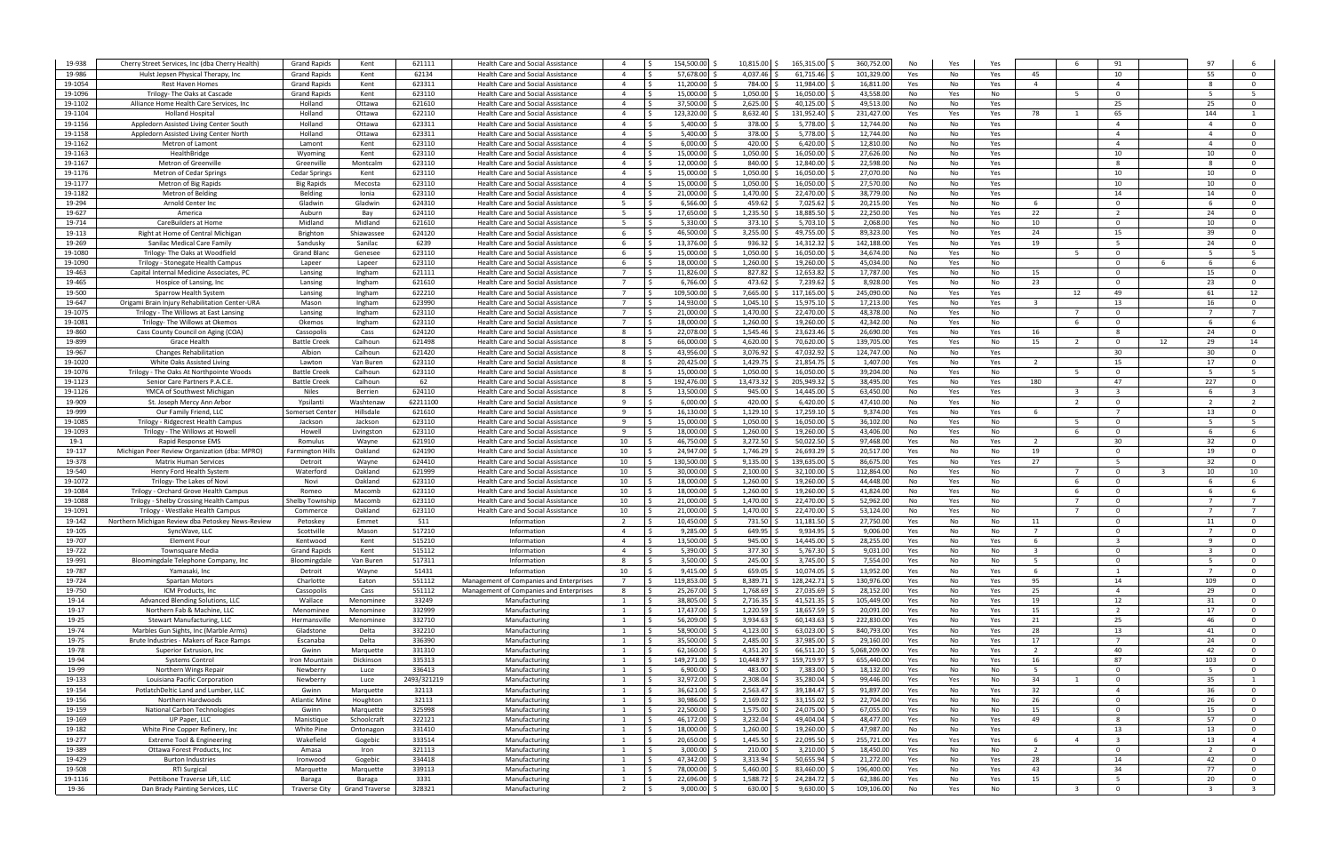| 19-938             | Cherry Street Services, Inc (dba Cherry Health)                                  | <b>Grand Rapids</b>               | Kent                            | 621111           | Health Care and Social Assistance                                                    | $\overline{a}$                   | 154,500.00                    | 10,815.00 \$             | 165,315.00 \$                 | 360,752.00             | No         | Yes                    |                         | 91                                        |    |                      |                                           |
|--------------------|----------------------------------------------------------------------------------|-----------------------------------|---------------------------------|------------------|--------------------------------------------------------------------------------------|----------------------------------|-------------------------------|--------------------------|-------------------------------|------------------------|------------|------------------------|-------------------------|-------------------------------------------|----|----------------------|-------------------------------------------|
| 19-986             | Hulst Jepsen Physical Therapy, Inc                                               | <b>Grand Rapids</b>               | Kent                            | 62134            | Health Care and Social Assistance                                                    | $\overline{4}$                   | 57,678.00                     | 4,037.46                 | 61,715.46                     | 101,329.0              | Yes        | No<br>Yes              | 45                      | 10                                        |    | 55                   | $\overline{\mathbf{0}}$                   |
| 19-1054            | <b>Rest Haven Homes</b>                                                          | <b>Grand Rapids</b>               | Kent                            | 623311           | Health Care and Social Assistance                                                    | $\overline{4}$                   | 11,200.00                     | 784.00                   | 11,984.00                     | 16,811.0               | Yes        | No<br>Yes              | $\overline{4}$          | $\overline{a}$                            |    |                      | $\overline{0}$                            |
| 19-1096            | Trilogy- The Oaks at Cascade                                                     | <b>Grand Rapids</b>               | Kent                            | 623110           | Health Care and Social Assistance                                                    | $\overline{4}$                   | 15,000.00                     | 1,050.00                 | 16,050.00                     | 43,558.0               | No         | Yes<br>No              |                         | $\overline{0}$<br>5                       |    | - 5                  | 5                                         |
| 19-1102            | Alliance Home Health Care Services, Inc.                                         | Holland                           | Ottawa                          | 621610           | Health Care and Social Assistance                                                    | $\overline{4}$                   | 37,500.00                     | 2,625.00                 | 40,125.00                     | 49,513.0               | No         | No<br>Yes              |                         | 25                                        |    | 25                   | $\overline{\mathbf{0}}$                   |
| 19-1104            | <b>Holland Hospital</b>                                                          | Holland                           | Ottawa                          | 622110           | <b>Health Care and Social Assistance</b>                                             | $\overline{4}$                   | 123,320.00                    | 8,632.40                 | 131,952.40                    | 231,427.0              | Yes        | Yes<br>Yes             | 78                      | 65                                        |    | 144                  | $\mathbf{1}$                              |
| 19-1156            | Appledorn Assisted Living Center South                                           | Holland                           | Ottawa                          | 623311           | <b>Health Care and Social Assistance</b>                                             | $\overline{4}$                   | 5,400.00                      | 378.00                   | 5,778.00                      | 12,744.0               | No         | No<br>Yes              |                         | $\overline{4}$                            |    |                      | $\overline{0}$                            |
| 19-1158            | Appledorn Assisted Living Center North                                           | Holland                           | Ottawa                          | 623311           | Health Care and Social Assistance                                                    | $\overline{4}$                   | 5,400.00                      | 378.00                   | 5,778.00                      | 12,744.0               | No         | No<br>Yes              |                         | $\overline{4}$<br>$\overline{4}$          |    |                      | $\overline{0}$                            |
| 19-1162<br>19-1163 | Metron of Lamon<br>HealthBridge                                                  | Lamont                            | Kent<br>Kent                    | 623110<br>623110 | <b>Health Care and Social Assistance</b>                                             | $\overline{4}$<br>$\overline{4}$ | 6,000.00<br>15,000.00         | 420.00<br>1,050.00       | 6,420.00<br>16,050.00         | 12,810.0<br>27,626.0   | No<br>No   | Yes<br>No<br>No<br>Yes |                         | 10                                        |    | 10                   | $\overline{0}$<br>$\overline{0}$          |
| 19-1167            | Metron of Greenville                                                             | Wyoming<br>Greenville             | Montcalr                        | 623110           | <b>Health Care and Social Assistance</b><br><b>Health Care and Social Assistance</b> | $\overline{4}$                   | 12,000.00                     | 840.00                   | 12,840.00                     | 22,598.0               | No         | No<br>Yes              |                         | -8                                        |    |                      | $\Omega$                                  |
| 19-1176            | Metron of Cedar Springs                                                          | <b>Cedar Springs</b>              | Kent                            | 623110           | <b>Health Care and Social Assistance</b>                                             | $\overline{4}$                   | 15.000.00                     | 1,050.00                 | 16,050.00                     | 27,070.0               | No         | No<br>Yes              |                         | 10                                        |    | 10                   | $\Omega$                                  |
| 19-1177            | Metron of Big Rapids                                                             | <b>Big Rapids</b>                 | Mecosta                         | 623110           | Health Care and Social Assistance                                                    | $\overline{4}$                   | 15.000.00                     | 1,050.00                 | 16,050.00                     | 27,570.0               | No         | No<br>Yes              |                         | 10                                        |    | 10                   | $\Omega$                                  |
| 19-1182            | Metron of Belding                                                                | Belding                           | Ionia                           | 623110           | Health Care and Social Assistance                                                    | $\overline{4}$                   | 21,000.00                     | 1,470.00 \$              | 22,470.00                     | 38,779.0               | No         | No<br>Yes              |                         | 14                                        |    | 14                   | $\Omega$                                  |
| 19-294             | Arnold Center Inc                                                                | Gladwin                           | Gladwin                         | 624310           | <b>Health Care and Social Assistance</b>                                             | - 5                              | 6,566.00                      | 459.62                   | 7,025.62                      | 20,215.0               | Yes        | No<br>No               | 6                       | $\Omega$                                  |    |                      | $\Omega$                                  |
| 19-627             | America                                                                          | Auburn                            | Bay                             | 624110           | Health Care and Social Assistance                                                    |                                  | 17,650.00                     | 1,235.50 \$              | 18,885.50                     | 22,250.0               | Yes        | No<br>Yes              | 22                      | $\overline{2}$                            |    | 24                   | $\overline{0}$                            |
| 19-714             | CareBuilders at Home                                                             | Midland                           | Midland                         | 621610           | <b>Health Care and Social Assistance</b>                                             | - 5                              | 5,330.00                      | 373.10                   | 5,703.10                      | 2,068.0                | Yes        | No<br>No               | 10                      | $\Omega$                                  |    | 10                   | $\Omega$                                  |
| 19-113             | Right at Home of Central Michigan                                                | Brighton                          | Shiawassee                      | 624120           | <b>Health Care and Social Assistance</b>                                             | 6                                | 46,500.00 \$                  | 3,255.00                 | 49,755.00                     | 89,323.0               | Yes        | No<br>Yes              | 24                      | 15                                        |    | 39                   | $\overline{0}$                            |
| 19-269             | Sanilac Medical Care Family                                                      | Sandusky                          | Sanilac                         | 6239             | Health Care and Social Assistance                                                    | - 6                              | 13,376.00                     | 936.32                   | 14,312.32                     | 142,188.0              | Yes        | Yes<br>No              | 19                      | - 5                                       |    | 24                   | $\overline{0}$                            |
| 19-1080            | Trilogy- The Oaks at Woodfield                                                   | <b>Grand Blanc</b>                | Genesee                         | 623110           | Health Care and Social Assistance                                                    | - 6                              | 15,000.00                     | 1,050.00                 | 16,050.00                     | 34,674.0               | No         | Yes<br>No              |                         | $\Omega$                                  |    |                      | 5                                         |
| 19-1090            | Trilogy - Stonegate Health Campus                                                | Lapeer                            | Lapeer                          | 623110           | <b>Health Care and Social Assistance</b>                                             | - 6                              | 18.000.00                     | 1,260.00                 | 19,260.00                     | 45,034.0               | No         | No<br>Yes              |                         | $\Omega$                                  | -6 |                      | - 6                                       |
| 19-463             | Capital Internal Medicine Associates, PC                                         | Lansing                           | Ingham                          | 621111           | <b>Health Care and Social Assistance</b>                                             | $\overline{7}$                   | 11,826.00 \$                  | 827.82                   | 12,653.82 \$                  | 17,787.0               | Yes        | No<br>No               | 15                      | $\Omega$                                  |    | 15                   | $\overline{0}$                            |
| 19-465             | Hospice of Lansing, Inc.                                                         | Lansing                           | Ingham                          | 621610           | <b>Health Care and Social Assistance</b>                                             | $\overline{7}$                   | 6,766.00                      | 473.62                   | 7,239.62                      | 8,928.0                | Yes        | No<br>No               | 23                      | $\Omega$                                  |    | 23                   | $\overline{0}$                            |
| 19-500             | Sparrow Health System                                                            | Lansing                           | Ingham                          | 622210           | <b>Health Care and Social Assistance</b>                                             | $\overline{7}$                   | 109.500.00                    | 7,665.00                 | 117,165.00                    | 245,090.0              | No         | Yes<br>Yes             |                         | 49<br>12                                  |    | 61                   | 12                                        |
| 19-647             | Origami Brain Injury Rehabilitation Center-URA                                   | Mason                             | Ingham                          | 623990           | <b>Health Care and Social Assistance</b>                                             | $\overline{7}$                   | 14.930.00                     | 1,045.10                 | 15,975.10                     | 17,213.0               | Yes        | No<br>Yes              | $\overline{\mathbf{3}}$ | 13                                        |    | 16                   | $\mathbf 0$                               |
| 19-1075            | Trilogy - The Willows at East Lansing                                            | Lansing                           | Ingham                          | 623110           | Health Care and Social Assistance                                                    | $\overline{7}$                   | 21,000.00                     | 1,470.00                 | 22,470.00                     | 48,378.0               | No         | Yes<br>No              |                         | $\Omega$                                  |    |                      | $\overline{7}$                            |
| 19-1081            | Trilogy- The Willows at Okemos                                                   | Okemos                            | Ingham                          | 623110           | Health Care and Social Assistance                                                    | $\overline{7}$                   | 18,000.00                     | 1,260.00                 | 19,260.00                     | 42,342.0               | No         | Yes<br>No              |                         | $\Omega$<br>- 6<br>8                      |    |                      | 6                                         |
| 19-860<br>19-899   | Cass County Council on Aging (COA)<br>Grace Health                               | Cassopolis<br><b>Battle Creek</b> | Cass<br>Calhoun                 | 624120<br>621498 | Health Care and Social Assistance<br>Health Care and Social Assistance               | - 8                              | 22,078.00<br>66,000.00        | 1,545.46<br>4,620.00     | 23,623.46<br>70,620.00        | 26,690.0<br>139,705.0  | Yes<br>Yes | No<br>Yes<br>Yes<br>No | 16<br>15                | $\Omega$<br>2                             | 12 | 24<br>29             | $\overline{\mathbf{0}}$<br>14             |
| 19-967             | <b>Changes Rehabilitation</b>                                                    | Albion                            | Calhoun                         | 621420           | Health Care and Social Assistance                                                    | - 8                              | 43,956.00                     | 3,076.92                 | 47,032.92                     | 124,747.0              | No         | No<br>Yes              |                         | 30                                        |    | 30                   | $\overline{\mathbf{0}}$                   |
| 19-1020            | White Oaks Assisted Living                                                       | Lawton                            | Van Burer                       | 623110           | <b>Health Care and Social Assistance</b>                                             | - 8                              | 20,425.00                     | 1,429.75                 | 21,854.75                     | 1,407.0                | Yes        | No<br>Yes              | 2                       | 15                                        |    | 17                   | $\overline{0}$                            |
| 19-1076            | Trilogy - The Oaks At Northpointe Woods                                          | <b>Battle Creek</b>               | Calhoun                         | 623110           | <b>Health Care and Social Assistance</b>                                             | - 8                              | 15,000.00                     | 1,050.00                 | 16,050.00                     | 39,204.0               | No         | Yes<br>No              |                         | 5<br>$\Omega$                             |    | - 5                  | 5                                         |
| 19-1123            | Senior Care Partners P.A.C.E                                                     | <b>Battle Creek</b>               | Calhoun                         | 62               | Health Care and Social Assistance                                                    | - 8                              | 192,476.00                    | 13,473.32                | 205,949.32                    | 38,495.0               | Yes        | No<br>Yes              | 180                     | 47                                        |    | 227                  | $\overline{0}$                            |
| 19-1126            | YMCA of Southwest Michigar                                                       | Niles                             | Berrien                         | 624110           | <b>Health Care and Social Assistance</b>                                             | 8                                | 13,500.00                     | 945.00                   | 14,445.00                     | 63,450.0               | No         | Yes<br>Yes             |                         | $\overline{3}$<br>$\overline{\mathbf{3}}$ |    |                      | $\overline{\mathbf{3}}$                   |
| 19-909             | St. Joseph Mercy Ann Arbor                                                       | Ypsilanti                         | Washtenav                       | 62211100         | <b>Health Care and Social Assistance</b>                                             | - 9                              | 6,000.00                      | 420.00                   | 6,420.00                      | 47,410.0               | No         | Yes<br>No              |                         | $\Omega$<br>$\overline{2}$                |    |                      | $\overline{2}$                            |
| 19-999             | Our Family Friend, LLC                                                           | Somerset Cente                    | Hillsdale                       | 621610           | <b>Health Care and Social Assistance</b>                                             | - 9                              | 16,130.00                     | 1,129.10                 | 17,259.10                     | 9,374.0                | Yes        | No<br>Yes              | - 6                     |                                           |    | 13                   | $\mathbf{0}$                              |
| 19-1085            | Trilogy - Ridgecrest Health Campus                                               | Jackson                           | Jackson                         | 623110           | <b>Health Care and Social Assistance</b>                                             | - 9                              | 15.000.00                     | 1,050.00                 | 16,050.00                     | 36,102.0               | No         | Yes<br>No              |                         | $\Omega$<br>- 5                           |    |                      | - 5                                       |
| 19-1093            | Trilogy - The Willows at Howel                                                   | Howell                            | Livingston                      | 623110           | Health Care and Social Assistance                                                    | -9                               | 18,000.00                     | 1,260.00                 | 19,260.00                     | 43,406.0               | No         | No<br>Yes              |                         | $\Omega$                                  |    |                      |                                           |
| 19-1               | Rapid Response EMS                                                               | Romulus                           | Wayne                           | 621910           | <b>Health Care and Social Assistance</b>                                             | 10                               | 46,750.00                     | 3,272.50                 | 50,022.50                     | 97,468.0               | Yes        | No<br>Yes              | 2                       | 30                                        |    | 32                   | $\Omega$                                  |
| 19-117             | Michigan Peer Review Organization (dba: MPRO)                                    | Farmington Hil                    | Oakland                         | 624190           | <b>Health Care and Social Assistance</b>                                             | 10                               | 24,947.00                     | 1,746.29                 | 26,693.29                     | 20,517.0               | Yes        | No<br>No               | 19                      | $\Omega$                                  |    | 19                   | $\Omega$                                  |
| 19-378             | <b>Matrix Human Services</b>                                                     | Detroit                           | Wayne                           | 624410           | Health Care and Social Assistance                                                    | 10                               | 130,500.00                    | 9,135.00                 | 139,635.00                    | 86,675.0               | Yes        | Yes<br>No              | 27                      | -5                                        |    | 32                   | $\overline{0}$                            |
| 19-540             | Henry Ford Health System                                                         | Waterford                         | Oakland                         | 621999           | Health Care and Social Assistance                                                    | 10                               | 30,000.00                     | 2,100.00                 | 32,100.00                     | 112,864.0              | No         | Yes<br>No              |                         | $\Omega$                                  |    | 10                   | 10                                        |
| 19-1072<br>19-1084 | Trilogy- The Lakes of Novi                                                       | Novi<br>Romeo                     | Oakland<br>Macomb               | 623110<br>623110 | <b>Health Care and Social Assistance</b><br><b>Health Care and Social Assistance</b> | 10<br>10                         | 18,000.00<br>18,000.00        | 1,260.00<br>1,260.00     | 19,260.00<br>19,260.00        | 44,448.0<br>41,824.0   | No<br>No   | Yes<br>No<br>No        |                         | -6<br>$\Omega$<br>6<br>$\Omega$           |    |                      | 6<br>6                                    |
| 19-1088            | Trilogy - Orchard Grove Health Campus<br>Trilogy - Shelby Crossing Health Campus | Shelby Townshi                    | Macomb                          | 623110           | <b>Health Care and Social Assistance</b>                                             | 10                               | 21,000.00                     | 1,470.00                 | 22,470.00                     | 52,962.0               | No         | Yes<br>Yes<br>No       |                         | $\Omega$                                  |    |                      | $\overline{7}$                            |
| 19-1091            | Trilogy - Westlake Health Campus                                                 | Commerce                          | Oakland                         | 623110           | <b>Health Care and Social Assistance</b>                                             | 10                               | 21,000.00                     | 1,470.00                 | 22,470.00                     | 53,124.0               | No         | No<br>Yes              |                         | $\Omega$<br>$\overline{7}$                |    |                      | $\overline{7}$                            |
| 19-142             | Northern Michigan Review dba Petoskey News-Review                                | Petoskey                          | Emmet                           | 511              | Information                                                                          | $\overline{2}$                   | 10,450.00                     | 731.50                   | 11,181.50                     | 27,750.0               | Yes        | No<br>No               | 11                      | $\Omega$                                  |    | 11                   | $\overline{0}$                            |
| 19-105             | SyncWave, LLC                                                                    | Scottville                        | Mason                           | 517210           | Information                                                                          | $\overline{4}$                   | 9,285.00                      | 649.95                   | 9,934.95                      | 9,006.0                | Yes        | No<br>No               | $\overline{7}$          | $\Omega$                                  |    |                      | $\Omega$                                  |
| 19-707             | Element Four                                                                     | Kentwood                          | Kent                            | 515210           | Information                                                                          | $\overline{a}$                   | 13.500.00                     | 945.00                   | 14.445.00 \$                  | 28.255.00              | Yes        | No<br>Yes              | -6                      | ્વ                                        |    | <b>q</b>             | $\Omega$                                  |
| 19-722             | <b>Townsquare Media</b>                                                          | <b>Grand Rapids</b>               | Kent                            | 515112           | Information                                                                          | $\overline{4}$                   | $5,390.00$ \$                 | 377.30                   | $5,767.30$ \$                 | 9,031.00               | Yes        | No<br>No               | $\overline{\mathbf{3}}$ | $\Omega$                                  |    |                      | $\mathbf{0}$                              |
| 19-991             | Bloomingdale Telephone Company, Inc.                                             | Bloomingdale                      | Van Buren                       | 517311           | Information                                                                          | -8                               | $3,500.00$ \$                 | 245.00                   | 3,745.00 \$                   | 7,554.00               | Yes        | No<br>No               | - 5                     | $\Omega$                                  |    | - 5                  | $\mathbf 0$                               |
| 19-787             | Yamasaki, Inc                                                                    | Detroit                           | Wayne                           | 51431            | Information                                                                          | 10                               | $9,415.00$ \$                 | 659.05                   | 10,074.05 \$                  | 13,952.0               | Yes        | No<br>Yes              | 6                       | 1                                         |    | $7^{\circ}$          | $\overline{0}$                            |
| 19-724             | Spartan Motors                                                                   | Charlotte                         | Eaton                           | 551112           | Management of Companies and Enterprises                                              | $\overline{7}$                   | 119,853.00 \$                 | 8,389.71                 | 128,242.71 \$                 | 130,976.0              | Yes        | No<br>Yes              | 95                      | 14                                        |    | 109                  | $\overline{0}$                            |
| 19-750             | ICM Products, Inc                                                                | Cassopolis                        | Cass                            | 551112           | Management of Companies and Enterprises                                              | - 8                              | 25,267.00 \$                  | 1,768.69                 | 27,035.69                     | 28,152.0               | Yes        | No<br>Yes              | 25                      | $\overline{4}$                            |    | 29                   | $\overline{\mathbf{0}}$                   |
| 19-14              | Advanced Blending Solutions, LLC                                                 | Wallace                           | Menominee                       | 33249            | Manufacturing                                                                        | 1                                | 38,805.00 \$                  | 2,716.35                 | $41,521.35$ \$                | 105,449.0              | Yes        | No<br>Yes              | 19                      | 12                                        |    | 31                   | $\overline{0}$                            |
| 19-17<br>19-25     | Northern Fab & Machine, LLC<br>Stewart Manufacturing, LLC                        | Menominee<br>Hermansville         | Menominee<br>Menominee          | 332999<br>332710 | Manufacturing<br>Manufacturing                                                       | $\mathbf{1}$<br>$\mathbf{1}$     | 17,437.00 \$<br>56,209.00 \$  | 1,220.59<br>3,934.63     | 18,657.59<br>60,143.63        | 20,091.0<br>222,830.0  | Yes<br>Yes | No<br>Yes<br>No<br>Yes | 15<br>21                | $\overline{2}$<br>25                      |    | 17<br>46             | $\overline{0}$<br>$\overline{0}$          |
| 19-74              | Marbles Gun Sights, Inc (Marble Arms)                                            | Gladstone                         | Delta                           | 332210           | Manufacturing                                                                        | 1                                | 58,900.00 \$                  | 4,123.00                 | $63,023.00$ \$                | 840,793.0              | Yes        | No<br>Yes              | 28                      | 13                                        |    | 41                   | $\overline{0}$                            |
| 19-75              | Brute Industries - Makers of Race Ramps                                          | Escanaba                          | Delta                           | 336390           | Manufacturing                                                                        | $\overline{1}$                   | 35,500.00                     | 2,485.00                 | 37,985.00 \$                  | 29,160.0               | Yes        | No<br>Yes              | 17                      | $\overline{7}$                            |    | 24                   | $\overline{0}$                            |
| 19-78              | Superior Extrusion, Inc.                                                         | Gwinn                             | Marquette                       | 331310           | Manufacturing                                                                        | - 1                              | 62,160.00                     | 4,351.20                 | $66,511.20$ \$                | 5,068,209.0            | Yes        | No<br>Yes              | $\overline{2}$          | 40                                        |    | 42                   | $\overline{0}$                            |
| 19-94              | <b>Systems Control</b>                                                           | Iron Mountair                     | Dickinson                       | 335313           | Manufacturing                                                                        |                                  | 149,271.00                    | 10,448.97                | 159,719.97                    | 655,440.0              | Yes        | No<br>Yes              | 16                      | 87                                        |    | 103                  | $\overline{0}$                            |
| 19-99              | Northern Wings Repair                                                            | Newberry                          | Luce                            | 336413           | Manufacturing                                                                        |                                  | 6,900.00                      | 483.00                   | 7,383.00                      | 18,132.0               | Yes        | No<br>No               | - 5                     | $\Omega$                                  |    |                      | $\overline{0}$                            |
| 19-133             |                                                                                  |                                   | Luce                            | 2493/321219      | Manufacturing                                                                        |                                  | 32,972.00                     | 2,308.04                 | 35,280.04 \$                  | 99,446.0               | Yes        | Yes<br>No              | 34                      | $\Omega$                                  |    | 35                   |                                           |
|                    | Louisiana Pacific Corporation                                                    | Newberry                          |                                 |                  |                                                                                      |                                  | 36,621.00 \$                  | $2,563.47$ \$            | 39,184.47 \$                  | 91,897.0               | Yes        | No<br>Yes              | 32                      | $\overline{a}$                            |    | 36                   | $\overline{0}$                            |
| 19-154             | PotlatchDeltic Land and Lumber, LLC                                              | Gwinn                             | Marquette                       | 32113            | Manufacturing                                                                        |                                  |                               |                          |                               |                        |            |                        |                         |                                           |    |                      |                                           |
| 19-156             | Northern Hardwoods                                                               | <b>Atlantic Mine</b>              | Houghton                        | 32113            | Manufacturing                                                                        |                                  | 30,986.00 \$                  | $2,169.02$ \$            | 33,155.02 \$                  | 22,704.0               | Yes        | No<br>No               | 26                      | $\Omega$                                  |    | 26                   | $\overline{0}$                            |
| 19-159             | National Carbon Technologies                                                     | Gwinn                             | Marquette                       | 325998           | Manufacturing                                                                        |                                  | 22,500.00 \$                  | $1,575.00$ \$            | 24,075.00 \$                  | 67,055.00              | Yes        | No<br>No               | 15                      | $\Omega$                                  |    | 15                   | $\overline{0}$                            |
| 19-169             | UP Paper, LLC                                                                    | Manistique                        | Schoolcraft                     | 322121           | Manufacturing                                                                        | - 1                              | 46,172.00 \$                  | $3,232.04$ \$            | 49,404.04 \$                  | 48,477.00              | Yes        | No<br>Yes              | 49                      | 8                                         |    | 57                   | $\overline{0}$                            |
| 19-182             | White Pine Copper Refinery, Inc.                                                 | White Pine                        | Ontonagon                       | 331410           | Manufacturing                                                                        |                                  | 18,000.00 \$                  | $1,260.00$ \$            | 19,260.00 \$                  | 47,987.00              | No         | No<br>Yes              |                         | 13                                        |    | 13                   | $\overline{0}$                            |
| 19-277             | Extreme Tool & Engineering                                                       | Wakefield                         | Gogebic                         | 333514           | Manufacturing                                                                        | - 1                              | 20,650.00 \$                  | 1,445.50 \$              | 22,095.50 \$                  | 255,721.00             | Yes        | Yes<br>Yes             | 6                       | $\overline{\mathbf{3}}$<br>$\overline{4}$ |    | 13                   | $\overline{4}$                            |
| 19-389             | Ottawa Forest Products, Inc.                                                     | Amasa                             | Iron                            | 321113           | Manufacturing                                                                        | -1                               | $3,000.00$ \$                 | $210.00$ \$              | $3,210.00$ \$                 | 18,450.00              | Yes        | No<br>No               | $\overline{2}$          | $\overline{0}$                            |    | <sup>2</sup>         | $\overline{0}$                            |
| 19-429             | <b>Burton Industries</b>                                                         | Ironwood                          | Gogebic                         | 334418           | Manufacturing                                                                        | $\overline{1}$                   | 47,342.00 \$                  | 3,313.94 \$              | $50,655.94$ \$                | 21,272.00              | Yes        | No<br>Yes              | 28                      | 14                                        |    | 42                   | $\overline{0}$                            |
| 19-508             | <b>RTI Surgical</b>                                                              | Marquette                         | Marquette                       | 339113           | Manufacturing                                                                        | $\blacksquare$                   | 78,000.00 \$                  | $5,460.00$ \$            | 83,460.00 \$                  | 196,400.00             | Yes        | No<br>Yes              | 43                      | 34                                        |    | 77                   | $\overline{0}$                            |
| 19-1116<br>19-36   | Pettibone Traverse Lift, LLC<br>Dan Brady Painting Services, LLC                 | Baraga<br><b>Traverse City</b>    | Baraga<br><b>Grand Traverse</b> | 3331<br>328321   | Manufacturing<br>Manufacturing                                                       | - 1<br>$\overline{2}$            | 22,696.00 \$<br>$9,000.00$ \$ | 1,588.72 \$<br>630.00 \$ | 24,284.72 \$<br>$9,630.00$ \$ | 62,386.0<br>109,106.00 | Yes<br>No  | Yes<br>No<br>Yes<br>No | 15                      | 5<br>$\Omega$<br>$\overline{\mathbf{3}}$  |    | 20<br>$\overline{3}$ | $\overline{0}$<br>$\overline{\mathbf{3}}$ |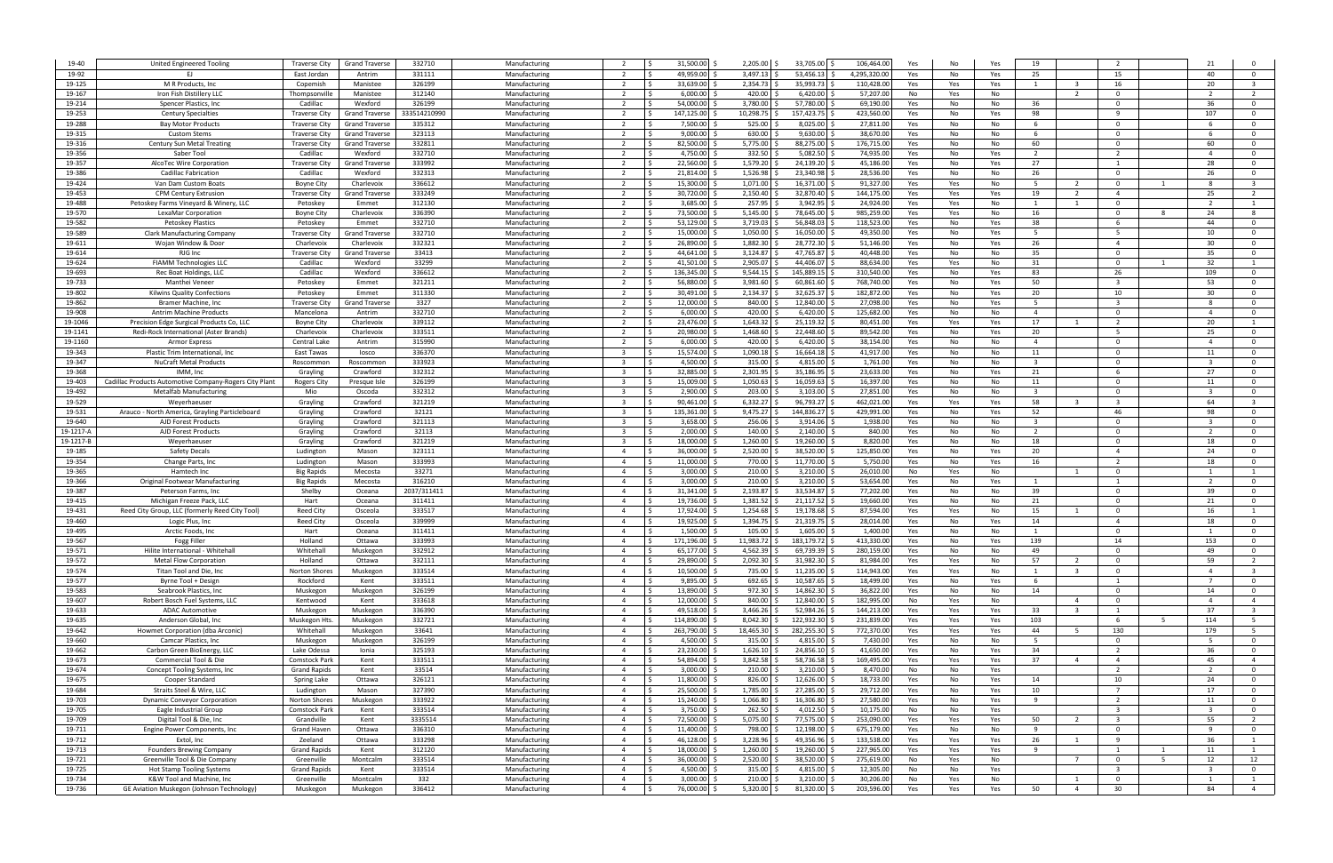| 19-40            | United Engineered Tooling                               | <b>Traverse City</b>   | <b>Grand Traverse</b> | 332710        | Manufacturing                  |                         | 31.500.00           | 2,205.00 \$             | 33,705.00                     | 106,464.00              | Yes<br>No               | Yes | 19                      |                         |                |   |                |                         |
|------------------|---------------------------------------------------------|------------------------|-----------------------|---------------|--------------------------------|-------------------------|---------------------|-------------------------|-------------------------------|-------------------------|-------------------------|-----|-------------------------|-------------------------|----------------|---|----------------|-------------------------|
| 19-92            | F1.                                                     | East Jordan            | Antrim                | 331111        | Manufacturing                  | 2                       | 49.959.00           | 3.497.13                | 53.456.13                     | 4,295,320.00            | Yes<br>No               | Yes | 25                      |                         | 15             |   | 40             | $\Omega$                |
| 19-125           | M R Products, Inc                                       | Copemish               | Manistee              | 326199        | Manufacturing                  | 2                       | 33.639.00 S         | 2,354.73                | 35,993.73                     | 110,428.0               | Yes<br>Yes              | Yes | $\overline{1}$          | - 3                     | 16             |   | 20             | - 3                     |
| 19-167           | Iron Fish Distillery LLC                                | Thompsonville          | Manistee              | 312140        | Manufacturing                  | $\overline{2}$          | 6.000.00            | 420.00                  | 6,420.00                      | 57,207.0                | No<br>Yes               | No  |                         | 2                       | $\Omega$       |   | $\overline{2}$ | 2                       |
| 19-214           | Spencer Plastics, Inc.                                  | Cadillac               | Wexford               | 326199        | Manufacturing                  | 2                       | 54,000,00 S         | 3,780.00                | 57,780.00                     | 69,190.0                | Yes<br>No               | No  | 36                      |                         | $\Omega$       |   | 36             | $\overline{\mathbf{0}}$ |
| 19-253           | <b>Century Specialties</b>                              | Traverse City          | <b>Grand Traverse</b> | 333514210990  | Manufacturing                  | 2                       | 147,125.00          | 10,298.75               | 157,423.75                    | 423,560.0               | Yes<br>No               | Yes | 98                      |                         | $\mathbf{q}$   |   | 107            | $\mathbf{0}$            |
|                  |                                                         |                        |                       |               |                                | $\overline{2}$          |                     |                         |                               |                         |                         |     | - 6                     |                         | $\Omega$       |   |                |                         |
| 19-288           | <b>Bay Motor Products</b>                               | Traverse City          | <b>Grand Traverse</b> | 335312        | Manufacturing                  |                         | 7,500.00            | 525.00                  | 8,025.00                      | 27,811.0                | Yes<br>No               | No  |                         |                         |                |   |                | $\overline{\mathbf{0}}$ |
| 19-315           | <b>Custom Stems</b>                                     | Traverse City          | <b>Grand Traverse</b> | 323113        | Manufacturing                  | $\overline{2}$          | 9,000.00            | 630.00                  | 9,630.00                      | 38,670.0                | Yes<br>No               | No  | 6                       |                         | $\Omega$       |   |                | $\overline{\mathbf{0}}$ |
| 19-316           | Century Sun Metal Treating                              | Traverse City          | <b>Grand Traverse</b> | 332811        | Manufacturing                  | $\overline{2}$          | 82,500.00           | 5,775.00                | 88,275.00                     | 176,715.0               | Yes<br>No               | No  | 60                      |                         | $\Omega$       |   | 60             | $\overline{0}$          |
| 19-356           | Saber Tool                                              | Cadillac               | Wexford               | 332710        | Manufacturing                  | $\overline{2}$          | 4,750.00            | 332.50                  | 5,082.50                      | 74,935.0                | Yes<br>No               | Yes | $\overline{2}$          |                         | $\overline{2}$ |   |                | $\overline{0}$          |
| 19-357           | AlcoTec Wire Corporation                                | Traverse City          | <b>Grand Travers</b>  | 333992        | Manufacturing                  | $\overline{2}$          | 22,560.00           | 1,579.20                | 24,139.20                     | 45,186.0                | Yes<br>No               | Yes | 27                      |                         | 1              |   | 28             | $\overline{0}$          |
| 19-386           | Cadillac Fabrication                                    | Cadillac               | Wexford               | 332313        | Manufacturing                  | $\overline{2}$          | 21.814.00           | 1,526.98                | 23,340.98                     | 28,536.0                | Yes<br>No               | No  | 26                      |                         | $\Omega$       |   | 26             | $\overline{0}$          |
| 19-424           | Van Dam Custom Boats                                    | <b>Boyne City</b>      | Charlevoix            | 336612        | Manufacturing                  | $\overline{2}$          | 15,300.00           | 1,071.00                | 16,371.00                     | 91,327.0                | Yes<br>Yes              | No  | - 5                     |                         | $\Omega$       |   |                | $\overline{3}$          |
| 19-453           | <b>CPM Century Extrusion</b>                            | Traverse City          | <b>Grand Traverse</b> | 333249        | Manufacturing                  | $\overline{2}$          | 30,720.00           | 2,150.40                | 32,870.40                     | 144,175.0               | Yes<br>Yes              | Yes | 19                      | - 2                     | $\overline{a}$ |   | 25             | $\overline{2}$          |
| 19-488           | Petoskey Farms Vineyard & Winery, LLC                   | Petoskey               | Emmet                 | 312130        | Manufacturing                  |                         | 3.685.00            | 257.95                  | 3,942.95                      | 24,924.0                | Yes<br>Yes              | No  | $\overline{1}$          |                         | $\Omega$       |   |                |                         |
| 19-570           | LexaMar Corporation                                     | Boyne City             | Charlevoix            | 336390        | Manufacturing                  | -2                      | 73.500.00           | 5,145.00                | 78,645.00                     | 985,259.0               | Yes<br>Yes              | No  | 16                      |                         | $\Omega$       |   | 24             | -8                      |
|                  |                                                         |                        |                       |               |                                |                         |                     |                         |                               |                         |                         |     |                         |                         | -6             |   | 44             | $\Omega$                |
| 19-582           | <b>Petoskey Plastics</b>                                | Petoskey               | Emmet                 | 332710        | Manufacturing                  |                         | 53,129.00           | 3,719.03                | 56,848.03                     | 118,523.0               | Yes<br>No               | Yes | 38                      |                         |                |   |                |                         |
| 19-589           | <b>Clark Manufacturing Company</b>                      | Traverse City          | <b>Grand Traverse</b> | 332710        | Manufacturing                  |                         | 15,000.00           | 1,050.00                | 16,050.00                     | 49,350.0                | Yes<br>No               | Yes | -5                      |                         | 5              |   | 10             | $\overline{0}$          |
| 19-611           | Wojan Window & Door                                     | Charlevoix             | Charlevoix            | 332321        | Manufacturing                  |                         | 26,890.00           | 1,882.30                | 28,772.30                     | 51,146.0                | Yes<br>No               | Yes | 26                      |                         | $\overline{4}$ |   | 30             | $\overline{0}$          |
| 19-614           | RJG Inc                                                 | <b>Traverse City</b>   | <b>Grand Traverse</b> | 33413         | Manufacturing                  | $\overline{2}$          | 44,641.00 \$        | 3,124.87                | 47,765.87                     | 40,448.0                | Yes<br>No               | No  | 35                      |                         | $\Omega$       |   | 35             | $\overline{\mathbf{0}}$ |
| 19-624           | FIAMM Technologies LLC                                  | Cadillac               | Wexford               | 33299         | Manufacturing                  | $\overline{2}$          | 41,501.00           | 2,905.07                | 44,406.07                     | 88,634.0                | Yes<br>Yes              | No  | 31                      |                         | $\Omega$       |   | 32             | $\overline{1}$          |
| 19-693           | Rec Boat Holdings, LLC                                  | Cadillac               | Wexford               | 336612        | Manufacturing                  |                         | 136,345.00 \$       | 9,544.15                | 145,889.15                    | 310,540.0               | Yes<br>No               | Yes | 83                      |                         | 26             |   | 109            | $\overline{0}$          |
| 19-733           | Manthei Veneer                                          | Petoskey               | Emmet                 | 321211        | Manufacturing                  | 2                       | 56,880.00           | 3,981.60                | 60,861.60                     | 768,740.0               | Yes<br>No               | Yes | 50                      |                         | $\overline{3}$ |   | 53             | $\overline{0}$          |
| 19-802           | <b>Kilwins Quality Confections</b>                      | Petoskey               | Emmet                 | 311330        | Manufacturing                  | $\overline{2}$          | 30.491.00 S         | 2,134.37                | 32,625.37                     | 182,872.0               | Yes<br>No               | Yes | 20                      |                         | 10             |   | 30             | $\overline{0}$          |
| 19-862           | Bramer Machine, Inc.                                    | Traverse City          | <b>Grand Traverse</b> | 3327          | Manufacturing                  | $\overline{2}$          | 12.000.00           | 840.00                  | 12,840.00                     | 27,098.0                | Yes<br>No               | Yes | - 5                     |                         | $\overline{3}$ |   |                | $\overline{0}$          |
| 19-908           | Antrim Machine Products                                 | Mancelona              | Antrim                | 332710        | Manufacturing                  | 2                       | $6,000.00$ \$       | 420.00                  | 6,420.00                      | 125,682.0               | Yes<br>No               | No  | $\overline{4}$          |                         | $\Omega$       |   | $\overline{a}$ | $\overline{\mathbf{0}}$ |
|                  |                                                         |                        |                       |               |                                |                         |                     | 1.643.32                |                               |                         |                         |     |                         |                         | $\overline{2}$ |   |                |                         |
| 19-1046          | Precision Edge Surgical Products Co, LLC                | <b>Boyne City</b>      | Charlevoix            | 339112        | Manufacturing                  | 2                       | 23.476.00           |                         | 25,119.32                     | 80,451.0                | Yes<br>Yes              | Yes | 17                      |                         |                |   | 20             | -1                      |
| 19-1141          | Redi-Rock International (Aster Brands)                  | Charlevoix             | Charlevoix            | 333511        | Manufacturing                  | 2                       | 20.980.00 \$        | 1.468.60                | 22,448.60                     | 89,542.0                | Yes<br>No               | Yes | 20                      |                         | - 5            |   | 25             | $\mathbf{0}$            |
| 19-1160          | <b>Armor Express</b>                                    | Central Lake           | Antrim                | 315990        | Manufacturing                  | 2                       | 6.000.00            | 420.00                  | 6,420.00                      | 38,154.0                | Yes<br>No               | No  | $\overline{4}$          |                         | $\Omega$       |   | $\overline{a}$ | $\mathbf{0}$            |
| 19-343           | Plastic Trim International, Inc.                        | East Tawas             | losco                 | 336370        | Manufacturing                  | ્વ                      | 15,574.00 \$        | 1,090.18                | 16,664.18                     | 41,917.0                | Yes<br>No               | No  | 11                      |                         | $\Omega$       |   | 11             | $\overline{\mathbf{0}}$ |
| 19-347           | <b>NuCraft Metal Products</b>                           | Roscommor              | Roscommor             | 333923        | Manufacturing                  | $\mathbf{R}$            | 4,500.00            | 315.00                  | 4,815.00                      | 1,761.0                 | Yes<br>No               | No  | $\overline{\mathbf{3}}$ |                         | $\Omega$       |   |                | $\mathbf{0}$            |
| 19-368           | IMM, In                                                 | Grayling               | Crawford              | 332312        | Manufacturing                  | $\overline{\mathbf{3}}$ | 32,885.00           | 2,301.95                | 35,186.95                     | 23,633.0                | Yes<br>No               | Yes | 21                      |                         | 6              |   | 27             | $\overline{\mathbf{0}}$ |
| 19-403           | Cadillac Products Automotive Company-Rogers City Plant  | <b>Rogers City</b>     | Presque Isle          | 326199        | Manufacturing                  | $\overline{3}$          | 15,009.00           | 1,050.63                | 16,059.63                     | 16,397.0                | Yes<br>No               | No  | 11                      |                         | $\Omega$       |   | 11             | $\overline{\mathbf{0}}$ |
| 19-492           | Metalfab Manufacturing                                  | Mio                    | Oscoda                | 332312        | Manufacturing                  |                         | 2,900.00            | 203.00                  | 3,103.00                      | 27,851.0                | Yes<br>No               | No  | $\overline{\mathbf{3}}$ |                         | $\Omega$       |   |                | $\overline{\mathbf{0}}$ |
| 19-529           | Weyerhaeuse                                             | Grayling               | Crawford              | 321219        | Manufacturing                  | $\overline{\mathbf{3}}$ | 90,461.00           | 6,332.27                | 96,793.27                     | 462,021.0               | Yes<br>Yes              | Yes | 58                      | $\overline{\mathbf{3}}$ | $\overline{3}$ |   | 64             | $\overline{\mathbf{3}}$ |
| 19-531           | Arauco - North America, Grayling Particleboard          | Grayling               | Crawford              | 32121         | Manufacturing                  |                         | 135,361.00          | 9,475.27                | 144,836.27                    | 429,991.0               | Yes<br>No               | Yes | 52                      |                         | 46             |   | 98             | $\overline{0}$          |
| 19-640           | AJD Forest Products                                     | Grayling               | Crawford              | 321113        | Manufacturing                  | $\overline{3}$          | 3,658.00            | 256.06                  | 3,914.06                      | 1,938.0                 | Yes<br>No               | No  | $\overline{3}$          |                         | $\Omega$       |   |                | $\overline{0}$          |
| 19-1217-A        |                                                         |                        |                       | 32113         |                                |                         | 2,000.00            | 140.00                  | 2,140.00                      | 840.0                   |                         |     | $\overline{2}$          |                         | $\Omega$       |   |                | $\Omega$                |
|                  | AJD Forest Products                                     | Grayling               | Crawford              |               | Manufacturing                  |                         |                     |                         |                               |                         | Yes<br>No               | No  |                         |                         |                |   |                |                         |
| 19-1217-B        | Weyerhaeuser                                            | Grayling               | Crawford              | 321219        | Manufacturing                  | - 3                     | 18,000.00           | 1,260.00                | 19,260.00                     | 8,820.0                 | Yes<br>No               | No  | 18                      |                         | $\Omega$       |   | 18             | $\Omega$                |
|                  |                                                         |                        |                       | 323111        | Manufacturing                  | $\overline{a}$          | 36.000.00           |                         | 38,520.00                     | 125,850.0               | Yes<br>No               | Yes | 20                      |                         | $\overline{a}$ |   | 24             | $\Omega$                |
| 19-185           | Safety Decals                                           | Ludington              | Mason                 |               |                                |                         |                     | 2,520.00                |                               |                         |                         |     |                         |                         |                |   |                |                         |
| 19-354           | Change Parts, Inc                                       | Ludington              | Mason                 | 333993        | Manufacturing                  | $\overline{a}$          | 11.000.00           | 770.00                  | 11,770.00                     | 5,750.0                 | Yes<br>No               | Yes | 16                      |                         | $\overline{2}$ |   | 18             | $\Omega$                |
| 19-365           | Hamtech Inc                                             | <b>Big Rapids</b>      | Mecosta               | 33271         | Manufacturing                  | $\overline{a}$          | 3,000.00            | 210.00                  | 3,210.00                      | 26,010.0                | No<br>Yes               | No  |                         |                         | $\Omega$       |   |                |                         |
| 19-366           | Original Footwear Manufacturing                         | <b>Big Rapids</b>      | Mecosta               | 316210        | Manufacturing                  | $\overline{a}$          | 3,000.00            | 210.00                  | 3,210.00                      | 53,654.0                | Yes<br>No               | Yes |                         |                         |                |   |                | $\overline{0}$          |
| 19-387           | Peterson Farms, Inc                                     | Shelby                 | Oceana                | 2037/311411   | Manufacturing                  | $\overline{a}$          | 31,341.00           | 2,193.87                | 33,534.87                     | 77,202.0                | Yes<br>No               | No  | 39                      |                         | $\Omega$       |   | 39             | $\overline{\mathbf{0}}$ |
| 19-415           | Michigan Freeze Pack, LLC                               | Hart                   | Oceana                | 311411        | Manufacturing                  | $\overline{a}$          | 19,736.00 \$        | 1,381.52                | 21,117.52                     | 19,660.0                | Yes<br>No               | No  | 21                      |                         | $\Omega$       |   | 21             | $\overline{\mathbf{0}}$ |
| 19-431           |                                                         | <b>Reed City</b>       | Osceola               | 333517        | Manufacturing                  | $\overline{4}$          | 17,924.00           | 1,254.68                | 19,178.68                     | 87,594.0                | Yes<br>Yes              | No  | 15                      |                         | $\Omega$       |   | 16             | 1                       |
| 19-460           | Reed City Group, LLC (formerly Reed City Tool)          | Reed City              | Osceola               | 339999        | Manufacturing                  | $\overline{a}$          | 19,925.00 \$        | 1,394.75                | 21,319.75                     | 28,014.0                | No                      | Yes | 14                      |                         | $\overline{a}$ |   | 18             | $\overline{0}$          |
|                  | Logic Plus, Inc                                         |                        |                       |               |                                | $\overline{4}$          |                     |                         |                               |                         | Yes                     |     | <sup>1</sup>            |                         | $\Omega$       |   |                | $\Omega$                |
| 19-495           | Arctic Foods, Inc                                       | Hart                   | Oceana                | 311411        | Manufacturing                  |                         | 1,500.00            | 105.00                  | 1,605.00                      | 1,400.0                 | Yes<br>No               | No  |                         |                         |                |   |                |                         |
| 19-567           | <b>Fogg Filler</b>                                      | Holland                | Ottawa                | 333993        | Manufacturing                  | $\overline{4}$          | 171.196.00 \$       | 11.983.72               | 183.179.72 \$                 | 413.330.00              | Yes<br>No               | Yes | 139                     |                         | 14             |   | 153            | $\mathbf 0$             |
| 19-571           | Hilite International - Whitehall                        | Whitehall              | Muskegon              | 332912        | Manufacturing                  | $\overline{4}$          | 65,177.00 \$<br>- Ś | 4,562.39 \$             | 69,739.39 \$                  | 280,159.00              | Yes<br>No               | No  | 49                      |                         | $\Omega$       |   | 49             | $\mathbf{0}$            |
| 19-572           | <b>Metal Flow Corporation</b>                           | Holland                | Ottawa                | 332111        | Manufacturing                  | $\overline{4}$          | 29,890.00 \$        | 2,092.30                | 31,982.30 \$                  | 81,984.00               | Yes<br>Yes              | No  | 57                      | 2                       | $\Omega$       |   | 59             | $\overline{2}$          |
| 19-574           | Titan Tool and Die, Inc.                                | Norton Shores          | Muskegon              | 333514        | Manufacturing                  | $\overline{4}$          | 10,500.00 \$        | 735.00                  | $11,235.00$ \$                | 114,943.0               | Yes<br>Yes              | No  | 1                       | $\overline{\mathbf{3}}$ | $\mathbf{0}$   |   | $\overline{4}$ | $\overline{\mathbf{3}}$ |
| 19-577           | Byrne Tool + Design                                     | Rockford               | Kent                  | 333511        | Manufacturing                  | $\overline{4}$          | $9,895.00$ \$       | 692.65                  | 10,587.65 \$                  | 18,499.0                | Yes<br>No               | Yes | - 6                     |                         | 1              |   | $\overline{7}$ | $\overline{0}$          |
| 19-583           | Seabrook Plastics, Inc.                                 | Muskegon               | Muskegor              | 326199        | Manufacturing                  | $\overline{4}$          | 13,890.00 \$        | 972.30                  | 14,862.30                     | 36,822.0                | Yes<br>No               | No  | 14                      |                         | $\Omega$       |   | 14             | $\overline{\mathbf{0}}$ |
| 19-607           | Robert Bosch Fuel Systems, LLC                          | Kentwood               | Kent                  | 333618        | Manufacturing                  | $\overline{4}$          | 12,000.00 \$        | 840.00                  | 12,840.00                     | 182,995.0               | No<br>Yes               | No  |                         | $\overline{4}$          | $\Omega$       |   | $\overline{a}$ | $\overline{4}$          |
| 19-633           | <b>ADAC Automotive</b>                                  | Muskegon               | Muskegon              | 336390        | Manufacturing                  | $\overline{4}$          | 49,518.00 \$        | 3,466.26                | 52,984.26                     | 144,213.0               | Yes<br>Yes              | Yes | 33                      | $\mathbf{R}$            | 1              |   | 37             | $\overline{\mathbf{3}}$ |
| 19-635           | Anderson Global, Inc                                    | Muskegon Hts.          | Muskegon              | 332721        | Manufacturing                  | $\overline{4}$          | 114,890.00 \$       | 8,042.30                | 122,932.30                    | 231,839.0               | Yes<br>Yes              | Yes | 103                     |                         | 6              | 5 | 114            | $5^{\circ}$             |
| 19-642           | Howmet Corporation (dba Arconic)                        | Whitehall              | Muskegon              | 33641         | Manufacturing                  | $\overline{4}$          | 263,790.00 \$       | 18,465.30               | 282,255.30                    | 772,370.0               | Yes<br>Yes              | Yes | 44                      | 5                       | 130            |   | 179            | 5 <sub>5</sub>          |
| 19-660           | Camcar Plastics, Inc.                                   | Muskegon               | Muskegon              | 326199        | Manufacturing                  | $\overline{4}$          | 4,500.00 \$         | 315.00                  | 4,815.00                      | 7,430.0                 | Yes<br>No               | No  | 5                       |                         | $\Omega$       |   | - 5            | $\overline{0}$          |
| 19-662           | Carbon Green BioEnergy, LLC                             | Lake Odessa            | Ionia                 | 325193        | Manufacturing                  | $\overline{4}$          | 23,230.00 \$        | 1,626.10                | 24,856.10                     | 41,650.0                | Yes<br>No               | Yes | 34                      |                         | $\overline{2}$ |   | 36             | $\overline{0}$          |
|                  |                                                         |                        | Kent                  |               |                                | $\overline{4}$          |                     |                         |                               |                         |                         |     |                         | $\overline{4}$          | $\overline{4}$ |   | 45             | $\overline{4}$          |
| 19-673           | Commercial Tool & Die                                   | Comstock Park          |                       | 333511        | Manufacturing                  |                         | 54,894.00 \$        | 3,842.58                | 58,736.58                     | 169,495.0               | Yes<br>Yes              | Yes | 37                      |                         |                |   | $\overline{2}$ |                         |
| 19-674           | Concept Tooling Systems, Inc.                           | <b>Grand Rapids</b>    | Kent                  | 33514         | Manufacturing                  | $\overline{4}$          | $3,000.00$ \$       | 210.00                  | $3,210.00$ \$                 | 8,470.0                 | No<br>No                | Yes |                         |                         | $\overline{2}$ |   |                | $\overline{0}$          |
| 19-675           | Cooper Standard                                         | Spring Lake            | Ottawa                | 326121        | Manufacturing                  | $\overline{4}$          | 11,800.00 \$        | 826.00                  | 12,626.00                     | 18,733.0                | Yes<br>No               | Yes | 14                      |                         | 10             |   | 24             | $\overline{0}$          |
| 19-684           | Straits Steel & Wire, LLC                               | Ludington              | Mason                 | 327390        | Manufacturing                  | $\overline{4}$          | 25,500.00 \$        | 1,785.00                | 27,285.00                     | 29,712.0                | Yes<br>No               | Yes | 10                      |                         |                |   | 17             | $\overline{\mathbf{0}}$ |
| 19-703           | <b>Dynamic Conveyor Corporation</b>                     | Norton Shores          | Muskegon              | 333922        | Manufacturing                  | $\overline{4}$          | 15,240.00 \$        | 1,066.80                | 16,306.80                     | 27,580.0                | Yes<br>No               | Yes | 9                       |                         | $\overline{2}$ |   | 11             | $\overline{0}$          |
| 19-705           | Eagle Industrial Group                                  | Comstock Park          | Kent                  | 333514        | Manufacturing                  | $\overline{4}$          | $3,750.00$ \$       | 262.50                  | 4,012.50 \$                   | 10,175.0                | No<br>No                | Yes |                         |                         |                |   |                | $\overline{0}$          |
| 19-709           | Digital Tool & Die, Inc                                 | Grandville             | Kent                  | 3335514       | Manufacturing                  | $\overline{4}$          | 72,500.00 \$        | 5,075.00                | 77,575.00 \$                  | 253,090.0               | Yes<br>Yes              | Yes | 50                      | 2                       | $\overline{3}$ |   | 55             | $\overline{2}$          |
| 19-711           | Engine Power Components, Inc.                           | Grand Haven            | Ottawa                | 336310        | Manufacturing                  | $\overline{4}$          | 11,400.00 \$        | 798.00                  | $12,198.00$ \$                | 675,179.0               | Yes<br>No               | No  | -9                      |                         | $\Omega$       |   |                | $\overline{0}$          |
| 19-712           | Extol, Inc                                              | Zeeland                | Ottawa                | 333298        | Manufacturing                  | $\overline{4}$          | 46,128.00 \$        | 3,228.96                | 49,356.96 \$                  | 133,538.0               | Yes<br>Yes              | Yes | 26                      |                         | -9             |   | 36             | $\overline{1}$          |
| 19-713           | <b>Founders Brewing Company</b>                         | <b>Grand Rapids</b>    | Kent                  | 312120        | Manufacturing                  | $\overline{4}$          | 18,000.00 \$        | 1,260.00                | 19,260.00 \$                  | 227,965.00              | Yes<br>Yes              | Yes | - 9                     |                         | 1              | 1 | 11             | $\mathbf{1}$            |
| 19-721           | Greenville Tool & Die Company                           | Greenville             | Montcalm              | 333514        | Manufacturing                  | $\overline{4}$          | 36,000.00 \$        | 2,520.00                | 38,520.00 \$                  | 275,619.00              | No<br>Yes               | No  |                         | $\overline{7}$          | $\Omega$       | 5 | 12             | 12                      |
|                  |                                                         |                        | Kent                  | 333514        | Manufacturing                  | $\overline{4}$          | $4,500.00$ \$       |                         |                               |                         | No<br>No                | Yes |                         |                         | -3             |   |                | $\overline{0}$          |
| 19-725           | Hot Stamp Tooling Systems<br>K&W Tool and Machine, Inc. | <b>Grand Rapids</b>    | Montcalm              |               |                                | $\overline{4}$          | 3,000.00 \$         | 315.00                  | $4,815.00$ \$                 | 12,305.00               |                         | No  |                         | 1                       | $\mathbf 0$    |   | - 1            | $\mathbf{1}$            |
| 19-734<br>19-736 | GE Aviation Muskegon (Johnson Technology)               | Greenville<br>Muskegon | Muskegon              | 332<br>336412 | Manufacturing<br>Manufacturing | $\overline{4}$          | 76,000.00 \$        | 210.00<br>$5,320.00$ \$ | $3,210.00$ \$<br>81,320.00 \$ | 30,206.00<br>203,596.00 | No<br>Yes<br>Yes<br>Yes | Yes | 50                      | $\overline{4}$          | 30             |   | 84             | $\overline{4}$          |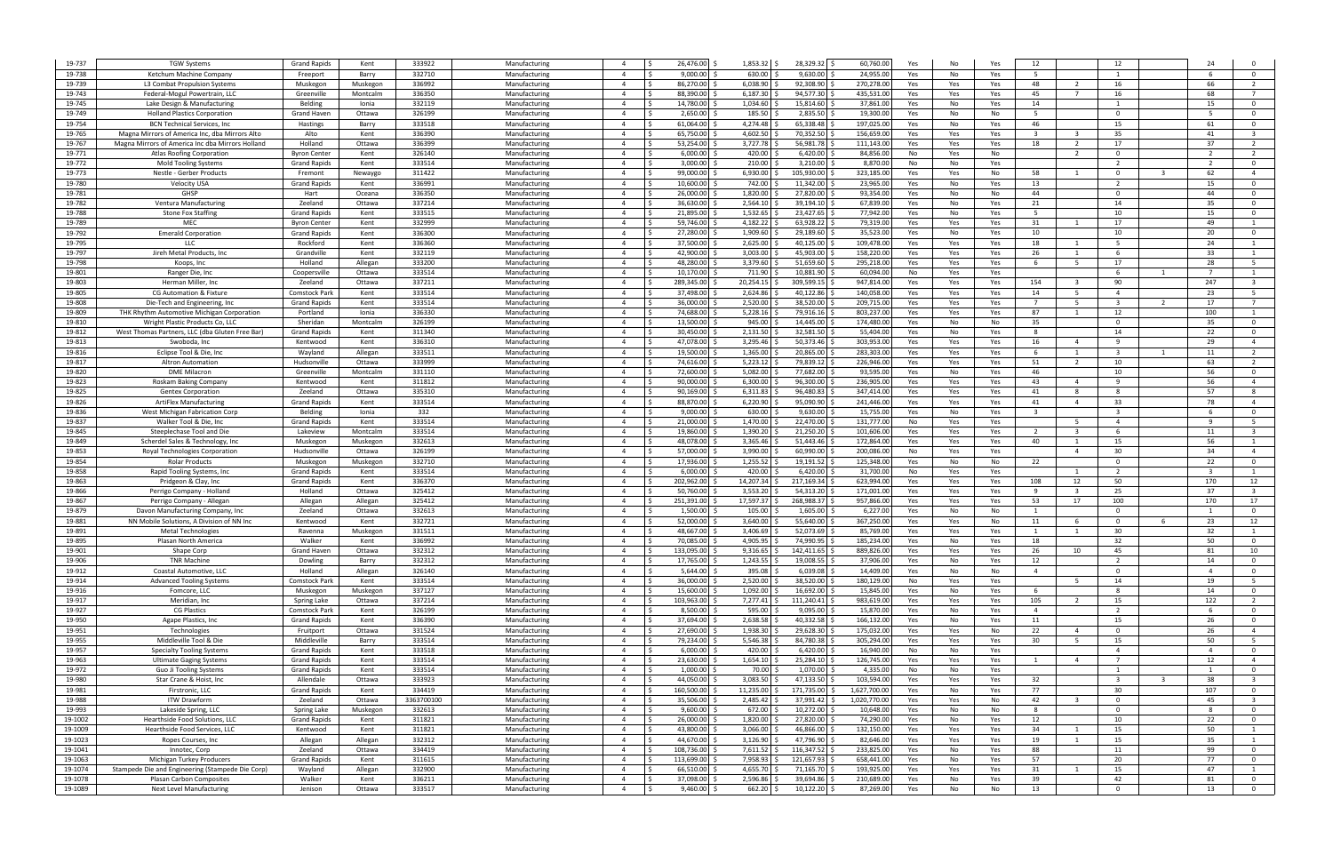| 19-737           | <b>TGW Systems</b>                                  | <b>Grand Rapids</b>              | Kent             | 333922           | Manufacturing                  |                                  | 26,476.00                | 1,853.32 \$           | 28,329.32 \$               | 60,760.00                 | Yes<br>No              | Yes        | 12                      |                         | 12                      |    |                          |                         |
|------------------|-----------------------------------------------------|----------------------------------|------------------|------------------|--------------------------------|----------------------------------|--------------------------|-----------------------|----------------------------|---------------------------|------------------------|------------|-------------------------|-------------------------|-------------------------|----|--------------------------|-------------------------|
| 19-738           | Ketchum Machine Company                             | Freeport                         | Barry            | 332710           | Manufacturing                  | $\overline{4}$                   | 9.000.00                 | 630.00                | 9,630.00                   | 24,955.0                  | Yes<br>No              | Yes        | - 5                     |                         | $\overline{1}$          |    |                          | $\Omega$                |
| 19-739           | L3 Combat Propulsion Systems                        | Muskegon                         | Muskegor         | 336992           | Manufacturing                  | $\overline{4}$                   | 86,270.00                | 6,038.90              | 92,308.90                  | 270,278.0                 | Yes<br>Yes             | Yes        | 48                      | $\overline{2}$          | 16                      |    | 66                       | 2                       |
| 19-743           | Federal-Mogul Powertrain, LLC                       | Greenville                       | Montcaln         | 336350           | Manufacturing                  | $\overline{4}$                   | 88,390.00                | 6,187.30              | 94,577.30                  | 435,531.0                 | Yes<br>Yes             | Yes        | 45                      | $\overline{7}$          | 16                      |    | 68                       | $\overline{7}$          |
| 19-745           | Lake Design & Manufacturing                         | Belding                          | Ionia            | 332119           | Manufacturing                  | $\overline{4}$                   | 14,780.00 \$             | 1,034.60              | 15,814.60                  | 37,861.0                  | Yes<br>No              | Yes        | 14                      |                         | 1                       |    | 15                       | $\overline{\mathbf{0}}$ |
| 19-749           | <b>Holland Plastics Corporation</b>                 | <b>Grand Haver</b>               | Ottawa           | 326199           | Manufacturing                  | $\overline{4}$                   | 2,650.00                 | 185.50                | 2,835.50                   | 19,300.0                  | Yes<br>No              | No         | - 5                     |                         | $\Omega$                |    |                          | $\overline{0}$          |
| 19-754           | <b>BCN Technical Services, Inc.</b>                 | Hastings                         | Barry            | 333518           | Manufacturing                  | $\overline{a}$                   | 61,064.00                | 4,274.48              | 65,338.48                  | 197,025.0                 | Yes<br>No              | Yes        | 46                      |                         | 15                      |    | 61                       | $\overline{0}$          |
| 19-765           | Magna Mirrors of America Inc, dba Mirrors Alto      | Alto                             | Kent             | 336390           | Manufacturing                  | $\overline{4}$                   | 65,750.00                | 4,602.50              | 70,352.50                  | 156,659.0                 | Yes<br>Yes             | Yes        | $\overline{\mathbf{3}}$ | - 3                     | 35                      |    | 41                       | $\overline{\mathbf{3}}$ |
| 19-767           | Magna Mirrors of America Inc dba Mirrors Holland    | Holland                          | Ottawa           | 336399           | Manufacturing                  | $\overline{a}$                   | 53,254.00                | 3,727.78              | 56,981.78                  | 111,143.0                 | Yes<br>Yes             | Yes        | 18                      | $\overline{2}$          | 17                      |    | 37                       | $\overline{2}$          |
| 19-771           | Atlas Roofing Corporation                           | <b>Byron Center</b>              | Kent             | 326140           | Manufacturing                  | $\overline{4}$                   | 6,000.00                 | 420.00                | 6,420.00                   | 84,856.0                  | No<br>Yes              | No         |                         | $\overline{2}$          | $\Omega$                |    | $\overline{\phantom{a}}$ | $\overline{2}$          |
| 19-772           | Mold Tooling Systems                                | <b>Grand Rapids</b>              | Kent             | 333514           | Manufacturing                  | $\overline{a}$                   | 3,000.00                 | 210.00                | 3,210.00                   | 8,870.0                   | No<br>No               | Yes        |                         |                         | $\overline{2}$          |    |                          | $\Omega$                |
| 19-773           | Nestle - Gerber Products                            | Fremont                          | Newaygo          | 311422           | Manufacturing                  | $\overline{4}$                   | 99.000.00                | 6,930.00              | 105,930.00                 | 323,185.0                 | Yes<br>Yes             | No         | 58                      |                         | $\Omega$                |    | 62                       | $\overline{4}$          |
| 19-780           | <b>Velocity USA</b><br>GHSP                         | <b>Grand Rapids</b>              | Kent             | 336991<br>336350 | Manufacturing                  | $\overline{a}$<br>$\overline{a}$ | 10.600.00<br>26,000.00   | 742.00<br>1,820.00    | 11,342.00                  | 23,965.0                  | Yes<br>No              | Yes        | 13                      |                         | 2<br>$\Omega$           |    | 15<br>44                 | $\Omega$<br>$\Omega$    |
| 19-781<br>19-782 |                                                     | Hart<br>Zeeland                  | Oceana           |                  | Manufacturing                  | $\overline{a}$                   | 36,630.00                | 2,564.10              | 27,820.00                  | 93,354.0                  | Yes<br>No              | No         | 44                      |                         | 14                      |    | 35                       | $\overline{0}$          |
| 19-788           | Ventura Manufacturing<br>Stone Fox Staffing         | <b>Grand Rapids</b>              | Ottawa<br>Kent   | 337214<br>333515 | Manufacturing<br>Manufacturing | $\overline{4}$                   | 21,895.00 \$             | 1,532.65              | 39,194.10<br>23,427.65     | 67,839.0<br>77,942.0      | Yes<br>No<br>Yes<br>No | Yes<br>Yes | 21                      |                         | 10                      |    | 15                       | $\overline{\mathbf{0}}$ |
| 19-789           | MEC                                                 | <b>Byron Center</b>              | Kent             | 332999           | Manufacturing                  | $\overline{4}$                   | 59,746.00                | 4,182.22              | 63,928.22                  | 79,319.0                  | Yes<br>Yes             | Yes        | 31                      |                         | 17                      |    | 49                       | -1                      |
| 19-792           | <b>Emerald Corporation</b>                          | <b>Grand Rapids</b>              | Kent             | 336300           | Manufacturing                  | $\overline{4}$                   | 27,280.00 \$             | 1,909.60              | 29,189.60                  | 35,523.0                  | Yes<br>No              | Yes        | 10                      |                         | 10                      |    | 20                       | $\overline{0}$          |
| 19-795           | LLC                                                 | Rockford                         | Kent             | 336360           | Manufacturing                  | $\overline{4}$                   | 37,500.00                | 2,625.00              | 40,125.00                  | 109,478.0                 | Yes<br>Yes             | Yes        | 18                      |                         | - 5                     |    | 24                       | $\overline{1}$          |
| 19-797           | Jireh Metal Products, Inc                           | Grandville                       | Kent             | 332119           | Manufacturing                  | $\overline{a}$                   | 42,900.00                | 3,003.00              | 45,903.00                  | 158,220.0                 | Yes<br>Yes             | Yes        | 26                      |                         |                         |    | 33                       | $\overline{1}$          |
| 19-798           | Koops, Inc                                          | Holland                          | Allegan          | 333200           | Manufacturing                  | $\overline{4}$                   | 48.280.00                | 3,379.60              | 51,659.60                  | 295,218.0                 | Yes<br>Yes             | Yes        | - 6                     | -5                      | 17                      |    | 28                       | - 5                     |
| 19-801           | Ranger Die, Inc                                     | Coopersville                     | Ottawa           | 333514           | Manufacturing                  | $\overline{a}$                   | 10.170.00                | 711.90                | 10,881.90                  | 60,094.0                  | No<br>Yes              | Yes        |                         |                         | -6                      |    |                          | $\overline{1}$          |
| 19-803           | Herman Miller, Inc                                  | Zeeland                          | Ottawa           | 337211           | Manufacturing                  | $\overline{4}$                   | 289,345.00               | 20,254.15             | 309,599.15                 | 947,814.0                 | Yes<br>Yes             | Yes        | 154                     | - 3                     | 90                      |    | 247                      | $\overline{\mathbf{3}}$ |
| 19-805           | <b>CG Automation &amp; Fixture</b>                  | Comstock Par                     | Kent             | 333514           | Manufacturing                  | $\overline{a}$                   | 37.498.00                | 2,624.86              | 40,122.86                  | 140,058.0                 | Yes<br>Yes             | Yes        | 14                      | - 5                     | $\overline{a}$          |    | 23                       | - 5                     |
| 19-808           | Die-Tech and Engineering, Inc.                      | <b>Grand Rapids</b>              | Kent             | 333514           | Manufacturing                  | $\overline{4}$                   | 36.000.00                | 2,520.00              | 38,520.00                  | 209,715.0                 | Yes<br>Yes             | Yes        | $\overline{7}$          | -5                      | $\overline{\mathbf{3}}$ | 2  | 17                       | $\overline{7}$          |
| 19-809           | THK Rhythm Automotive Michigan Corporation          | Portland                         | Ionia            | 336330           | Manufacturing                  | $\overline{a}$                   | 74,688.00                | 5,228.16              | 79,916.16                  | 803,237.0                 | Yes<br>Yes             | Yes        | 87                      |                         | 12                      |    | 100                      |                         |
| 19-810           | Wright Plastic Products Co, LLC                     | Sheridan                         | Montcaln         | 326199           | Manufacturing                  | $\overline{4}$                   | 13,500.00                | 945.00                | 14,445.00                  | 174,480.0                 | Yes<br>No              | No         | 35                      |                         | $\Omega$                |    | 35                       | $\overline{0}$          |
| 19-812           | West Thomas Partners, LLC (dba Gluten Free Bar)     | <b>Grand Rapids</b>              | Kent             | 311340           | Manufacturing                  | $\overline{a}$                   | 30,450.00                | 2,131.50              | 32,581.50                  | 55,404.0                  | Yes<br>No              | Yes        | - 8                     |                         | 14                      |    | 22                       | $\overline{\mathbf{0}}$ |
| 19-813           | Swoboda, Inc                                        | Kentwood                         | Kent             | 336310           | Manufacturing                  | $\overline{4}$                   | 47.078.00                | 3,295.46              | 50,373.46                  | 303,953.0                 | Yes<br>Yes             | Yes        | 16                      | $\overline{4}$          | $\mathbf{q}$            |    | 29                       | $\overline{4}$          |
| 19-816           | Eclipse Tool & Die, Inc                             | Wayland                          | Allegan          | 333511           | Manufacturing                  | $\overline{4}$                   | 19,500.00                | 1,365.00              | 20,865.00                  | 283,303.0                 | Yes<br>Yes             | Yes        | 6                       | 1                       | -3                      |    | 11                       | $\overline{2}$          |
| 19-817           | Altron Automation                                   | Hudsonville                      | Ottawa           | 333999           | Manufacturing                  | $\overline{4}$                   | 74,616.00                | 5,223.12              | 79,839.12                  | 226,946.0                 | Yes<br>Yes             | Yes        | 51                      | $\overline{2}$          | 10                      |    | 63                       | $\overline{2}$          |
| 19-820           | <b>DME Milacron</b>                                 | Greenville                       | Montcaln         | 331110           | Manufacturing                  | $\overline{4}$                   | 72,600.00                | 5,082.00              | 77,682.00                  | 93,595.0                  | Yes<br>No              | Yes        | 46                      |                         | 10                      |    | 56                       | $\overline{0}$          |
| 19-823           | Roskam Baking Company                               | Kentwood                         | Kent             | 311812           | Manufacturing                  | $\overline{4}$                   | 90,000.00                | 6,300.00              | 96,300.00                  | 236,905.0                 | Yes<br>Yes             | Yes        | 43                      | $\overline{4}$          | -9                      |    | 56                       | $\overline{4}$          |
| 19-825           | <b>Gentex Corporation</b>                           | Zeeland                          | Ottawa           | 335310           | Manufacturing                  | $\overline{4}$                   | 90,169.00                | 6,311.83              | 96,480.83                  | 347,414.0                 | Yes<br>Yes             | Yes        | 41                      | 8                       | -8                      |    | 57                       | 8                       |
| 19-826           | <b>ArtiFlex Manufacturing</b>                       | Grand Rapids                     | Kent             | 333514           | Manufacturing                  | $\overline{4}$                   | 88.870.00                | 6,220.90              | 95,090.90                  | 241,446.0                 | Yes<br>Yes             | Yes        | 41                      | $\overline{4}$          | 33                      |    | 78                       | $\overline{4}$          |
| 19-836           | West Michigan Fabrication Corp                      | Belding                          | Ionia            | 332              | Manufacturing                  | $\overline{a}$                   | 9,000.00                 | 630.00                | 9,630.00                   | 15,755.0                  | Yes<br>No              | Yes        | $\overline{\mathbf{3}}$ |                         | $\overline{3}$          |    |                          | $\Omega$                |
| 19-837           | Walker Tool & Die, Inc                              | <b>Grand Rapids</b>              | Kent             | 333514           | Manufacturing                  | $\overline{a}$                   | 21.000.00                | 1,470.00              | 22,470.00                  | 131,777.0                 | No<br>Yes              | Yes        |                         | - 5                     | $\overline{a}$          |    |                          | 5                       |
| 19-845           | Steeplechase Tool and Die                           | Lakeview                         | Montcalm         | 333514           | Manufacturing                  | $\overline{a}$                   | 19.860.00                | 1,390.20              | 21,250.20                  | 101,606.0                 | Yes<br>Yes             | Yes        |                         |                         |                         |    | 11                       |                         |
| 19-849           | Scherdel Sales & Technology, Inc                    | Muskegon                         | Muskegor         | 332613           | Manufacturing                  | $\overline{4}$                   | 48,078.00                | 3,365.46              | 51,443.46                  | 172,864.0                 | Yes<br>Yes             | Yes        | 40                      |                         | 15                      |    | 56                       | -1                      |
| 19-853           | Royal Technologies Corporation                      | Hudsonville                      | Ottawa           | 326199           | Manufacturing                  | $\overline{a}$<br>$\overline{a}$ | 57.000.00                | 3,990.00              | 60,990.00                  | 200,086.0                 | No<br>Yes              | Yes        |                         | $\overline{4}$          | 30<br>$\Omega$          |    | 34                       | $\overline{4}$          |
| 19-854<br>19-858 | <b>Rolar Products</b><br>Rapid Tooling Systems, Inc | Muskegon<br><b>Grand Rapids</b>  | Muskegon<br>Kent | 332710<br>333514 | Manufacturing<br>Manufacturing | $\overline{4}$                   | 17,936.00 \$<br>6,000.00 | 1,255.52<br>420.00    | 19,191.52 \$<br>6,420.00   | 125,348.0<br>31,700.0     | Yes<br>No<br>No        | No         | 22                      |                         | 2                       |    | 22                       | $\overline{0}$<br>- 1   |
| 19-863           |                                                     | <b>Grand Rapids</b>              | Kent             | 336370           | Manufacturing                  | $\overline{4}$                   | 202,962.00               | 14,207.34             | 217,169.34                 | 623,994.0                 | Yes<br>Yes<br>Yes      | Yes<br>Yes | 108                     | 12                      | 50                      |    | 170                      | 12                      |
| 19-866           | Pridgeon & Clay, Inc<br>Perrigo Company - Holland   | Holland                          | Ottawa           | 325412           | Manufacturing                  | $\overline{4}$                   | 50,760.00                | 3,553.20              | 54,313.20                  | 171,001.0                 | Yes<br>Yes             | Yes        | -9                      | $\overline{\mathbf{3}}$ | 25                      |    | 37                       | $\overline{\mathbf{3}}$ |
| 19-867           | Perrigo Company - Allegan                           | Allegan                          | Allegan          | 325412           | Manufacturing                  | $\overline{4}$                   | 251,391.00 \$            | 17,597.37             | 268,988.37                 | 957,866.0                 | Yes<br>Yes             | Yes        | 53                      | 17                      | 100                     |    | 170                      | 17                      |
| 19-879           | Davon Manufacturing Company, Inc                    | Zeeland                          | Ottawa           | 332613           | Manufacturing                  | $\overline{4}$                   | 1.500.00                 | 105.00                | 1,605.00                   | 6,227.0                   | Yes<br>No              | No         | 1                       |                         | $\Omega$                |    |                          | $\overline{0}$          |
| 19-881           | NN Mobile Solutions, A Division of NN Inc.          | Kentwood                         | Kent             | 332721           | Manufacturing                  | $\overline{4}$                   | 52.000.00                | 3,640.00              | 55,640.00                  | 367,250.0                 | Yes<br>Yes             | No         | 11                      | - 6                     | $\Omega$                |    | 23                       | 12                      |
| 19-891           | <b>Metal Technologies</b>                           | Ravenna                          | Muskegor         | 331511           | Manufacturing                  | $\overline{4}$                   | 48.667.00                | 3,406.69              | 52,073.69                  | 85,769.0                  | Yes<br>Yes             | Yes        | 1                       |                         | 30                      |    | 32                       |                         |
| 19-895           | Plasan North America                                | Walker                           | Kent             | 336992           | Manufacturing                  | $\overline{4}$                   | 70.085.00 S              | 4.905.95              | 74.990.95                  | 185.234.0                 | Yes<br>No              | Yes        | 18                      |                         | 32                      |    | 50                       | $\Omega$                |
| 19-901           | Shape Corp                                          | Grand Haven                      | Ottawa           | 332312           | Manufacturing                  | $\overline{4}$                   | 133,095.00 \$            | 9,316.65              | 142,411.65                 | 889,826.00                | Yes<br>Yes             | Yes        | 26                      | 10                      | 45                      |    | 81                       | 10                      |
| 19-906           | <b>TNR Machine</b>                                  | Dowling                          | Barry            | 332312           | Manufacturing                  | $\overline{4}$                   | 17,765.00 \$             | 1,243.55              | 19,008.55 \$               | 37,906.00                 | Yes<br>No              | Yes        | 12                      |                         | $\overline{2}$          |    | 14                       | $\mathbf{0}$            |
| 19-912           | Coastal Automotive. LLC                             | Holland                          | Allegan          | 326140           | Manufacturing                  | $\overline{4}$                   | 5,644.00                 | 395.08                | 6,039.08                   | 14,409.0                  | Yes<br>No              | No         | $\overline{4}$          |                         | $\mathbf{0}$            |    | $\overline{4}$           | $\overline{0}$          |
| 19-914           | <b>Advanced Tooling Systems</b>                     | <b>Comstock Park</b>             | Kent             | 333514           | Manufacturing                  | $\overline{4}$                   | 36,000.00 \$             | 2,520.00              | 38,520.00                  | 180,129.0                 | No<br>Yes              | Yes        |                         | - 5                     | 14                      |    | 19                       | 5 <sup>5</sup>          |
| 19-916           | Fomcore, LLC                                        | Muskegon                         | Muskegor         | 337127           | Manufacturing                  | $\overline{4}$                   | 15,600.00 \$             | 1,092.00              | 16,692.00                  | 15,845.0                  | Yes<br>No              | Yes        | 6                       |                         | -8                      |    | 14                       | $\overline{\mathbf{0}}$ |
| 19-917           | Meridian, Inc                                       | <b>Spring Lake</b>               | Ottawa           | 337214           | Manufacturing                  | $\overline{4}$                   | 103,963.00 \$            | 7,277.41              | 111,240.41 \$              | 983,619.0                 | Yes<br>Yes             | Yes        | 105                     | $\overline{2}$          | 15                      |    | 122                      | $\overline{2}$          |
| 19-927           | <b>CG Plastics</b>                                  | <b>Comstock Park</b>             | Kent             | 326199           | Manufacturing                  | $\overline{4}$                   | 8,500.00 \$              | 595.00                | 9,095.00                   | 15,870.0                  | Yes<br>No              | Yes        | $\overline{4}$          |                         | $\overline{2}$          |    | - 6                      | $\overline{0}$          |
| 19-950           | Agape Plastics, Inc.                                | <b>Grand Rapids</b>              | Kent             | 336390           | Manufacturing                  | $\overline{4}$                   | 37,694.00 \$             | 2,638.58              | 40,332.58                  | 166,132.0                 | Yes<br>No              | Yes        | 11                      |                         | 15                      |    | 26                       | $\overline{0}$          |
| 19-951           | Technologies                                        | Fruitport                        | Ottawa           | 331524           | Manufacturing                  | $\overline{4}$                   | 27,690.00 \$             | 1,938.30              | 29,628.30                  | 175,032.0                 | Yes<br>Yes             | No         | 22                      | $\overline{4}$          | $\Omega$                |    | 26                       | $\overline{4}$          |
| 19-955           | Middleville Tool & Die                              | Middleville                      | Barry            | 333514           | Manufacturing                  | $\overline{4}$                   | 79,234.00 \$             | 5,546.38              | 84,780.38                  | 305,294.0                 | Yes<br>Yes             | Yes        | 30                      | 5                       | 15                      |    | 50                       | 5                       |
| 19-957           | <b>Specialty Tooling Systems</b>                    | <b>Grand Rapids</b>              | Kent             | 333518           | Manufacturing                  | $\overline{4}$                   | 6,000.00                 | 420.00                | 6,420.00                   | 16,940.0                  | No<br>No               | Yes        |                         |                         | $\overline{4}$          |    | $\overline{4}$           | $\overline{0}$          |
| 19-963           | Ultimate Gaging Systems                             | <b>Grand Rapids</b>              | Kent             | 333514           | Manufacturing                  | $\overline{4}$                   | 23,630.00                | 1,654.10              | 25,284.10                  | 126,745.0                 | Yes<br>Yes             | Yes        | 1                       | $\overline{4}$          | $\overline{7}$          |    | 12                       | $\overline{4}$          |
| 19-972           | Guo Ji Tooling Systems                              | <b>Grand Rapids</b>              | Kent             | 333514           | Manufacturing                  | $\overline{4}$<br>$\overline{a}$ | 1,000.00<br>44,050.00    | 70.00                 | 1,070.00                   | 4,335.0                   | No<br>No               | Yes        |                         |                         | $\overline{\mathbf{3}}$ |    |                          | $\overline{0}$<br>- 3   |
| 19-980<br>19-981 | Star Crane & Hoist, Inc.<br>Firstronic, LLC         | Allendale<br><b>Grand Rapids</b> | Ottawa<br>Kent   | 333923<br>334419 | Manufacturing<br>Manufacturing | $\overline{4}$                   | 160,500.00 \$            | 3,083.50<br>11,235.00 | 47,133.50<br>171,735.00 \$ | 103,594.0<br>1,627,700.00 | Yes<br>Yes<br>No       | Yes<br>Yes | 32<br>77                |                         | 30                      | -3 | 38<br>107                | $\overline{0}$          |
| 19-988           | ITW Drawform                                        | Zeeland                          | Ottawa           | 3363700100       | Manufacturing                  | $\overline{4}$                   | 35,506.00 \$             | 2,485.42              | 37,991.42 \$               | 1,020,770.00              | Yes<br>Yes             | No         | 42                      |                         | $\Omega$                |    | 45                       | $\overline{\mathbf{3}}$ |
| 19-993           | Lakeside Spring, LLC                                | <b>Spring Lake</b>               | Muskegon         | 332613           | Manufacturing                  | $\overline{4}$                   | $9,600.00$ \$            | 672.00                | 10,272.00 \$               | 10,648.00                 | Yes<br>Yes<br>No       | No         | - 8                     |                         | $\Omega$                |    |                          | $\overline{0}$          |
| 19-1002          | Hearthside Food Solutions, LLC                      | <b>Grand Rapids</b>              | Kent             | 311821           | Manufacturing                  | $\overline{4}$                   | 26,000.00 \$             | 1,820.00              | 27,820.00                  | 74,290.00                 | Yes<br>No              | Yes        | 12                      |                         | 10                      |    | 22                       | $\overline{0}$          |
| 19-1009          | Hearthside Food Services, LLC                       | Kentwood                         | Kent             | 311821           | Manufacturing                  | $\overline{4}$                   | 43,800.00 \$             | 3,066.00              | 46,866.00 \$               | 132,150.00                | Yes<br>Yes             | Yes        | 34                      | 1                       | 15                      |    | 50                       | $\overline{1}$          |
| 19-1023          | Ropes Courses, Inc.                                 | Allegan                          | Allegan          | 332312           | Manufacturing                  | $\overline{4}$                   | 44,670.00 \$             | 3,126.90              | 47,796.90 \$               | 82,646.00                 | Yes<br>Yes             | Yes        | 19                      | 1                       | 15                      |    | 35                       | $\mathbf{1}$            |
| 19-1041          | Innotec, Corp                                       | Zeeland                          | Ottawa           | 334419           | Manufacturing                  | $\overline{4}$                   | 108,736.00 \$            | $7,611.52$ \$         | 116,347.52 \$              | 233,825.00                | Yes<br>No              | Yes        | 88                      |                         | 11                      |    | 99                       | $\overline{0}$          |
| 19-1063          | Michigan Turkey Producers                           | <b>Grand Rapids</b>              | Kent             | 311615           | Manufacturing                  | $\overline{4}$                   | 113,699.00 \$            | 7,958.93              | 121,657.93 \$              | 658,441.00                | Yes<br>No              | Yes        | 57                      |                         | 20                      |    | 77                       | $\overline{0}$          |
| 19-1074          | Stampede Die and Engineering (Stampede Die Corp)    | Wayland                          | Allegan          | 332900           | Manufacturing                  | $\overline{4}$                   | 66,510.00 \$             | 4,655.70              | 71,165.70 \$               | 193,925.00                | Yes<br>Yes             | Yes        | 31                      | 1                       | 15                      |    | 47                       | $\mathbf{1}$            |
| 19-1078          | <b>Plasan Carbon Composites</b>                     | Walker                           | Kent             | 336211           | Manufacturing                  | $\overline{4}$                   | 37,098.00 \$             | 2,596.86              | 39,694.86 \$               | 210,689.00                | Yes<br>No              | Yes        | 39                      |                         | 42                      |    | 81                       | $\overline{0}$          |
|                  | Next Level Manufacturing                            | Jenison                          | Ottawa           | 333517           | Manufacturing                  | $\overline{4}$                   | $9,460.00$ \$            | 662.20                | $10,122.20$ \$             | 87,269.00                 | Yes<br>No              | No         | 13                      |                         | $\Omega$                |    | 13                       | $\overline{0}$          |
| 19-1089          |                                                     |                                  |                  |                  |                                |                                  |                          |                       |                            |                           |                        |            |                         |                         |                         |    |                          |                         |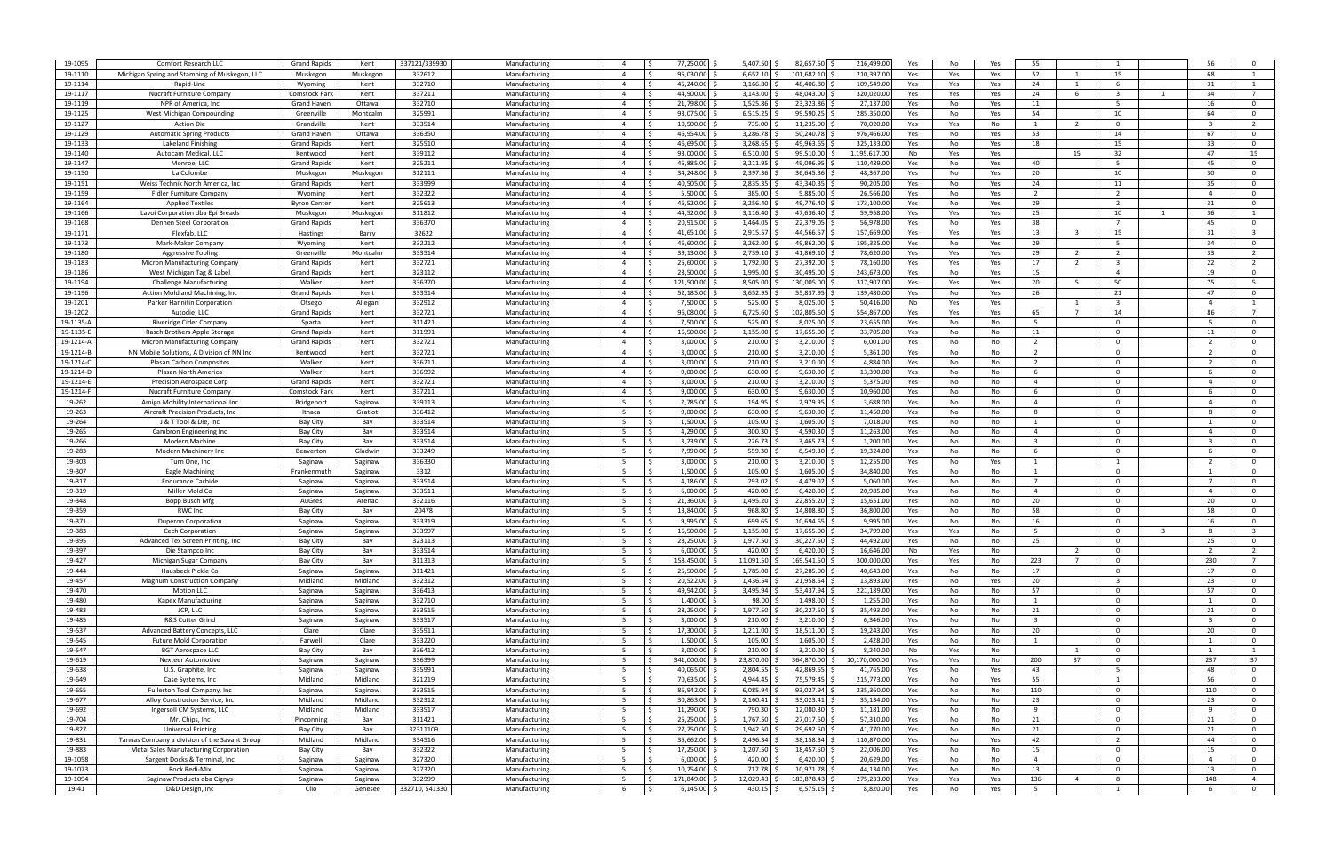| 19-1095             | <b>Comfort Research LLC</b>                                   | <b>Grand Rapids</b>             | Kent               | 337121/339930    | Manufacturing                  | $\overline{a}$                   | 77,250.00                     | $5,407.50$ \$              | 82,657.50 \$                  | 216,499.00            | Yes<br>No              | Yes        | 55                      |                |                                |                |                                                    |
|---------------------|---------------------------------------------------------------|---------------------------------|--------------------|------------------|--------------------------------|----------------------------------|-------------------------------|----------------------------|-------------------------------|-----------------------|------------------------|------------|-------------------------|----------------|--------------------------------|----------------|----------------------------------------------------|
| 19-1110             | Michigan Spring and Stamping of Muskegon, LLC                 | Muskegon                        | Muskegon           | 332612           | Manufacturing                  | $\overline{a}$                   | 95,030.00                     | 6,652.10                   | 101.682.10                    | 210,397.0             | Yes<br>Yes             | Yes        | 52                      |                | 15                             | 68             |                                                    |
| 19-1114             | Rapid-Line                                                    | Wyoming                         | Kent               | 332710           | Manufacturing                  | $\overline{4}$                   | 45,240.00                     | 3,166.80                   | 48,406.80                     | 109,549.0             | Yes<br>Yes             | Yes        | 24                      | $\overline{1}$ | -6                             | 31             | $\overline{1}$                                     |
| 19-1117             | Nucraft Furniture Company                                     | Comstock Par                    | Kent               | 337211           | Manufacturing                  | $\overline{4}$                   | 44.900.00                     | 3,143.00                   | 48,043.00                     | 320,020.0             | Yes<br>Yes             | Yes        | 24                      | -6             | $\overline{3}$                 | 34             | $\overline{7}$                                     |
| 19-1119             | NPR of America, Inc                                           | Grand Haven                     | Ottawa             | 332710           | Manufacturing                  | $\overline{4}$                   | 21,798.00                     | 1,525.86                   | 23,323.86                     | 27,137.0              | Yes<br>No              | Yes        | 11                      |                | -5                             | 16             | $\overline{\mathbf{0}}$                            |
| 19-1125             | West Michigan Compounding                                     | Greenville                      | Montcaln           | 325991           | Manufacturing                  | $\overline{a}$                   | 93.075.00                     | 6,515.25                   | 99,590.25                     | 285,350.0             | Yes<br>No              | Yes        | 54                      |                | 10                             | 64             | $\mathbf 0$                                        |
| 19-1127             | <b>Action Die</b>                                             | Grandville                      | Kent               | 333514           | Manufacturing                  | $\overline{a}$                   | 10.500.00                     | 735.00                     | 11,235.00                     | 70,020.0              | Yes<br>Yes             | No         | $\overline{1}$          | $\overline{2}$ | $\Omega$                       |                | $\overline{2}$                                     |
| 19-1129             | <b>Automatic Spring Products</b>                              | <b>Grand Haver</b>              | Ottawa             | 336350           | Manufacturing                  | $\overline{a}$                   | 46,954.00                     | 3,286.78                   | 50,240.78                     | 976,466.0             | No<br>Yes              | Yes        | 53                      |                | 14                             | 67             | $\overline{0}$                                     |
| 19-1133             | Lakeland Finishin                                             | <b>Grand Rapids</b>             | Kent               | 325510           | Manufacturing                  | $\overline{a}$                   | 46,695.00                     | 3,268.65                   | 49,963.65                     | 325,133.0             | Yes<br>No              | Yes        | 18                      |                | 15                             | 33             | $\overline{0}$                                     |
| 19-1140             | Autocam Medical, LLC                                          | Kentwood                        | Kent               | 339112           | Manufacturing                  | $\overline{4}$<br>$\overline{a}$ | 93,000.00<br>45,885.00        | 6,510.00                   | 99,510.00                     | 1,195,617.0           | No<br>Yes              | Yes        |                         | 15             | 32<br>-5                       | 47             | 15                                                 |
| 19-1147<br>19-1150  | Monroe, LL<br>La Colombe                                      | <b>Grand Rapids</b><br>Muskegon | Kent               | 325211<br>312111 | Manufacturing<br>Manufacturing | $\overline{4}$                   | 34,248.00                     | 3,211.95<br>2,397.36       | 49,096.95<br>36,645.36        | 110,489.0<br>48,367.0 | Yes<br>No<br>Yes<br>No | Yes<br>Yes | 40<br>20                |                | 10                             | 45<br>30       | $\overline{\mathbf{0}}$<br>$\overline{0}$          |
| 19-1151             | Weiss Technik North America, Inc                              | <b>Grand Rapids</b>             | Muskegor<br>Kent   | 333999           | Manufacturing                  | $\overline{a}$                   | 40,505.00                     | 2,835.35                   | 43,340.35                     | 90,205.0              | Yes<br>No              | Yes        | 24                      |                | 11                             | 35             | $\overline{0}$                                     |
| 19-1159             | Fidler Furniture Company                                      | Wyoming                         | Kent               | 332322           | Manufacturing                  | $\overline{4}$                   | 5,500.00                      | 385.00                     | 5,885.00                      | 26,566.0              | Yes<br>No              | Yes        | $\overline{2}$          |                | $\overline{2}$                 |                | $\overline{0}$                                     |
| 19-1164             | <b>Applied Textiles</b>                                       | <b>Byron Cente</b>              | Kent               | 325613           | Manufacturir                   | $\overline{a}$                   | 46,520.00                     | 3,256.40                   | 49,776.40                     | 173,100.0             | Yes<br>No              | Yes        | 29                      |                | $\overline{2}$                 | 31             | $\overline{0}$                                     |
| 19-1166             | Lavoi Corporation dba Epi Breads                              | Muskegor                        | Muskegor           | 311812           | Manufacturing                  | $\overline{a}$                   | 44,520.00                     | 3,116.40                   | 47,636.40                     | 59,958.0              | Yes<br>Yes             | Yes        | 25                      |                | 10                             | 36             |                                                    |
| 19-1168             | Dennen Steel Corporation                                      | <b>Grand Rapids</b>             | Kent               | 336370           | Manufacturing                  | $\overline{a}$                   | 20,915.00                     | 1,464.05                   | 22,379.05                     | 56,978.0              | Yes<br>No              | Yes        | 38                      |                |                                | 45             | $\Omega$                                           |
| 19-1171             | Flexfab, LLC                                                  | <b>Hastings</b>                 | Barry              | 32622            | Manufacturing                  | $\overline{a}$                   | 41.651.00                     | 2,915.57                   | 44,566.57                     | 157,669.0             | Yes<br>Yes             | Yes        | 13                      |                | 15                             | 31             |                                                    |
| 19-1173             | Mark-Maker Company                                            | Wyoming                         | Kent               | 332212           | Manufacturing                  |                                  | 46.600.00                     | 3,262.00                   | 49,862.00                     | 195,325.0             | Yes<br>No              | Yes        | 29                      |                | 5                              | 34             | $\Omega$                                           |
| 19-1180             | Aggressive Tooling                                            | Greenville                      | Montcaln           | 333514           | Manufacturing                  | $\overline{a}$                   | 39,130.00                     | 2,739.10                   | 41,869.10                     | 78,620.0              | Yes<br>Yes             | Yes        | 29                      |                |                                | 33             | 2                                                  |
| 19-1183             | Micron Manufacturing Company                                  | <b>Grand Rapids</b>             | Kent               | 332721           | Manufacturing                  | $\overline{a}$                   | 25,600.00                     | 1,792.00                   | 27,392.00                     | 78,160.0              | Yes<br>Yes             | Yes        | 17                      |                |                                | 22             |                                                    |
| 19-1186             | West Michigan Tag & Label                                     | <b>Grand Rapids</b>             | Kent               | 323112           | Manufacturing                  | $\overline{a}$                   | 28,500.00                     | 1,995.00                   | 30,495.00                     | 243,673.0             | Yes<br>No              | Yes        | 15                      |                | $\overline{a}$                 | 19             | $\overline{0}$                                     |
| 19-1194             | <b>Challenge Manufacturing</b>                                | Walker                          | Kent               | 336370           | Manufacturing                  | $\overline{a}$                   | 121,500.00                    | 8,505.00                   | 130,005.00                    | 317,907.0             | Yes<br>Yes             | Yes        | 20                      | - 5            | 50                             | 75             | - 5                                                |
| 19-1196             | Action Mold and Machining, Inc                                | <b>Grand Rapids</b>             | Kent               | 333514           | Manufacturing                  | $\overline{4}$                   | 52,185.00                     | 3,652.95                   | 55,837.95                     | 139,480.0             | Yes<br>No              | Yes        | 26                      |                | 21                             | 47             | $\overline{0}$                                     |
| 19-1201             | Parker Hannifin Corporation                                   | Otsego                          | Allegan            | 332912           | Manufacturing                  | $\overline{a}$                   | 7,500.00                      | 525.00                     | 8,025.00                      | 50,416.0              | No<br>Yes              | Yes        |                         |                |                                |                | -1                                                 |
| 19-1202             | Autodie, LLC                                                  | <b>Grand Rapids</b>             | Kent               | 332721           | Manufacturing                  | $\overline{4}$                   | 96,080.00                     | 6,725.60                   | 102,805.60                    | 554,867.0             | Yes<br>Yes             | Yes        | 65                      |                | 14                             | 86             | $\overline{7}$                                     |
| 19-1135-A           | Riveridge Cider Company                                       | Sparta                          | Kent               | 311421           | Manufacturing                  | $\overline{4}$                   | 7,500.00                      | 525.00                     | 8,025.00                      | 23,655.0              | Yes<br>No              | No         | - 5                     |                | $\Omega$                       |                | $\overline{0}$                                     |
| 19-1135-E           | Rasch Brothers Apple Storage                                  | <b>Grand Rapids</b>             | Kent               | 311991           | Manufacturing                  | $\overline{4}$                   | 16,500.00                     | 1,155.00                   | 17,655.00 \$                  | 33,705.0              | Yes<br>No              | No         | 11                      |                | $\Omega$                       | 11             | $\overline{0}$                                     |
| 19-1214-A           | Micron Manufacturing Company                                  | <b>Grand Rapids</b>             | Kent               | 332721           | Manufacturing                  | $\overline{4}$                   | 3.000.00                      | 210.00                     | 3,210.00                      | 6,001.0               | Yes<br>No              | No         | 2                       |                | $\Omega$                       |                | $\Omega$                                           |
| 19-1214-B           | NN Mobile Solutions, A Division of NN Inc.                    | Kentwood                        | Kent               | 332721           | Manufacturing                  | $\overline{a}$                   | 3,000.00                      | 210.00                     | 3,210.00                      | 5,361.0               | Yes<br>No              | No         | 2                       |                | $\Omega$                       |                | $\overline{\mathbf{0}}$                            |
| 19-1214-C           | Plasan Carbon Composites                                      | Walker                          | Kent               | 336211           | Manufacturing                  | $\overline{4}$                   | 3.000.00                      | 210.00                     | 3,210.00                      | 4,884.0               | Yes<br>No              | No         | 2                       |                | $\Omega$                       | $\overline{2}$ | $\mathbf 0$                                        |
| 19-1214-D           | Plasan North America                                          | Walker                          | Kent               | 336992           | Manufacturing                  | $\overline{4}$                   | 9.000.00                      | 630.00                     | 9,630.00                      | 13,390.0              | Yes<br>No              | No         | -6                      |                | $\Omega$                       |                | $\Omega$                                           |
| 19-1214-E           | Precision Aerospace Corp                                      | <b>Grand Rapids</b>             | Kent               | 332721           | Manufacturing                  | $\overline{a}$<br>$\Delta$       | 3.000.00                      | 210.00                     | 3,210.00                      | 5,375.0               | Yes<br>No              | No         | $\overline{4}$          |                | $\Omega$<br>$\Omega$           | $\overline{a}$ | $\overline{0}$                                     |
| 19-1214-F<br>19-262 | Nucraft Furniture Company<br>Amigo Mobility International Inc | Comstock Parl<br>Bridgeport     | Kent<br>Saginaw    | 337211<br>339113 | Manufacturing<br>Manufacturing | - 5                              | 9,000.00<br>2,785.00          | 630.00<br>194.95           | 9,630.00<br>2,979.95          | 10,960.0<br>3,688.0   | Yes<br>No<br>Yes<br>No | No<br>No   | - 6<br>$\overline{4}$   |                | $\Omega$                       | - 6            | $\overline{\mathbf{0}}$<br>$\overline{\mathbf{0}}$ |
| 19-263              | Aircraft Precision Products, Inc.                             | Ithaca                          | Gratiot            | 336412           | Manufacturing                  | - 5                              | 9,000.00                      | 630.00                     | 9,630.00                      | 11,450.0              | Yes<br>No              | No         | - 8                     |                | $\Omega$                       |                | $\overline{\mathbf{0}}$                            |
| 19-264              | J & T Tool & Die, Inc                                         | Bay City                        | Bay                | 333514           | Manufacturing                  | - 5                              | 1,500.00                      | 105.00                     | 1,605.00                      | 7,018.0               | Yes<br>No              | No         | 1                       |                | $\Omega$                       | - 1            | $\overline{0}$                                     |
| 19-265              | Cambron Engineering Inc                                       | Bay City                        | Bay                | 333514           | Manufacturing                  | - 5                              | 4,290.00                      | 300.30                     | 4,590.30                      | 11,263.0              | Yes<br>No              | No         | $\overline{4}$          |                | $\Omega$                       |                | $\overline{0}$                                     |
| 19-266              | <b>Modern Machine</b>                                         | <b>Bay City</b>                 | Bay                | 333514           | Manufacturing                  | - 5                              | 3,239.00                      | 226.73                     | 3,465.73                      | 1,200.0               | Yes<br>No              | No         | $\overline{\mathbf{3}}$ |                | $\Omega$                       |                | $\overline{0}$                                     |
| 19-283              | Modern Machinery Inc                                          | Beaverton                       | Gladwin            | 333249           | Manufacturing                  |                                  | 7,990.00                      | 559.30                     | 8,549.30                      | 19,324.0              | Yes<br>No              | No         | -6                      |                | $\Omega$                       |                | $\Omega$                                           |
| 19-303              | Turn One, Inc                                                 | Saginaw                         | Saginaw            | 336330           | Manufacturing                  | - 5                              | 3,000.00                      | 210.00                     | 3,210.00                      | 12,255.0              | Yes<br>No              | Yes        |                         |                |                                |                | $\overline{0}$                                     |
| 19-307              | Eagle Machinin                                                | Frankenmutl                     | Saginaw            | 3312             | Manufacturing                  |                                  | 1,500.00                      | 105.00                     | 1,605.00                      | 34,840.0              | Yes<br>No              | No         |                         |                | $\Omega$                       |                | $\Omega$                                           |
| 19-317              | <b>Endurance Carbide</b>                                      | Saginaw                         | Saginaw            | 333514           | Manufacturing                  |                                  | 4.186.00                      | 293.02                     | 4,479.02                      | 5,060.0               | Yes<br>No              | No         | $\overline{7}$          |                | $\Omega$                       |                | $\Omega$                                           |
| 19-319              | Miller Mold Co                                                | Saginaw                         | Saginaw            | 333511           | Manufacturing                  |                                  | 6.000.00                      | 420.00                     | 6,420.00                      | 20,985.0              | Yes<br>No              | No         | $\overline{4}$          |                | $\Omega$                       |                | $\Omega$                                           |
| 19-348              | Bopp Busch Mfg                                                | AuGres                          | Arenac             | 332116           | Manufacturing                  | -5                               | 21,360.00                     | 1,495.20                   | 22,855.20                     | 15,651.0              | Yes<br>No              | No         | 20                      |                | $\Omega$                       | 20             | $\Omega$                                           |
| 19-359              | <b>RWC Inc</b>                                                | <b>Bay City</b>                 | Bay                | 20478            | Manufacturing                  |                                  | 13,840.00                     | 968.80                     | 14,808.80                     | 36,800.0              | Yes<br>No              | No         | 58                      |                | $\Omega$                       | 58             | $\Omega$                                           |
| 19-371              | Duperon Corporation                                           | Saginaw                         | Saginaw            | 333319           | Manufacturing                  |                                  | 9,995.00                      | 699.65                     | 10,694.65                     | 9,995.0               | Yes<br>No              | No         | 16                      |                |                                | 16             | $\Omega$                                           |
| 19-383              | Cech Corporation                                              | Saginaw                         | Saginaw            | 333997           | Manufacturing                  | - 5                              | 16,500.00                     | 1,155.00                   | 17,655.00                     | 34,799.0              | Yes<br>Yes             | No         | -5                      |                | $\Omega$                       |                | - 3                                                |
| 19-395              | Advanced Tex Screen Printing, Inc.                            | Bay City                        | Bay                | 323113           | Manufacturing                  | 5                                | 28,250.00 \$                  | 1,977.50 \$                | 30,227.50                     | 44,492.00             | Yes<br>No              | No         | 25                      |                | $\Omega$                       | 25             | $\overline{0}$                                     |
| 19-397              | Die Stampco Inc                                               | Bay City                        | Bay                | 333514           | Manufacturing                  | - 5                              | $6,000.00$ \$                 | $420.00$ \$                | $6,420.00$ \$                 | 16,646.00             | No<br>Yes              | No         |                         | $\overline{2}$ | $\mathbf 0$                    | $\overline{2}$ | <sup>2</sup>                                       |
| 19-427              | Michigan Sugar Company                                        | Bay City                        | Bay                | 311313           | Manufacturing                  | 5                                | 158,450.00 \$                 | 11,091.50 \$               | 169,541.50 \$                 | 300,000.00            | Yes<br>Yes             | No         | 223                     | $7^{\circ}$    | $\Omega$                       | 230            | $\overline{7}$                                     |
| 19-444<br>19-457    | Hausbeck Pickle Co<br><b>Magnum Construction Company</b>      | Saginaw<br>Midland              | Saginaw<br>Midland | 311421<br>332312 | Manufacturing<br>Manufacturing | 5<br>5                           | 25,500.00 \$<br>20,522.00 \$  | 1,785.00 \$<br>1,436.54 \$ | 27,285.00 \$<br>21,958.54 \$  | 40,643.0<br>13,893.0  | Yes<br>No<br>Yes<br>No | No<br>Yes  | 17<br>20                |                | $\mathbf{0}$<br>$\overline{3}$ | 17<br>23       | $\overline{0}$<br>$\overline{0}$                   |
| 19-470              | <b>Motion LLC</b>                                             | Saginaw                         | Saginaw            | 336413           | Manufacturing                  | 5                                | 49,942.00 \$                  | $3,495.94$ \$              | 53,437.94 \$                  | 221,189.0             | Yes<br>No              | No         | 57                      |                | $\Omega$                       | 57             | $\overline{0}$                                     |
| 19-480              | <b>Kapex Manufacturing</b>                                    | Saginaw                         | Saginaw            | 332710           | Manufacturing                  | 5                                | 1,400.00 \$                   | 98.00 \$                   | 1,498.00 \$                   | 1,255.0               | Yes<br>No              | No         | 1                       |                | $\Omega$                       | -1             | $\overline{0}$                                     |
| 19-483              | JCP, LLC                                                      | Saginaw                         | Saginaw            | 333515           | Manufacturing                  | 5 <sup>5</sup>                   | 28,250.00 \$                  | 1,977.50                   | 30,227.50 \$                  | 35,493.0              | Yes<br>No              | No         | 21                      |                | $\overline{0}$                 | 21             | $\overline{0}$                                     |
| 19-485              | R&S Cutter Grind                                              | Saginaw                         | Saginaw            | 333517           | Manufacturing                  | - 5                              | $3,000.00$ \$                 | 210.00                     | 3,210.00                      | 6,346.0               | Yes<br>No              | No         | $\overline{\mathbf{3}}$ |                | $\Omega$                       |                | $\overline{0}$                                     |
| 19-537              | Advanced Battery Concepts, LLC                                | Clare                           | Clare              | 335911           | Manufacturing                  | - 5                              | 17,300.00 \$                  | 1,211.00                   | 18,511.00                     | 19,243.0              | Yes<br>No              | No         | 20                      |                | $\Omega$                       | 20             | $\overline{\mathbf{0}}$                            |
| 19-545              | <b>Future Mold Corporation</b>                                | Farwell                         | Clare              | 333220           | Manufacturing                  | - 5                              | $1,500.00$ \$                 | 105.00                     | 1,605.00                      | 2,428.0               | Yes<br>No              | No         | 1                       |                | $\Omega$                       | 1              | $\overline{\mathbf{0}}$                            |
| 19-547              | <b>BGT Aerospace LLC</b>                                      | Bay City                        | Bay                | 336412           | Manufacturing                  | $5^{\circ}$                      | 3,000.00                      | 210.00                     | 3,210.00                      | 8,240.0               | No<br>Yes              | No         |                         | 1              | $\overline{0}$                 | 1              | $\overline{1}$                                     |
| 19-619              | Nexteer Automotive                                            | Saginaw                         | Saginaw            | 336399           | Manufacturing                  | - 5                              | 341,000.00 \$                 | 23,870.00                  | 364,870.00                    | 10,170,000.0          | Yes<br>Yes             | No         | 200                     | 37             | $\overline{0}$                 | 237            | 37                                                 |
| 19-638              | U.S. Graphite, Inc                                            | Saginaw                         | Saginaw            | 335991           | Manufacturing                  | $5^{\circ}$                      | 40,065.00 \$                  | 2,804.55                   | 42,869.55                     | 41,765.0              | Yes<br>No              | Yes        | 43                      |                | - 5                            | 48             | $\overline{\mathbf{0}}$                            |
| 19-649              | Case Systems, Inc                                             | Midland                         | Midland            | 321219           | Manufacturing                  | 5                                | 70,635.00 \$                  | $4,944.45$ \$              | 75,579.45                     | 215,773.0             | Yes<br>No              | Yes        | 55                      |                | 1                              | 56             | $\overline{\mathbf{0}}$                            |
| 19-655              | Fullerton Tool Company, Inc                                   | Saginaw                         | Saginaw            | 333515           | Manufacturing                  | $5^{\circ}$                      | 86,942.00 \$                  | 6,085.94                   | 93,027.94                     | 235,360.0             | Yes<br>No              | No         | 110                     |                | $\overline{0}$                 | 110            | $\overline{0}$                                     |
| 19-677              | Alloy Construcion Service, Inc.                               | Midland                         | Midland            | 332312           | Manufacturing                  | - 5                              | 30,863.00 \$                  | $2,160.41$ \.              | 33,023.41                     | 35,134.0              | Yes<br>No              | No         | 23                      |                | $\Omega$                       | 23             | $\overline{\mathbf{0}}$                            |
| 19-692              | Ingersoll CM Systems, LLC                                     | Midland                         | Midland            | 333517           | Manufacturing                  | 5                                | 11,290.00                     | 790.30                     | 12,080.30                     | 11,181.0              | Yes<br>No              | No         | 9                       |                | $\Omega$                       | $\mathbf{q}$   | $\overline{0}$                                     |
| 19-704              | Mr. Chips, Inc                                                | Pinconning                      | Bay                | 311421           | Manufacturing                  | - 5                              | 25,250.00 \$                  | 1,767.50 \$                | 27,017.50 \$                  | 57,310.0              | Yes<br>No              | No         | 21                      |                | $\mathbf 0$                    | 21             | $\mathbf 0$                                        |
| 19-827              | Universal Printing                                            | Bay City                        | Bay                | 32311109         | Manufacturing                  | 5                                | 27,750.00 \$                  | 1,942.50                   | 29,692.50                     | 41,770.0              | Yes<br>No              | No         | 21                      |                | $\Omega$                       | 21             | $\overline{0}$                                     |
| 19-831              | Tannas Company a division of the Savant Group                 | Midland                         | Midland            | 334516           | Manufacturing                  |                                  | 35,662.00 \$                  | 2,496.34                   | 38,158.34 \$                  | 110,870.0             | Yes<br>No              | Yes        | 42                      |                | $\overline{2}$<br>$\Omega$     | 44             | $\mathbf 0$                                        |
| 19-883              | <b>Metal Sales Manufacturing Corporation</b>                  | Bay City                        | Bay                | 332322           | Manufacturing<br>Manufacturing | - 5<br>- 5                       | 17,250.00 \$<br>$6,000.00$ \$ | $1,207.50$ \$<br>420.00    | 18,457.50 \$<br>$6,420.00$ \$ | 22,006.0              | Yes<br>No<br>No        | No         | 15<br>$\overline{4}$    |                | $\Omega$                       | 15             | $\overline{\mathbf{0}}$<br>$\overline{0}$          |
| 19-1058<br>19-1073  | Sargent Docks & Terminal, Inc.<br>Rock Redi-Mix               | Saginaw<br>Saginaw              | Saginaw<br>Saginaw | 327320<br>327320 | Manufacturing                  |                                  | 10,254.00 \$                  | 717.78 \$                  | 10,971.78 \$                  | 20,629.0<br>44,134.0  | Yes<br>Yes<br>No       | No<br>No   | 13                      |                | $\Omega$                       | 13             | $\overline{0}$                                     |
| 19-1094             | Saginaw Products dba Cignys                                   | Saginaw                         | Saginaw            | 332999           | Manufacturing                  | 5                                | 171,849.00 \$                 | 12,029.43 \$               | 183,878.43 \$                 | 275,233.0             | Yes<br>Yes             | Yes        | 136                     | $\overline{4}$ | 8                              | 148            | $\overline{4}$                                     |
| 19-41               | D&D Design, Inc.                                              | Clio                            | Genesee            | 332710, 541330   | Manufacturing                  | 6                                | $6,145.00$ \$                 | $430.15$ \$                | $6,575.15$ \$                 | 8,820.00              | Yes<br>No              | Yes        | 5                       |                | 1                              | 6              | $\overline{0}$                                     |
|                     |                                                               |                                 |                    |                  |                                |                                  |                               |                            |                               |                       |                        |            |                         |                |                                |                |                                                    |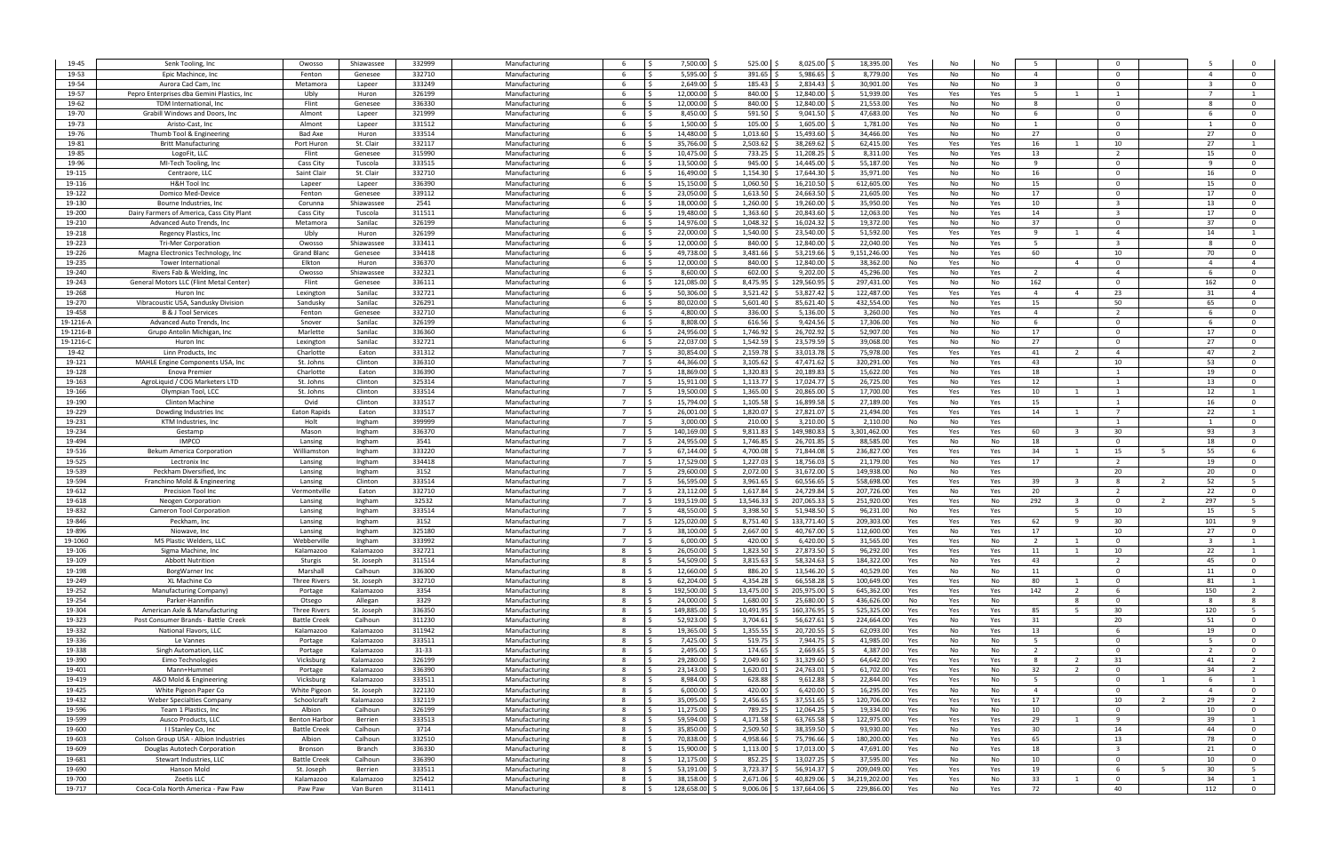| 19-45     | Senk Tooling, Inc.                          | Owosso               | Shiawassee | 332999 | Manufacturing | -6                               | 7,500.00             | 525.00    | 8,025.00 \$  | 18,395.00     | Yes | No  | No  | -5                      |                |                     |                      |                         |
|-----------|---------------------------------------------|----------------------|------------|--------|---------------|----------------------------------|----------------------|-----------|--------------|---------------|-----|-----|-----|-------------------------|----------------|---------------------|----------------------|-------------------------|
| 19-53     | Epic Machince, Inc                          | Fenton               | Genesee    | 332710 | Manufacturing | -6                               | 5.595.00             | 391.65    | 5.986.65     | 8.779.00      | Yes | No  | No  | $\overline{4}$          |                | $\Omega$            | $\overline{a}$       | $\Omega$                |
|           | Aurora Cad Cam, Inc.                        | Metamora             |            | 333249 |               | -6                               | 2.649.00<br>l S      | 185.43    | 2,834.43     | 30,901.00     |     |     | No  | $\overline{\mathbf{3}}$ |                | $\Omega$            |                      | - 0                     |
| 19-54     |                                             |                      | Lapeer     |        | Manufacturing |                                  |                      |           |              |               | Yes | No  |     |                         |                |                     |                      |                         |
| 19-57     | Pepro Enterprises dba Gemini Plastics, Inc. | Ubly                 | Huron      | 326199 | Manufacturing | -6                               | 12,000.00            | 840.00    | 12,840.00    | 51,939.00     | Yes | Yes | Yes | 5                       | $\overline{1}$ | 1                   | $\overline{7}$       |                         |
| 19-62     | TDM International, Inc                      | Flint                | Genesee    | 336330 | Manufacturing | -6                               | 12.000.00            | 840.00    | 12,840.00    | 21,553.0      | Yes | No  | No  | -8                      |                | $\Omega$            |                      | $\overline{0}$          |
| 19-70     | Grabill Windows and Doors, Inc.             | Almont               | Lapeer     | 321999 | Manufacturing | -6                               | 8,450.00             | 591.50    | 9,041.50     | 47,683.00     | Yes | No  | No  | 6                       |                | $\Omega$            | - 6                  | $\Omega$                |
| 19-73     | Aristo-Cast, Inc                            | Almont               | Lapeer     | 331512 | Manufacturing | -6                               | 1,500.00             | 105.00    | 1,605.00     | 1,781.00      | Yes | No  | No  | 1                       |                | $\Omega$            |                      | $\overline{\mathbf{0}}$ |
| 19-76     | Thumb Tool & Engineering                    | Bad Axe              | Huron      | 333514 | Manufacturing | 6                                | 14,480.00            | 1,013.60  | 15,493.60    | 34,466.0      | Yes | No  | No  | 27                      |                | $\Omega$            | 27                   | $\overline{0}$          |
| 19-81     | <b>Britt Manufacturin</b>                   | Port Huron           | St. Clair  | 332117 | Manufacturing | - 6                              | 35,766.00            | 2,503.62  | 38,269.62    | 62,415.00     | Yes | Yes | Yes | 16                      |                | 10                  | 27                   | $\overline{1}$          |
| 19-85     | LogoFit, LLO                                | Flint                | Genesee    | 315990 | Manufacturing | - 6                              | 10,475.00            | 733.25    | 11,208.25    | 8,311.00      | Yes | No  | Yes | 13                      |                | $\overline{2}$      | 15                   | $\overline{0}$          |
| 19-96     | MI-Tech Tooling, Inc                        | Cass City            | Tuscola    | 333515 | Manufacturing | -6                               | 13,500.00            | 945.00    | 14,445.00    | 55,187.0      | Yes | No  | No  | 9                       |                | $\Omega$            |                      | $\overline{\mathbf{0}}$ |
| 19-115    | Centraore, LLO                              | Saint Clai           | St. Clair  | 332710 | Manufacturing | -6                               | 16,490.00            | 1,154.30  | 17,644.30    | 35,971.0      | Yes | No  | No  | 16                      |                | $\Omega$            | 16                   | $\overline{0}$          |
| 19-116    | <b>H&amp;H Tool Inc</b>                     | Lapeer               | Lapeer     | 336390 | Manufacturing | -6                               | 15,150.00            | 1,060.50  | 16,210.50    | 612,605.00    | Yes | No  | No  | 15                      |                | $\Omega$            | 15                   | $\Omega$                |
| 19-122    | Domico Med-Device                           | Fenton               | Genesee    | 339112 | Manufacturing | -6                               | 23,050.00            | 1,613.50  | 24,663.50    | 21,605.0      | Yes | No  | No  | 17                      |                | $\Omega$            | 17                   | $\Omega$                |
| 19-130    | Bourne Industries, Inc.                     | Corunna              | Shiawassee | 2541   | Manufacturing |                                  | 18.000.00            | 1,260.00  | 19,260.00    | 35,950.0      | Yes | No  | Yes | 10                      |                |                     | 13                   | $\Omega$                |
| 19-200    | Dairy Farmers of America, Cass City Plant   | Cass City            | Tuscola    | 311511 | Manufacturing | -6                               | 19.480.00            | 1,363.60  | 20,843.60    | 12,063.00     | Yes | No  | Yes | 14                      |                | $\mathbf{a}$        | 17                   | $\Omega$                |
| 19-210    | Advanced Auto Trends, Inc                   | Metamora             | Sanilac    | 326199 | Manufacturing | -6                               | 14,976.00            | 1,048.32  | 16,024.32    | 19,372.00     | Yes | No  | No  | 37                      |                | $\Omega$            | 37                   | - 0                     |
| 19-218    | Regency Plastics, Inc.                      | Ubly                 | Huron      | 326199 | Manufacturing | -6                               | 22,000.00            | 1,540.00  | 23,540.00    | 51,592.00     | Yes | Yes | Yes | $\mathbf{q}$            |                | $\overline{4}$      | 14                   |                         |
| 19-223    | <b>Tri-Mer Corporation</b>                  | Owosso               | Shiawassee | 333411 | Manufacturing | -6                               | 12,000.00            | 840.00    | 12,840.00    | 22,040.00     | Yes | No  | Yes | -5                      |                | 3                   |                      | $\Omega$                |
| 19-226    | Magna Electronics Technology, Inc.          | <b>Grand Bland</b>   | Genesee    | 334418 | Manufacturing | -6                               | 49,738.00            | 3,481.66  | 53,219.66 \$ | 9,151,246.00  | Yes | No  | Yes | 60                      |                | 10                  | 70                   | $\overline{\mathbf{0}}$ |
| 19-235    | Tower Internationa                          | Elkton               | Huron      | 336370 | Manufacturing | 6                                | 12.000.00            | 840.00    | 12,840.00    | 38,362.00     | No  | Yes | No  |                         | $\overline{4}$ | $\Omega$            |                      | $\overline{4}$          |
| 19-240    | Rivers Fab & Welding, Inc.                  | Owosso               | Shiawassee | 332321 | Manufacturing | 6                                | 8,600.00             | 602.00    | 9,202.00     | 45,296.00     | Yes | No  | Yes | $\overline{2}$          |                | $\overline{4}$      |                      | $\overline{0}$          |
| 19-243    | General Motors LLC (Flint Metal Center)     | Flint                | Genesee    | 336111 | Manufacturing | -6                               | 121,085.00           | 8,475.95  | 129,560.95   | 297,431.00    | Yes | No  | No  | 162                     |                | $\Omega$            | 162                  | $\overline{0}$          |
| 19-268    | Huron Inc                                   | Lexington            | Sanilac    | 332721 | Manufacturing | -6                               | 50.306.00            | 3,521.42  | 53,827.42    | 122,487.00    | Yes | Yes | Yes | $\overline{4}$          | $\overline{4}$ | 23                  | 31                   | $\overline{4}$          |
| 19-270    | Vibracoustic USA, Sandusky Division         | Sandusky             | Sanilac    | 326291 | Manufacturing | -6                               | 80.020.00            | 5,601.40  | 85,621.40    | 432,554.00    | Yes | No  | Yes | 15                      |                | 50                  | 65                   | $\overline{0}$          |
| 19-458    | B & J Tool Services                         | Fenton               | Genesee    | 332710 | Manufacturing | -6                               | 4,800.00             | 336.00    | 5,136.00     | 3,260.00      | Yes | No  | Yes | $\overline{4}$          |                | $\overline{2}$      |                      | $\overline{0}$          |
| 19-1216-A | Advanced Auto Trends, Inc.                  | Snover               | Sanilac    | 326199 | Manufacturing | -6                               | 8.808.00             | 616.56    | 9,424.56     | 17,306.00     | Yes | No  | No  | 6                       |                | $\Omega$            |                      | $\mathbf{0}$            |
| 19-1216-B | Grupo Antolin Michigan, Inc.                | Marlette             | Sanilac    | 336360 | Manufacturing | -6                               | 24,956.00<br>- \$    | 1.746.92  | 26,702.92    | 52,907.00     | Yes | No  | No  | 17                      |                | $\Omega$            | 17                   | $\Omega$                |
| 19-1216-C | Huron Inc                                   | Lexington            | Sanilac    | 332721 | Manufacturing | -6                               | 22,037.00            | 1,542.59  | 23,579.59    | 39,068.0      | Yes | No  | No  | 27                      |                | $\Omega$            | 27                   | $\Omega$                |
| 19-42     | Linn Products, Inc                          | Charlotte            | Eaton      | 331312 | Manufacturing | - 7                              | 30.854.00<br>∫ <     | 2,159.78  | 33,013.78    | 75,978.0      | Yes | Yes | Yes | 41                      | -2             | $\overline{a}$      | 47                   | $\overline{2}$          |
|           |                                             |                      | Clinton    | 336310 |               | $\overline{7}$                   | 44.366.00            | 3,105.62  | 47,471.62    |               |     |     |     | 43                      |                | 10                  | 53                   | $\Omega$                |
| 19-121    | MAHLE Engine Components USA, Inc.           | St. Johns            |            |        | Manufacturing | $\overline{7}$                   | 18,869.00            |           |              | 320,291.00    | Yes | No  | Yes |                         |                | 1                   |                      |                         |
| 19-128    | Enova Premier                               | Charlotte            | Eaton      | 336390 | Manufacturing |                                  |                      | 1,320.83  | 20,189.83    | 15,622.0      | Yes | No  | Yes | 18                      |                |                     | 19                   | $\overline{\mathbf{0}}$ |
| 19-163    | AgroLiquid / COG Marketers LTD              | St. Johns            | Clinton    | 325314 | Manufacturing | $\overline{7}$<br>$\overline{7}$ | 15,911.00            | 1,113.7   | 17,024.77    | 26,725.0      | Yes | No  | Yes | 12                      |                | 1                   | 13                   | $\overline{\mathbf{0}}$ |
| 19-166    | Olympian Tool, LCC                          | St. Johns            | Clinton    | 333514 | Manufacturing |                                  | 19,500.00            | 1,365.00  | 20,865.00    | 17,700.0      | Yes | Yes | Yes | 10                      |                | 1                   | 12                   | $\overline{1}$          |
| 19-190    | Clinton Machine                             | Ovid                 | Clinton    | 333517 | Manufacturing | $\overline{7}$<br>$\overline{7}$ | 15,794.00            | 1,105.58  | 16,899.58    | 27,189.0      | Yes | No  | Yes | 15                      |                | 1<br>$\overline{7}$ | 16                   | $\overline{0}$          |
| 19-229    | Dowding Industries Ind                      | Eaton Rapid:         | Eaton      | 333517 | Manufacturing |                                  | 26,001.00            | 1,820.0   | 27,821.07    | 21,494.0      | Yes | Yes | Yes | 14                      |                |                     | 22                   | $\overline{1}$          |
| 19-231    | KTM Industries, Inc                         | Holt                 | Ingham     | 399999 | Manufacturing | $\overline{7}$                   | 3,000.00             | 210.00    | 3,210.00     | 2,110.0       | No  | No  | Yes |                         |                | $\overline{1}$      |                      | $\overline{0}$          |
| 19-234    | Gestamp                                     | Mason                | Ingham     | 336370 | Manufacturing |                                  | 140,169.00           | 9,811.83  | 149,980.83   | 3,301,462.0   | Yes | Yes | Yes | 60                      |                | 30                  | 93                   | $\overline{\mathbf{3}}$ |
| 19-494    | <b>IMPCO</b>                                | Lansing              | Ingham     | 3541   | Manufacturing |                                  | 24,955.00            | 1,746.85  | 26,701.85    | 88,585.0      | Yes | No  | No  | 18                      |                | $\Omega$            | 18                   | $\Omega$                |
| 19-516    | Bekum America Corporation                   | Williamston          | Ingham     | 333220 | Manufacturing |                                  | 67.144.00            | 4,700.08  | 71.844.08    | 236,827.0     | Yes | Yes | Yes | 34                      |                | 15                  | 55<br>-5             | - 6                     |
| 19-525    | Lectronix Inc                               | Lansing              | Ingham     | 334418 | Manufacturing |                                  | 17,529.00            | 1,227.03  | 18,756.03    | 21,179.00     | Yes | No  | Yes | 17                      |                | -2                  | 19                   | $\Omega$                |
| 19-539    | Peckham Diversified, Inc.                   | Lansing              | Ingham     | 3152   | Manufacturing |                                  | 29,600.00            | 2,072.00  | 31,672.00    | 149,938.0     | No  | No  | Yes |                         |                | 20                  | 20                   | $\Omega$                |
| 19-594    | Franchino Mold & Engineering                | Lansing              | Clinton    | 333514 | Manufacturing |                                  | 56,595.00            | 3,961.65  | 60,556.65    | 558,698.00    | Yes | Yes | Yes | 39                      | $\mathbf{R}$   | 8                   | 52                   | - 5                     |
| 19-612    | Precision Tool Inc                          | Vermontville         | Eaton      | 332710 | Manufacturing |                                  | 23,112.00            | 1,617.84  | 24,729.84    | 207,726.00    | Yes | No  | Yes | 20                      |                | - 2                 | 22                   | - 0                     |
| 19-618    | Neogen Corporation                          | Lansing              | Ingham     | 32532  | Manufacturing |                                  | 193,519.00           | 13,546.33 | 207,065.33   | 251,920.00    | Yes | Yes | No  | 292                     | - 3            | $\Omega$            | 297                  | 5                       |
| 19-832    | Cameron Tool Corporation                    | Lansing              | Ingham     | 333514 | Manufacturing | - 7                              | 48,550.00            | 3,398.50  | 51,948.50    | 96,231.00     | No  | Yes | Yes |                         | - 5            | 10                  | 15                   | 5                       |
| 19-846    | Peckham, Inc                                | Lansing              | Ingham     | 3152   | Manufacturing |                                  | 125,020.00           | 8,751.40  | 133,771.40   | 209,303.00    | Yes | Yes | Yes | 62                      | <sub>q</sub>   | 30                  | 101                  | - 9                     |
| 19-896    | Niowave, Inc.                               | Lansing              | Ingham     | 325180 | Manufacturing |                                  | 38,100.00            | 2,667.00  | 40,767.00    | 112,600.00    | Yes | No  | Yes | 17                      |                | 10                  | 27                   | $\Omega$                |
| 19-1060   | MS Plastic Welders, LLC                     | Webberville          | Ingham     | 333992 | Manufacturing |                                  | 6.000.00             | 420.00    | 6,420.00     | 31,565.00     | Yes | Yes | No  |                         |                |                     |                      |                         |
| 19-106    | Sigma Machine, Inc.                         | Kalamazoo            | Kalamazoo  | 332721 | Manufacturing | 8                                | 26,050.00 \$<br>l \$ | 1,823.50  | 27,873.50 \$ | 96,292.00     | Yes | Yes | Yes | 11                      |                | 10                  | 22                   |                         |
| 19-109    | <b>Abbott Nutrition</b>                     | Sturgis              | St. Joseph | 311514 | Manufacturing | 8                                | l s<br>54,509.00 \$  | 3,815.63  | 58,324.63 \$ | 184,322.00    | Yes | No  | Yes | 43                      |                | $\overline{2}$      | 45                   | $\overline{0}$          |
| 19-198    | BorgWarner Inc                              | Marshall             | Calhoun    | 336300 | Manufacturing | 8                                | 12,660.00<br>l S     | 886.20    | 13,546.20    | 40,529.00     | Yes | No  | No  | 11                      |                | $\overline{0}$      | 11                   | $\overline{0}$          |
| 19-249    | XL Machine Co                               | <b>Three Rivers</b>  | St. Joseph | 332710 | Manufacturing | - 8                              | 62,204.00<br>l \$    | 4,354.28  | 66,558.28    | 100,649.00    | Yes | Yes | No  | 80                      | $\overline{1}$ | $\Omega$            | 81                   | 1                       |
| 19-252    | Manufacturing Company)                      | Portage              | Kalamazoo  | 3354   | Manufacturing | - 8                              | 192,500.00           | 13,475.00 | 205,975.00   | 645,362.00    | Yes | Yes | Yes | 142                     | $\overline{2}$ | -6                  | 150                  | $\overline{2}$          |
| 19-254    | Parker-Hannifin                             | Otsego               | Allegan    | 3329   | Manufacturing | -8                               | 24,000.00<br>l S     | 1,680.00  | 25,680.00    | 436,626.00    | No  | Yes | No  |                         | - 8            | $\Omega$            |                      | 8                       |
| 19-304    | American Axle & Manufacturing               | <b>Three Rivers</b>  | St. Joseph | 336350 | Manufacturing | - 8                              | 149,885.00           | 10,491.95 | 160,376.95   | 525,325.00    | Yes | Yes | Yes | 85                      | - 5            | 30                  | 120                  | 5                       |
| 19-323    | Post Consumer Brands - Battle Creek         | <b>Battle Creek</b>  | Calhoun    | 311230 | Manufacturing | - 8                              | 52,923.00<br>l S     | 3,704.61  | 56,627.61    | 224,664.00    | Yes | No  | Yes | 31                      |                | 20                  | 51                   | $\overline{\mathbf{0}}$ |
|           |                                             |                      |            |        | Manufacturing | 8                                | 19,365.00            | 1,355.55  | 20,720.55    | 62,093.00     | Yes | No  | Yes | 13                      |                | -6                  | 19                   | $\overline{0}$          |
| 19-332    | National Flavors, LLC                       | Kalamazoo            | Kalamazoo  | 311942 |               |                                  |                      |           |              |               |     |     |     |                         |                |                     | - 5                  | $\overline{0}$          |
| 19-336    | Le Vannes                                   | Portage              | Kalamazoo  | 333511 | Manufacturing | 8                                | 7,425.00<br>l s      | 519.75    | 7,944.75     | 41,985.00     | Yes | No  | No  | 5                       |                | $\overline{0}$      |                      |                         |
| 19-338    | Singh Automation, LLC                       | Portage              | Kalamazoo  | 31-33  | Manufacturing | 8                                | 2,495.00<br>l \$     | 174.65    | 2,669.65     | 4,387.00      | Yes | No  | No  | $\overline{2}$          |                | $\overline{0}$      | 2                    | $\overline{0}$          |
| 19-390    | Eimo Technologies                           | Vicksburg            | Kalamazoo  | 326199 | Manufacturing | - 8                              | l s<br>29,280.00     | 2,049.60  | 31,329.60    | 64,642.00     | Yes | Yes | Yes | 8                       | $\overline{2}$ | 31                  | 41                   | $\overline{2}$          |
| 19-401    | Mann+Hummel                                 | Portage              | Kalamazoo  | 336390 | Manufacturing | 8                                | Is.<br>23,143.00     | 1,620.01  | 24,763.01    | 61,702.00     | Yes | Yes | No  | 32                      | $\overline{2}$ | $\Omega$            | 34                   | $\overline{2}$          |
| 19-419    | A&O Mold & Engineering                      | Vicksburg            | Kalamazoo  | 333511 | Manufacturing | 8                                | l s<br>8,984.00      | 628.88    | 9,612.88     | 22,844.00     | Yes | Yes | No  | 5                       |                | $\overline{0}$      | 1                    | 1                       |
| 19-425    | White Pigeon Paper Co                       | White Pigeon         | St. Joseph | 322130 | Manufacturing | 8                                | l \$<br>6,000.00     | 420.00    | 6,420.00     | 16,295.00     | Yes | No  | No  | $\overline{4}$          |                | $\Omega$            | $\overline{4}$       | $\overline{0}$          |
| 19-432    | Weber Specialties Company                   | Schoolcraft          | Kalamazoo  | 332119 | Manufacturing | 8                                | 35,095.00            | 2,456.65  | 37,551.65    | 120,706.00    | Yes | Yes | Yes | 17                      |                | 10                  | 29<br>$\overline{2}$ | $\overline{2}$          |
| 19-596    | Team 1 Plastics, Inc.                       | Albion               | Calhoun    | 326199 | Manufacturing | 8                                | 11,275.00            | 789.25    | 12,064.25    | 19,334.00     | Yes | No  | No  | 10                      |                | $\Omega$            | 10                   | $\overline{0}$          |
| 19-599    | Ausco Products, LLC                         | <b>Benton Harbor</b> | Berrien    | 333513 | Manufacturing | 8                                | 59,594.00            | 4,171.58  | 63,765.58    | 122,975.00    | Yes | Yes | Yes | 29                      |                | q                   | 39                   |                         |
| 19-600    | I I Stanley Co, Inc                         | <b>Battle Creek</b>  | Calhoun    | 3714   | Manufacturing | 8                                | 35,850.00            | 2,509.50  | 38,359.50    | 93,930.00     | Yes | No  | Yes | 30                      |                | 14                  | 44                   | $\overline{\mathbf{0}}$ |
| 19-603    | Colson Group USA - Albion Industries        | Albion               | Calhoun    | 332510 | Manufacturing | 8                                | 70,838.00            | 4,958.66  | 75,796.66    | 180,200.00    | Yes | No  | Yes | 65                      |                | 13                  | 78                   | $\overline{0}$          |
| 19-609    | Douglas Autotech Corporation                | Bronson              | Branch     | 336330 | Manufacturing | 8                                | 15,900.00            | 1,113.00  | 17,013.00    | 47,691.00     | Yes | No  | Yes | 18                      |                |                     | 21                   | $\overline{0}$          |
| 19-681    | Stewart Industries, LLC                     | <b>Battle Creek</b>  | Calhoun    | 336390 | Manufacturing | 8                                | 12,175.00 \$<br>l S  | 852.25    | 13,027.25 \$ | 37,595.00     | Yes | No  | No  | 10                      |                | $\mathbf 0$         | 10                   | $\overline{\mathbf{0}}$ |
| 19-690    | Hanson Mold                                 | St. Joseph           | Berrien    | 333511 | Manufacturing | 8                                | 53,191.00 \$<br>I\$  | 3,723.37  | 56,914.37 \$ | 209,049.00    | Yes | Yes | Yes | 19                      |                | -6                  | 30                   | 5 <sub>5</sub>          |
| 19-700    | Zoetis LLC                                  | Kalamazoo            | Kalamazoo  | 325412 | Manufacturing | 8                                | l \$<br>38,158.00    | 2,671.06  | 40,829.06 \$ | 34,219,202.00 | Yes | Yes | No  | 33                      |                | $\mathbf 0$         | 34                   | 1                       |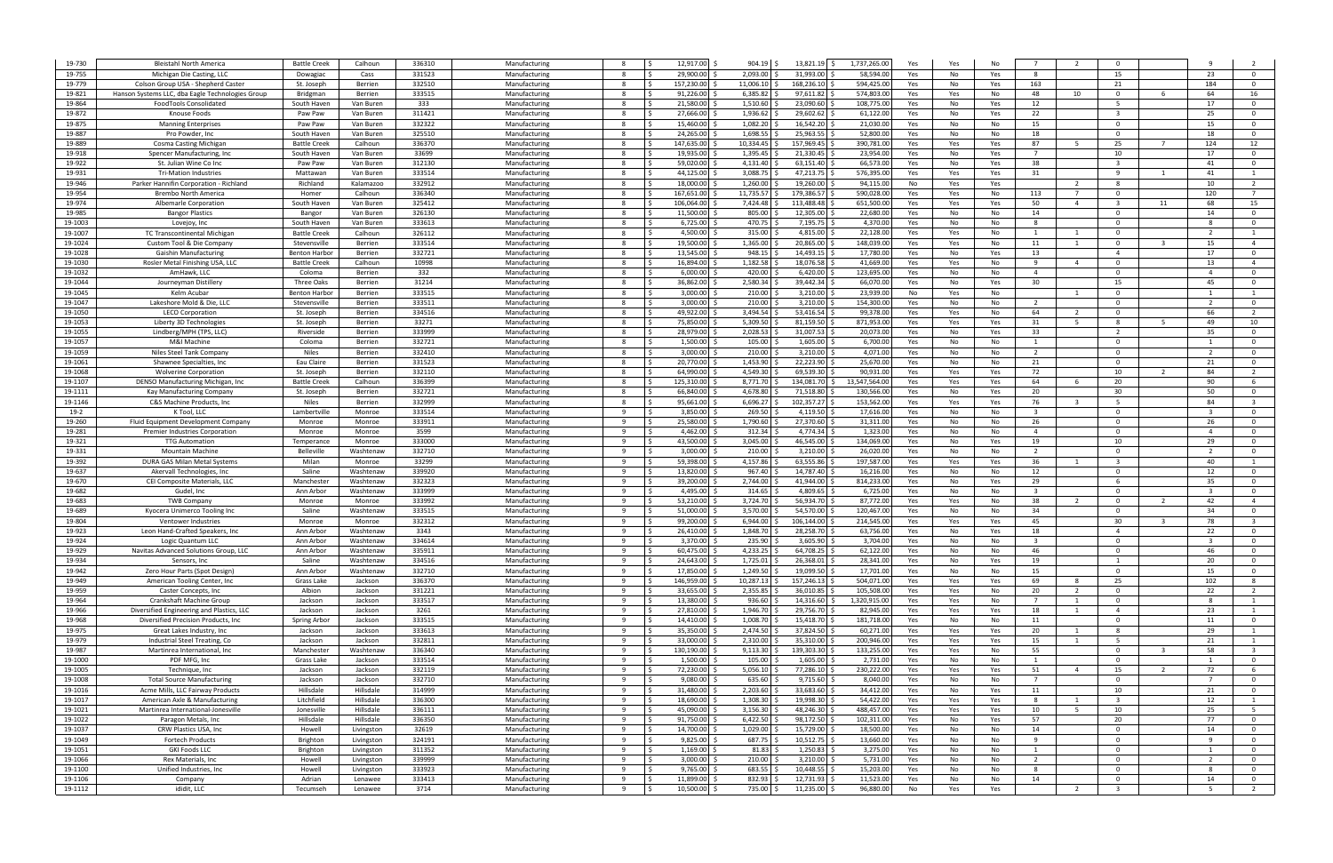| 19-730             | <b>Bleistahl North America</b>                                    | <b>Battle Creek</b>                | Calhoun                | 336310           | Manufacturing                  |                      | 12,917.00<br>$904.19$ \$                                  | 13,821.19 \$                   | 1,737,265.00<br>Yes                   | Yes        | No         | $\overline{7}$                   |                       | $\Omega$                         |                          |                |                                                    |
|--------------------|-------------------------------------------------------------------|------------------------------------|------------------------|------------------|--------------------------------|----------------------|-----------------------------------------------------------|--------------------------------|---------------------------------------|------------|------------|----------------------------------|-----------------------|----------------------------------|--------------------------|----------------|----------------------------------------------------|
| 19-755             | Michigan Die Casting, LLC                                         | Dowagiac                           | Cass                   | 331523           | Manufacturing                  | -8                   | 2,093.00<br>29,900.00                                     | 31,993.00                      | 58,594.0<br>Yes                       | No         | Yes        | -8                               |                       | 15                               |                          | 23             | $\Omega$                                           |
| 19-779             | Colson Group USA - Shepherd Caster                                | St. Joseph                         | Berrien                | 332510           | Manufacturing                  | -8                   | 157,230.00<br>11,006.10                                   | 168,236.10                     | 594,425.0<br>Yes                      | No         | Yes        | 163                              |                       | 21                               |                          | 184            | $\Omega$                                           |
| 19-821             | Hanson Systems LLC, dba Eagle Technologies Group                  | Bridgman                           | Berrien                | 333515           | Manufacturing                  | 8                    | 91,226.00<br>6,385.82                                     | 97,611.82                      | 574,803.0<br>Yes                      | Yes        | No         | 48                               | 10                    | $\Omega$                         |                          | 64             | 16                                                 |
| 19-864             | FoodTools Consolidated                                            | South Haven                        | Van Buren              | 333<br>311421    | Manufacturing<br>Manufacturing | - 8<br>-8            | 21,580.00<br>1,510.60<br>27,666.00<br>1,936.62            | 23,090.60<br>29,602.62         | 108,775.0<br>Yes<br>61,122.0          | No         | Yes        | 12<br>22                         |                       | - 5<br>$\mathbf{R}$              |                          | 17<br>25       | $\overline{\mathbf{0}}$<br>$\overline{0}$          |
| 19-872<br>19-875   | Knouse Foods<br><b>Manning Enterprises</b>                        | Paw Paw<br>Paw Paw                 | Van Buren<br>Van Buren | 332322           | Manufacturing                  | - 8                  | 15,460.00<br>1,082.20                                     | 16,542.20                      | Yes<br>21,030.0<br>Yes                | No<br>No   | Yes<br>No  | 15                               |                       | $\Omega$                         |                          | 15             | $\overline{0}$                                     |
| 19-887             | Pro Powder, Inc                                                   | South Haven                        | Van Buren              | 325510           | Manufacturing                  | -8                   | 24,265.00<br>1,698.5                                      | 25,963.55                      | 52,800.<br>Yes                        | No         | No         | 18                               |                       | $\Omega$                         |                          | 18             | $\overline{0}$                                     |
| 19-889             | Cosma Casting Michigan                                            | <b>Battle Creek</b>                | Calhoun                | 336370           | Manufacturing                  |                      | 147,635.00<br>10,334.45                                   | 157,969.45                     | 390,781.0<br>Yes                      | Yes        | Yes        | 87                               |                       | 25                               |                          | 124            | 12                                                 |
| 19-918             | Spencer Manufacturing, Inc.                                       | South Haven                        | Van Buren              | 33699            | Manufacturing                  | -8                   | 19,935.00<br>1,395.45                                     | 21,330.45                      | 23,954.0<br>Yes                       | No         | Yes        | $\overline{7}$                   |                       | 10                               |                          | 17             | $\overline{0}$                                     |
| 19-922             | St. Julian Wine Co Inc                                            | Paw Paw                            | Van Buren              | 312130           | Manufacturing                  | -8                   | 59,020.00<br>4,131.40                                     | $63,151.40$ \$                 | 66,573.0<br>Yes                       | No         | Yes        | 38                               |                       | -3                               |                          | 41             | $\Omega$                                           |
| 19-931             | <b>Tri-Mation Industries</b>                                      | Mattawan                           | Van Buren              | 333514           | Manufacturing                  | 8                    | 3,088.7<br>44,125.00                                      | 47,213.75 \$                   | 576,395.0<br>Yes                      | Yes        | Yes        | 31                               |                       | <b>q</b>                         |                          | 41             |                                                    |
| 19-946             | Parker Hannifin Corporation - Richland                            | Richland                           | Kalamazoo              | 332912           | Manufacturing                  |                      | 1,260.00<br>18.000.00                                     | 19,260.00                      | 94,115.0<br>No                        | Yes        | Yes        |                                  |                       | 8                                |                          | 10             | $\overline{2}$                                     |
| 19-954             | Brembo North America                                              | Homer                              | Calhoun                | 336340           | Manufacturing                  | -8                   | 167,651.00 \$<br>11,735.57                                | 179,386.57 \$                  | 590,028.0<br>Yes                      | Yes        | No         | 113                              |                       | $\Omega$                         |                          | 120            | 7                                                  |
| 19-974             | Albemarle Corporation                                             | South Haven                        | Van Buren              | 325412           | Manufacturing                  | -8                   | 106,064.00<br>7,424.48                                    | 113,488.48                     | 651,500.0<br>Yes                      | Yes        | Yes        | 50                               | $\overline{4}$        | $\mathbf{R}$                     | 11                       | 68             | 15                                                 |
| 19-985             | <b>Bangor Plastics</b>                                            | Bangor                             | Van Buren              | 326130           | Manufacturing                  | - 8                  | 11,500.00 \$<br>805.00                                    | 12,305.00 \$                   | 22,680.00<br>Yes                      | No         | No         | 14                               |                       | $\Omega$                         |                          | 14             | - 0                                                |
| 19-1003<br>19-1007 | Lovejoy, Inc<br>TC Transcontinental Michigan                      | South Haven<br><b>Battle Creek</b> | Van Buren<br>Calhoun   | 333613<br>326112 | Manufacturing<br>Manufacturing | 8<br>- Ś<br>-8       | $6,725.00$ \$<br>470.75<br>4,500.00 \$<br>315.00          | 7,195.75 \$<br>4,815.00 \$     | 4,370.00<br>Yes<br>22,128.00<br>Yes   | No<br>Yes  | No<br>No   | 8<br>1                           | 1                     | $\Omega$<br>$\Omega$             |                          |                | $\overline{\mathbf{0}}$<br>$\overline{1}$          |
| 19-1024            | Custom Tool & Die Company                                         | Stevensville                       | Berrien                | 333514           | Manufacturing                  | 8<br>- Ś             | 1,365.00<br>19,500.00 \$                                  | 20,865.00                      | 148,039.0<br>Yes                      | Yes        | No         | 11                               | -1                    | $\overline{0}$                   | - 3                      | 15             | $\overline{4}$                                     |
| 19-1028            | <b>Gaishin Manufacturing</b>                                      | Benton Harbo                       | Berrien                | 332721           | Manufacturing                  | ۱s<br>-8             | 13,545.00 \$<br>948.15                                    | 14,493.15 \$                   | 17,780.0<br>Yes                       | No         | Yes        | 13                               |                       | $\overline{4}$                   |                          | 17             | $\overline{0}$                                     |
| 19-1030            | Rosler Metal Finishing USA, LLC                                   | <b>Battle Creek</b>                | Calhoun                | 10998            | Manufacturing                  | S,<br>- 8            | 16.894.00 \$<br>1,182.58                                  | 18,076.58                      | 41,669.0<br>Yes                       | Yes        | No         | 9                                | $\overline{4}$        | $\Omega$                         |                          | 13             | $\overline{4}$                                     |
| 19-1032            | AmHawk, LLC                                                       | Coloma                             | Berrien                | 332              | Manufacturing                  | - Ś<br>-8            | 420.00<br>$6.000.00$ \$                                   | $6,420.00$ \$                  | 123,695.0<br>Yes                      | No         | No         | $\overline{4}$                   |                       | $\Omega$                         |                          |                | $\overline{0}$                                     |
| 19-1044            | Journeyman Distillery                                             | Three Oaks                         | Berrien                | 31214            | Manufacturing                  | - Ś<br>8             | 2,580.34<br>36,862.00 \$                                  | 39,442.34 \$                   | 66,070.0<br>Yes                       | No         | Yes        | 30                               |                       | 15                               |                          | 45             | $\overline{0}$                                     |
| 19-1045            | Kelm Acuba                                                        | <b>Benton Harbo</b>                | Berrien                | 333515           | Manufacturing                  | - S<br>- 8           | 3.000.00<br>210.00                                        | $3,210.00$ :                   | 23,939.0<br>No                        | Yes        | No         |                                  | $\overline{1}$        | $\Omega$                         |                          |                |                                                    |
| 19-1047            | Lakeshore Mold & Die, LLC                                         | Stevensville                       | Berrien                | 333511           | Manufacturing                  | 8                    | 210.00<br>3.000.00                                        | 3,210.00                       | 154,300.0<br>Yes                      | No         | No         | $\overline{2}$                   |                       | $\Omega$                         |                          | $\overline{2}$ | $\mathbf{0}$                                       |
| 19-1050            | <b>LECO Corporation</b>                                           | St. Joseph                         | Berrien                | 334516           | Manufacturing                  | - 8                  | 3,494.54<br>49,922.00 \$                                  | 53,416.54                      | 99,378.0<br>Yes                       | Yes        | No         | 64                               | $\overline{2}$        | $\Omega$                         |                          | 66             | $\overline{2}$                                     |
| 19-1053            | Liberty 3D Technologies                                           | St. Joseph                         | Berrien                | 33271            | Manufacturing                  | 8                    | 5,309.50<br>75,850.00                                     | 81,159.50                      | 871,953.0<br>Yes                      | Yes        | Yes        | 31                               | - 5                   | -8                               | - 5                      | 49             | 10                                                 |
| 19-1055            | Lindberg/MPH (TPS, LLC)                                           | Riverside                          | Berrien                | 333999           | Manufacturing                  |                      | 28,979.00 \$<br>2,028.53                                  | 31,007.53                      | 20,073.0<br>Yes                       | No         | Yes        | 33                               |                       | $\overline{\phantom{a}}$         |                          | 35             | $\Omega$                                           |
| 19-1057<br>19-1059 | M&I Machine                                                       | Coloma                             | Berrien                | 332721<br>332410 | Manufacturing                  | 8<br>- 8             | 1,500.00<br>105.00<br>$3,000.00$ \$<br>210.00             | 1,605.00<br>3,210.00           | 6,700.0<br>Yes<br>4,071.00            | No         | No         | $\overline{1}$<br>$\overline{2}$ |                       | $\Omega$<br>$\Omega$             |                          | - 1            | $\overline{\mathbf{0}}$<br>$\overline{\mathbf{0}}$ |
| 19-1061            | Niles Steel Tank Company<br>Shawnee Specialties, Inc.             | Niles<br>Eau Claire                | Berrien<br>Berrien     | 331523           | Manufacturing<br>Manufacturing | -8                   | 1,453.90<br>20,770.00 \$                                  | 22,223.90                      | Yes<br>25,670.0<br>Yes                | No<br>No   | No<br>No   | 21                               |                       | $\Omega$                         |                          | 21             | $\overline{0}$                                     |
| 19-1068            | <b>Wolverine Corporation</b>                                      | St. Joseph                         | Berrien                | 332110           | Manufacturing                  | 8<br>- Ś             | 4,549.30<br>64,990.00 \$                                  | 69,539.30                      | 90,931.0<br>Yes                       | Yes        | Yes        | 72                               |                       | 10                               | $\overline{\phantom{a}}$ | 84             | $\overline{2}$                                     |
| 19-1107            | DENSO Manufacturing Michigan, Inc                                 | <b>Battle Creek</b>                | Calhoun                | 336399           | Manufacturing                  | - 8                  | 125,310.00<br>8,771.70                                    | 134,081.70                     | 13,547,564.0<br>Yes                   | Yes        | Yes        | 64                               | - 6                   | 20                               |                          | 90             | 6                                                  |
| 19-1111            | Kay Manufacturing Company                                         | St. Joseph                         | Berrien                | 332721           | Manufacturing                  | -8<br>- Ś            | 66.840.00<br>4,678.80                                     | 71,518.80                      | 130,566.0<br>Yes                      | No         | Yes        | 20                               |                       | 30                               |                          | 50             | $\overline{0}$                                     |
| 19-1146            | C&S Machine Products, Inc.                                        | Niles                              | Berrien                | 332999           | Manufacturing                  | -8                   | 6,696.27<br>95,661.00                                     | 102,357.27                     | 153,562.0<br>Yes                      | Yes        | Yes        | 76                               |                       | 5                                |                          | 84             | $\overline{3}$                                     |
| $19-2$             | K Tool, LLC                                                       | Lambertville                       | Monroe                 | 333514           | Manufacturing                  | - q                  | 3,850.00<br>269.50                                        | 4,119.50                       | 17,616.0<br>Yes                       | No         | No         | -3                               |                       | $\Omega$                         |                          |                | $\Omega$                                           |
| 19-260             | Fluid Equipment Development Company                               | Monroe                             | Monroe                 | 333911           | Manufacturing                  | $\mathbf{q}$         | 25.580.00<br>1,790.60                                     | 27,370.60 \$                   | 31,311.0<br>Yes                       | No         | No         | 26                               |                       | $\Omega$                         |                          | 26             | $\Omega$                                           |
| 19-281             | Premier Industries Corporation                                    | Monroe                             | Monroe                 | 3599             | Manufacturing                  | - q                  | 4,462.00<br>312.34                                        | 4,774.34 \$                    | 1,323.0<br>Yes                        | No         | No         | $\overline{4}$                   |                       | $\Omega$                         |                          |                | $\Omega$                                           |
|                    |                                                                   |                                    |                        |                  |                                |                      |                                                           |                                |                                       |            |            |                                  |                       |                                  |                          |                |                                                    |
| 19-321             | <b>TTG Automation</b>                                             | Temperance                         | Monroe                 | 333000           | Manufacturing                  | - q                  | 43,500.00<br>3,045.00                                     | 46,545.00                      | 134,069.0<br>Yes                      | No         | Yes        | 19                               |                       | 10                               |                          | 29             | $\Omega$                                           |
| 19-331             | Mountain Machine                                                  | Belleville                         | Washtenaw              | 332710           | Manufacturing                  | - q                  | 3,000.00<br>210.00                                        | 3,210.00                       | 26,020.0<br>Yes                       | No         | No         | $\overline{2}$                   |                       | $\Omega$                         |                          |                | $\Omega$                                           |
| 19-392             | DURA GAS Milan Metal Systems                                      | Milan                              | Monroe                 | 33299            | Manufacturing                  | -9                   | 4,157.86<br>59,398.00 \$                                  | $63,555.86$ \$                 | 197,587.0<br>Yes                      | Yes        | Yes        | 36                               |                       | ્વ                               |                          | 40             |                                                    |
| 19-637             | Akervall Technologies, Inc                                        | Saline                             | Washtenaw              | 339920           | Manufacturing                  | $\mathbf{q}$         | 13,820.00<br>967.40                                       | 14,787.40                      | 16,216.00<br>Yes                      | No         | No         | 12                               |                       | $\Omega$<br>-6                   |                          | 12             | $\overline{\mathbf{0}}$                            |
| 19-670<br>19-682   | CEI Composite Materials, LLC<br>Gudel, Inc                        | Manchester<br>Ann Arbor            | Washtenaw<br>Washtenaw | 332323           | Manufacturing<br>Manufacturing | - Ś<br>-9<br>9       | 2,744.00<br>39,200.00 \$<br>4,495.00 \$<br>314.65         | 41,944.00 \$<br>4,809.65 \$    | 814,233.0<br>Yes                      | No<br>No   | Yes        | 29<br>$\overline{\mathbf{3}}$    |                       | $\Omega$                         |                          | 35             | $\overline{0}$<br>$\overline{0}$                   |
| 19-683             | <b>TWB Company</b>                                                | Monroe                             | Monroe                 | 333999<br>333992 | Manufacturing                  | -Ś<br>-9             | 53,210.00 \$<br>3,724.70                                  | 56,934.70 \$                   | 6,725.00<br>Yes<br>87,772.00<br>Yes   | Yes        | No<br>No   | 38                               | 2                     | $\Omega$                         |                          | 42             | $\overline{4}$                                     |
| 19-689             | Kvocera Unimerco Tooling Inc                                      | Saline                             | Washtenaw              | 333515           | Manufacturing                  | 9<br>- Ś             | 51.000.00<br>3,570.00                                     | 54,570.00 \$                   | 120,467.0<br>Yes                      | No         | No         | 34                               |                       | $\Omega$                         |                          | 34             | $\overline{0}$                                     |
| 19-804             | Ventower Industries                                               | Monroe                             | Monroe                 | 332312           | Manufacturing                  | -9                   | 6,944.00<br>99,200.00                                     | 106,144.00                     | 214,545.0<br>Yes                      | Yes        | Yes        | 45                               |                       | 30                               |                          | 78             | $_{\rm 3}$                                         |
| 19-923             | Leon Hand-Crafted Speakers, Inc.                                  | Ann Arbor                          | Washtenaw              | 3343             | Manufacturing                  | 9                    | 1,848.70<br>26,410.00                                     | 28,258.70                      | 63,756.0<br>Yes                       | No         | Yes        | 18                               |                       | $\overline{4}$                   |                          | 22             | $\Omega$                                           |
| 19-924             | Logic Quantum LLC                                                 | Ann Arbor                          | Washtenaw              | 334614           | Manufacturing                  | -9                   | 3.370.00<br>235.90                                        | $3.605.90$ \$                  | 3.704.00<br>Yes                       | No         | No         | $\mathbf{R}$                     |                       | $\Omega$                         |                          |                | $\Omega$                                           |
| 19-929             | Navitas Advanced Solutions Group, LLC                             | Ann Arbor                          | Washtenaw              | 335911           | Manufacturing                  | -9<br>l S            | 60,475.00 \$<br>4,233.25                                  | $64,708.25$ \$                 | 62,122.00<br>Yes                      | No         | No         | 46                               |                       | $\Omega$                         |                          | 46             | $\mathbf{0}$                                       |
| 19-934             | Sensors, Inc.                                                     | Saline                             | Washtenaw              | 334516           | Manufacturing                  | 9<br>- Ś             | 24,643.00 \$<br>1,725.01                                  | 26,368.01 \$                   | 28,341.00<br>Yes                      | No         | Yes        | 19                               |                       | $\mathbf{1}$                     |                          | 20             | $\mathbf{0}$                                       |
| 19-942             | Zero Hour Parts (Spot Design)                                     | Ann Arbor                          | Washtenaw              | 332710           | Manufacturing                  | 9                    | 17,850.00 \$<br>1,249.50                                  | 19,099.50 \$                   | 17,701.00<br>Yes                      | No         | No         | 15                               |                       | $\overline{0}$                   |                          | 15             | $\overline{0}$                                     |
| 19-949<br>19-959   | American Tooling Center, Inc.<br>Caster Concepts, Inc.            | Grass Lake<br>Albion               | Jackson<br>Jackson     | 336370<br>331221 | Manufacturing<br>Manufacturing | 9<br>l S<br>9<br>- Ś | 146,959.00 \$<br>10,287.13<br>33,655.00 \$<br>2,355.85    | 157,246.13 \$<br>36,010.85 \$  | 504,071.00<br>Yes<br>105,508.0<br>Yes | Yes<br>Yes | Yes<br>No  | 69<br>20                         | - 8<br>$\overline{2}$ | 25<br>$\overline{\mathbf{0}}$    |                          | 102<br>22      | 8<br>$\overline{2}$                                |
| 19-964             | Crankshaft Machine Group                                          | Jackson                            | Jackson                | 333517           | Manufacturing                  | 9<br>l S             | 13,380.00 \$<br>936.60                                    | 14,316.60 \$                   | 1,320,915.00<br>Yes                   | Yes        | No         | $\overline{7}$                   | 1                     | $\overline{\mathbf{0}}$          |                          | - 8            | $\mathbf{1}$                                       |
| 19-966             | Diversified Engineering and Plastics, LLC                         | Jackson                            | Jackson                | 3261             | Manufacturing                  | 9<br>۱Ś              | 27,810.00 \$<br>1,946.70                                  | 29,756.70 \$                   | 82,945.00<br>Yes                      | Yes        | Yes        | 18                               | 1                     | $\overline{4}$                   |                          | 23             | $\mathbf{1}$                                       |
| 19-968             | Diversified Precision Products, Inc                               | Spring Arbor                       | Jackson                | 333515           | Manufacturing                  | 9<br>۱Ś              | 1,008.70<br>14,410.00 \$                                  | 15,418.70 \$                   | 181,718.0<br>Yes                      | No         | No         | 11                               |                       | $\overline{\mathbf{0}}$          |                          | 11             | $\overline{0}$                                     |
| 19-975             | Great Lakes Industry, Inc.                                        | Jackson                            | Jackson                | 333613           | Manufacturing                  | 9<br>l S             | 35,350.00 \$<br>2,474.50                                  | 37,824.50 \$                   | 60,271.00<br>Yes                      | Yes        | Yes        | 20                               | 1                     | 8                                |                          | 29             | $\mathbf{1}$                                       |
| 19-979             | Industrial Steel Treating, Co                                     | Jackson                            | Jackson                | 332811           | Manufacturing                  | 9<br>-Ś              | 33,000.00 \$<br>2,310.00                                  | 35,310.00 \$                   | 200,946.0<br>Yes                      | Yes        | Yes        | 15                               | 1                     | - 5                              |                          | 21             | $\mathbf{1}$                                       |
| 19-987             | Martinrea International, Inc                                      | Manchester                         | Washtenaw              | 336340           | Manufacturing                  | 9<br>-Ś              | 130,190.00 \$<br>9,113.30                                 | 139,303.30 \$                  | 133,255.0<br>Yes                      | Yes        | No         | 55                               |                       | $\overline{0}$                   |                          | 58             | $\overline{\mathbf{3}}$                            |
| 19-1000            | PDF MFG, Inc                                                      | Grass Lake                         | Jackson                | 333514           | Manufacturing                  | 9                    | 1,500.00 \$<br>105.00                                     | 1,605.00 \$                    | 2,731.00<br>Yes                       | No         | No         | 1                                |                       | $\Omega$                         |                          |                | $\overline{0}$                                     |
| 19-1005            | Technique, Inc                                                    | Jackson                            | Jackson                | 332119           | Manufacturing                  | 9                    | 72,230.00 \$<br>5,056.10                                  | 77,286.10 \$                   | 230,222.0<br>Yes                      | Yes        | Yes        | 51                               | $\overline{4}$        | 15                               | $\overline{2}$           | 72             | 6                                                  |
| 19-1008            | <b>Total Source Manufacturing</b>                                 | Jackson                            | Jackson                | 332710           | Manufacturing                  | -9<br>9              | $9,080.00$ \$<br>635.60                                   | $9,715.60$ \$                  | 8,040.00<br>Yes                       | No         | No         |                                  |                       | $\Omega$                         |                          |                | $\Omega$<br>$\overline{0}$                         |
| 19-1016<br>19-1017 | Acme Mills, LLC Fairway Products<br>American Axle & Manufacturing | Hillsdale<br>Litchfield            | Hillsdale<br>Hillsdale | 314999<br>336300 | Manufacturing<br>Manufacturing | l\$<br>9             | 31,480.00 \$<br>$2,203.60$ \$<br>1,308.30<br>18,690.00 \$ | 33,683.60 \$<br>19,998.30 \$   | 34,412.00<br>Yes<br>54,422.00<br>Yes  | No<br>Yes  | Yes<br>Yes | 11<br>-8                         | 1                     | 10                               |                          | 21<br>12       | $\overline{1}$                                     |
| 19-1021            | Martinrea International-Jonesville                                | Jonesville                         | Hillsdale              | 336111           | Manufacturing                  | 9<br>l S             | 45,090.00 \$<br>$3,156.30$ \$                             | 48,246.30 \$                   | 488,457.00<br>Yes                     | Yes        | Yes        | 10                               | 5                     | 10                               |                          | 25             | 5                                                  |
| 19-1022            | Paragon Metals, Inc                                               | Hillsdale                          | Hillsdale              | 336350           | Manufacturing                  | 9<br>I\$             | 91,750.00 \$<br>$6,422.50$ \$                             | 98,172.50 \$                   | 102,311.00<br>Yes                     | No         | Yes        | 57                               |                       | 20                               |                          | 77             | $\overline{0}$                                     |
| 19-1037            | CRW Plastics USA, Inc.                                            | Howell                             | Livingston             | 32619            | Manufacturing                  | 9<br>l s             | 14,700.00 \$<br>1,029.00 \$                               | 15,729.00 \$                   | 18,500.00<br>Yes                      | No         | No         | 14                               |                       | $\Omega$                         |                          | 14             | $\overline{0}$                                     |
| 19-1049            | Fortech Products                                                  | Brighton                           | Livingston             | 324191           | Manufacturing                  | 9<br>l s             | $9,825.00$ \$<br>687.75 \$                                | $10,512.75$ \$                 | 13,660.00<br>Yes                      | No         | No         | 9                                |                       | $\overline{\mathbf{0}}$          |                          | <b>q</b>       | $\overline{0}$                                     |
| 19-1051            | <b>GKI Foods LLC</b>                                              | Brighton                           | Livingston             | 311352           | Manufacturing                  | 9<br>l \$            | $1,169.00$ \$<br>$81.83$ \$                               | $1,250.83$ \$                  | 3,275.00<br>Yes                       | No         | No         | 1                                |                       | $\overline{0}$                   |                          |                | $\overline{0}$                                     |
| 19-1066            | Rex Materials, Inc                                                | Howell                             | Livingston             | 339999           | Manufacturing                  | 9<br>l s             | $3,000.00$ \$<br>210.00 \$                                | $3,210.00$ \$                  | 5,731.00<br>Yes                       | No         | No         | 2                                |                       | $\overline{0}$                   |                          | $\overline{2}$ | $\overline{0}$                                     |
| 19-1100            | Unified Industries, Inc.                                          | Howell                             | Livingston             | 333923           | Manufacturing                  | 9<br>l ś             | $9,765.00$ \$<br>683.55                                   | 10,448.55 \$                   | 15,203.00<br>Yes                      | No         | No         | 8                                |                       | $\Omega$                         |                          |                | $\overline{0}$                                     |
| 19-1106<br>19-1112 | Company<br>ididit, LLC                                            | Adrian<br>Tecumseh                 | Lenawee<br>Lenawee     | 333413<br>3714   | Manufacturing<br>Manufacturing | 9<br>l s<br>9<br>- Ś | 11,899.00 \$<br>832.93<br>10,500.00 \$<br>735.00 \$       | 12,731.93 \$<br>$11,235.00$ \$ | 11,523.00<br>Yes<br>96,880.00<br>No   | No<br>Yes  | No<br>Yes  | 14                               | 2                     | $\overline{0}$<br>$\overline{3}$ |                          | 14<br>5        | $\overline{0}$<br>$\overline{2}$                   |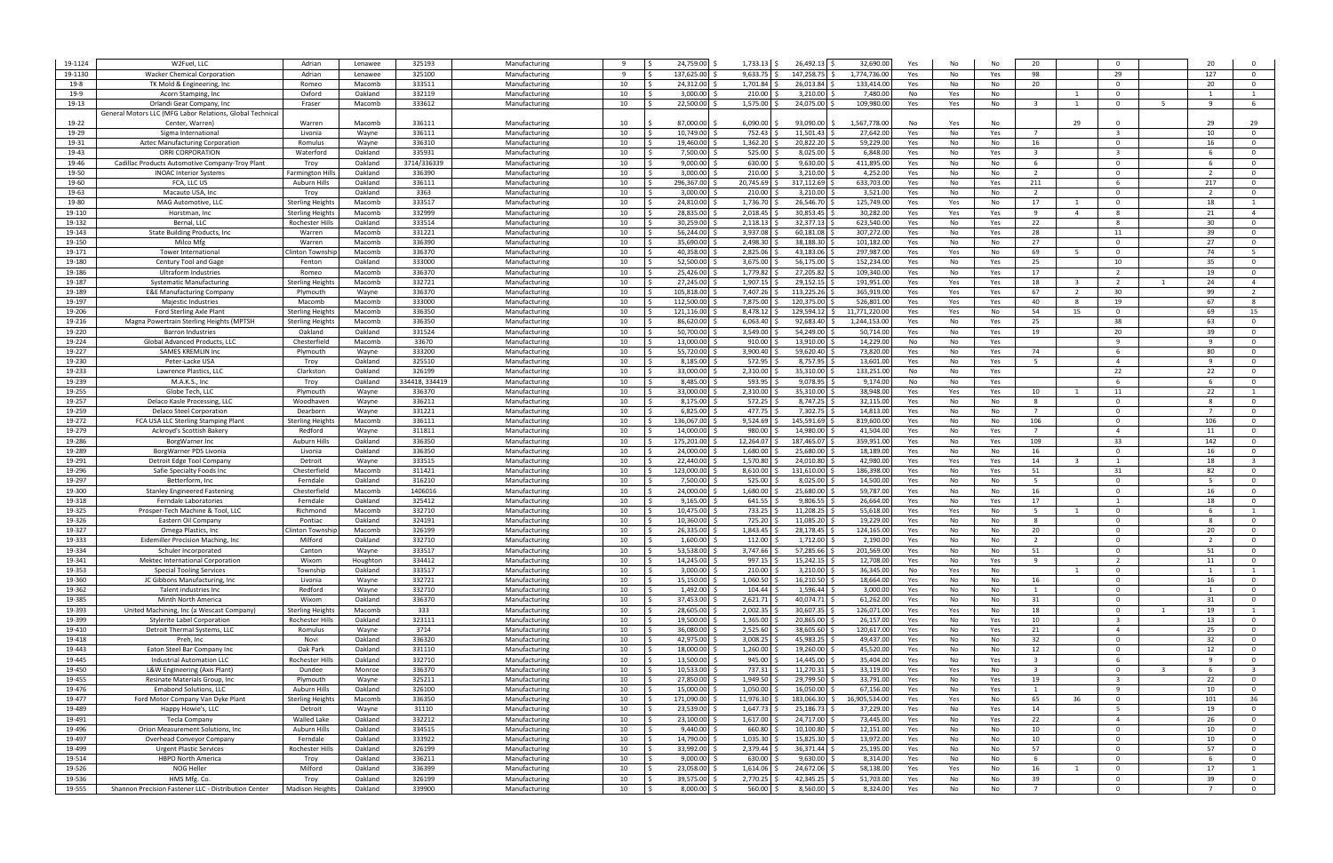| 19-1124          | W2Fuel, LLC                                              | Adrian                             | Lenawee            | 325193           | Manufacturing                  |              | 24,759.00                     | 1,733.13                | 26,492.13                      | 32,690.00              | Yes<br>No              | N.         | 20                      | $\Omega$                   |    |                    |                                           |
|------------------|----------------------------------------------------------|------------------------------------|--------------------|------------------|--------------------------------|--------------|-------------------------------|-------------------------|--------------------------------|------------------------|------------------------|------------|-------------------------|----------------------------|----|--------------------|-------------------------------------------|
| 19-1130          | <b>Wacker Chemical Corporation</b>                       | Adrian                             | Lenawee            | 325100           | Manufacturing                  | $\mathbf{q}$ | 137,625.00                    | 9.633.75                | 147.258.7                      | 1.774.736.0            | Yes<br>No              | Yes        | 98                      | 29                         |    | 127                | $\Omega$                                  |
| $19-8$           | TK Mold & Engineering, Inc                               | Romeo                              | Macomb             | 333511           | Manufacturing                  | 10           | 24,312.00                     | 1,701.84                | 26,013.84                      | 133,414.0              | Yes<br>No              | No         | 20                      | $\Omega$                   |    | 20                 | $\overline{0}$                            |
| 19-9             | Acorn Stamping, Inc.                                     | Oxford                             | Oakland            | 332119           | Manufacturing                  | 10           | 3,000.00                      | 210.00                  | 3,210.00                       | 7,480.0                | No<br>Yes              | No         |                         | $\Omega$                   |    |                    |                                           |
| 19-13            | Orlandi Gear Company, Inc.                               | Fraser                             | Macomb             | 333612           | Manufacturing                  | 10           | 22,500.00                     | 1,575.00                | 24,075.00                      | 109,980.0              | Yes<br>Yes             | No         | $\overline{\mathbf{3}}$ | $\Omega$                   | -5 |                    | -6                                        |
|                  | General Motors LLC (MFG Labor Relations, Global Technica |                                    |                    |                  |                                |              |                               |                         |                                |                        |                        |            |                         |                            |    |                    |                                           |
| 19-22            | Center, Warren)                                          | Warren                             | Macomb             | 336111           | Manufacturing                  | 10           | 87.000.00                     | 6.090.00                | 93,090.00                      | 1,567,778.0            | No<br>Yes              | N.         |                         | 29<br>$\Omega$             |    | 29                 | 29                                        |
| 19-29            | Sigma International                                      | Livonia                            | Wayne              | 336111           | Manufacturing                  | 10           | 10.749.00                     | 752.43                  | 11,501.43                      | 27,642.0               | Yes<br>No              | Yes        |                         | $\overline{3}$             |    | 10                 | $\overline{0}$                            |
| 19-31            | Aztec Manufacturing Corporation                          | Romulus                            | Wayne              | 336310           | Manufacturing                  | 10           | 19,460.00                     | 1,362.20                | 20,822.20                      | 59,229.0               | Yes<br>No              | No         | 16                      | $\Omega$                   |    | 16                 | $\Omega$                                  |
| 19-43            | ORRI CORPORATION                                         | Waterford                          | Oakland            | 335931           | Manufacturing                  | 10           | 7.500.00                      | 525.00                  | 8,025.00                       | 6.848.0                | Yes<br>No              | Yes        |                         |                            |    |                    | $\Omega$                                  |
| 19-46            | Cadillac Products Automotive Company-Troy Plant          | Troy                               | Oakland            | 3714/336339      | Manufacturing                  | 10           | 9.000.00                      | 630.00                  | 9,630.00                       | 411,895.0              | Yes<br>No              | No         | -6                      | $\Omega$                   |    |                    | $\Omega$                                  |
| 19-50            | <b>INOAC Interior Systems</b>                            | Farmington Hil                     | Oakland            | 336390           | Manufacturing                  | 10           | 3,000.00                      | 210.00                  | 3,210.00                       | 4,252.0                | Yes<br>No              | No         | 2                       | $\Omega$                   |    |                    | $\Omega$                                  |
| 19-60            | FCA, LLC US                                              | <b>Auburn Hills</b>                | Oakland            | 336111           | Manufacturing                  | 10           | 296,367.00                    | 20,745.69               | 317,112.69                     | 633,703.0              | Yes<br>No              | Yes        | 211                     | 6                          |    | 217                | $\overline{0}$                            |
| 19-63            | Macauto USA, Inc                                         | Troy                               | Oakland            | 3363             | Manufacturing                  | 10           | 3,000.00                      | 210.00                  | 3,210.00                       | 3,521.0                | Yes<br>No              | No         |                         | $\Omega$                   |    |                    | $\overline{\mathbf{0}}$                   |
| 19-80            | MAG Automotive, LLC                                      | <b>Sterling Heights</b>            | Macomb             | 333517           | Manufacturing                  | 10           | 24,810.00 \$                  | 1,736.70                | 26,546.70                      | 125,749.0              | Yes<br>Yes             | No         | 17                      | $\Omega$                   |    | 18                 | -1                                        |
| 19-110           | Horstman, Inc.                                           | <b>Sterling Height:</b>            | Macomb             | 332999           | Manufacturing                  | 10           | 28,835.00 \$                  | 2,018.45                | 30,853.45                      | 30,282.0               | Yes<br>Yes             | Yes        | 9                       | $\overline{4}$<br>8        |    | 21                 | $\overline{4}$                            |
| 19-132           | Bernal, LLC                                              | Rochester Hill:                    | Oakland            | 333514           | Manufacturing                  | 10           | 30,259.00                     | 2,118.13                | 32,377.13                      | 623,540.0              | Yes<br>No              | Yes        | 22                      | 8                          |    | 30                 | $\overline{0}$                            |
| 19-143           | State Building Products, Inc.                            | Warren                             | Macomb             | 331221           | Manufacturing                  | 10           | 56,244.00 \$                  | 3,937.08                | 60,181.08                      | 307,272.0              | Yes<br>No              | Yes        | 28                      | 11                         |    | 39                 | $\overline{0}$                            |
| 19-150           | Milco Mfg                                                | Warren                             | Macomb             | 336390           | Manufacturing                  | 10           | 35.690.00                     | 2,498.30                | 38,188.30                      | 101,182.0              | Yes<br>No              | No         | 27                      | $\Omega$                   |    | 27                 | $\overline{0}$                            |
| 19-171           | Tower International                                      | Clinton Townsh                     | Macomb             | 336370           | Manufacturing                  | 10           | 40,358.00 \$                  | 2,825.06                | 43,183.06                      | 297,987.0              | Yes<br>Yes             | No         | 69                      | $\Omega$<br>-5             |    | 74                 | 5                                         |
| 19-180           | Century Tool and Gage                                    | Fenton                             | Oakland            | 333000           | Manufacturing                  | 10           | 52,500.00                     | 3,675.00                | 56,175.00                      | 152,234.0              | Yes<br>No              | Yes        | 25                      | 10                         |    | 35                 | $\overline{0}$                            |
| 19-186           | Ultraform Industries                                     | Romeo                              | Macomb             | 336370           | Manufacturing                  | 10           | 25.426.00                     | 1,779.82                | 27,205.82                      | 109,340.0              | Yes<br>No              | Yes        | 17                      | $\overline{2}$             |    | 19                 | $\mathbf{0}$                              |
| 19-187           | <b>Systematic Manufacturing</b>                          | <b>Sterling Height</b>             | Macomb             | 332721           | Manufacturing                  | 10           | 27,245.00                     | 1,907.15                | 29,152.15                      | 191,951.0              | Yes<br>Yes             | Yes        | 18                      | $\overline{2}$<br>- 3      |    | 24                 | $\overline{4}$                            |
| 19-189           | <b>E&amp;E Manufacturing Company</b>                     | Plymouth                           | Wayne              | 336370           | Manufacturing                  | 10           | 105,818.00                    | 7,407.26                | 113,225.26                     | 365,919.0              | Yes<br>Yes             | Yes        | 67                      | 30<br>2                    |    | 99                 | 2                                         |
| 19-197           | Majestic Industries                                      | Macomb                             | Macomb             | 333000           | Manufacturing                  | 10           | 112,500.00                    | 7,875.00                | 120,375.00                     | 526,801.0              | Yes<br>Yes             | Yes        | 40                      | 19<br>- 8                  |    | 67                 | -8                                        |
| 19-206           | Ford Sterling Axle Plant                                 | <b>Sterling Height:</b>            | Macomb             | 336350           | Manufacturing                  | 10           | 121,116.00                    | 8,478.12                | 129,594.12                     | 11,771,220.0           | Yes<br>Yes             | No         | 54                      | 15<br>$\Omega$             |    | 69                 | 15                                        |
| 19-216           | Magna Powertrain Sterling Heights (MPTSH                 | <b>Sterling Height</b>             | Macomb             | 336350           | Manufacturing                  | 10           | 86,620.00                     | 6,063.40                | 92,683.40                      | 1,244,153.0            | Yes<br>No              | Yes        | 25                      | 38                         |    | 63                 | $\overline{0}$                            |
| 19-220           | <b>Barron Industries</b>                                 | Oakland                            | Oakland            | 331524           | Manufacturing                  | 10           | 50,700.00                     | 3,549.00                | 54,249.00                      | 50,714.0               | Yes<br>No              | Yes        | 19                      | 20                         |    | 39                 | $\overline{0}$                            |
| 19-224           | Global Advanced Products, LLC                            | Chesterfield                       | Macoml             | 33670            | Manufacturing                  | 10           | 13,000.00                     | 910.00                  | 13,910.00                      | 14,229.0               | No<br>No               | Yes        |                         | $\mathbf{q}$               |    | <b>q</b>           | $\overline{0}$                            |
| 19-227           | <b>SAMES KREMLIN Inc</b>                                 | Plymouth                           | Wayne              | 333200           | Manufacturing                  | 10           | 55,720.00                     | 3,900.40                | 59,620.40                      | 73,820.0               | Yes<br>No              | Yes        | 74                      | -6<br>$\overline{4}$       |    | 80<br>$\mathbf{q}$ | $\overline{0}$<br>$\overline{0}$          |
| 19-230<br>19-233 | Peter-Lacke USA                                          | Troy<br>Clarkston                  | Oakland<br>Oakland | 325510<br>326199 | Manufacturing                  | 10<br>10     | 8,185.00<br>33.000.00         | 572.95<br>2,310.00      | 8,757.95<br>35,310.00          | 13,601.0<br>133,251.0  | Yes<br>No<br>No        | Yes        | - 5                     | 22                         |    | 22                 | $\overline{0}$                            |
| 19-239           | Lawrence Plastics, LLC<br>M.A.K.S., Inc                  | Troy                               | Oakland            | 334418, 334419   | Manufacturing<br>Manufacturing | 10           | 8,485.00                      | 593.95                  | 9,078.95                       | 9,174.0                | No<br>No<br>No         | Yes<br>Yes |                         | -6                         |    |                    | $\Omega$                                  |
| 19-255           | Globe Tech, LLC                                          | Plymouth                           | Wayne              | 336370           | Manufacturing                  | 10           | 33,000.00                     | 2,310.00                | 35,310.00                      | 38,948.0               | Yes<br>Yes             | Yes        | 10                      | 11                         |    | 22                 |                                           |
| 19-257           | Delaco Kasle Processing, LLC                             | Woodhaven                          | Wayne              | 336211           | Manufacturing                  | 10           | 8,175.00                      | 572.25                  | 8,747.25                       | 32,115.0               | Yes<br>No              | No         | - 8                     | $\Omega$                   |    |                    | $\Omega$                                  |
| 19-259           | Delaco Steel Corporation                                 | Dearborn                           | Wayne              | 331221           | Manufacturing                  | 10           | 6,825.00                      | 477.75                  | 7,302.75                       | 14,813.0               | Yes<br>No              | No         | $\overline{7}$          | $\Omega$                   |    |                    | $\Omega$                                  |
| 19-272           | FCA USA LLC Sterling Stamping Plant                      | Sterling Height                    | Macomb             | 336111           | Manufacturing                  | 10           | 136,067.00 \$                 | 9,524.69                | 145,591.69                     | 819,600.0              | Yes<br>No              | No         | 106                     | $\Omega$                   |    | 106                | $\Omega$                                  |
| 19-279           | Ackroyd's Scottish Bakery                                | Redford                            | Wayne              | 311811           | Manufacturing                  | 10           | 14.000.00                     | 980.00                  | 14,980.00                      | 41,504.0               | Yes<br>No              | Yes        |                         | $\overline{a}$             |    | 11                 | $\Omega$                                  |
| 19-286           | BorgWarner Inc                                           | Auburn Hills                       | Oakland            | 336350           | Manufacturing                  | 10           | 175,201.00 \$                 | 12,264.07               | 187,465.07                     | 359,951.0              | Yes<br>No              | Yes        | 109                     | 33                         |    | 142                | $\overline{\mathbf{0}}$                   |
| 19-289           | BorgWarner PDS Livonia                                   | Livonia                            | Oakland            | 336350           | Manufacturing                  | 10           | 24,000.00                     | 1,680.00                | 25,680.00                      | 18,189.0               | Yes<br>No              | No         | 16                      | $\Omega$                   |    | 16                 | $\overline{\mathbf{0}}$                   |
| 19-291           | Detroit Edge Tool Company                                | Detroit                            | Wayne              | 333515           | Manufacturing                  | 10           | 22,440.00 \$                  | 1,570.80                | 24,010.80                      | 42,980.0               | Yes<br>Yes             | Yes        | 14                      | - 3<br>$\overline{1}$      |    | 18                 | $\overline{3}$                            |
| 19-296           | Safie Specialty Foods Inc                                | Chesterfield                       | Macomb             | 311421           | Manufacturing                  | 10           | 123,000.00                    | 8,610.00                | 131,610.00                     | 186,398.0              | Yes<br>No              | Yes        | 51                      | 31                         |    | 82                 | $\overline{0}$                            |
| 19-297           | Betterform, Inc                                          | Ferndale                           | Oakland            | 316210           | Manufacturing                  | 10           | 7,500.00                      | 525.00                  | 8,025.00                       | 14,500.0               | Yes<br>No              | No         | -5                      | $\Omega$                   |    |                    | $\overline{0}$                            |
| 19-300           | Stanley Engineered Fastening                             | Chesterfield                       | Macomb             | 1406016          | Manufacturing                  | 10           | 24.000.00                     | 1.680.00                | 25,680.00                      | 59,787.0               | Yes<br>No              | No         | 16                      | $\Omega$                   |    | 16                 | $\Omega$                                  |
| 19-318           | Ferndale Laboratories                                    | Ferndale                           | Oakland            | 325412           | Manufacturing                  | 10           | 9,165.00                      | 641.55                  | 9,806.55                       | 26,664.0               | Yes<br>No              | Yes        | 17                      |                            |    | 18                 | $\overline{0}$                            |
| 19-325           | Prosper-Tech Machine & Tool. LLC                         | Richmond                           | Macomb             | 332710           | Manufacturing                  | 10           | 10,475.00                     | 733.25                  | 11,208.25                      | 55,618.0               | Yes<br>Yes             | No         | - 5                     | $\Omega$<br>1              |    |                    | $\overline{1}$                            |
| 19-326           | Eastern Oil Company                                      | Pontiac                            | Oakland            | 324191           | Manufacturing                  | 10           | 10.360.00                     | 725.20                  | 11,085.20                      | 19,229.0               | Yes<br>No              | No         | - 8                     | $\Omega$                   |    |                    | $\Omega$                                  |
| 19-327           | Omega Plastics, Inc.                                     | Clinton Townsh                     | Macomb             | 326199           | Manufacturing                  | 10           | 26,335.00                     | 1,843.45                | 28,178.45                      | 124,165.0              | Yes<br>No              | No         | 20                      | $\Omega$                   |    | 20                 | $^{\circ}$                                |
| 19-333           | Eidemiller Precision Maching, Inc.                       | Milford                            | Oakland            | 332710           | Manufacturing                  | 10           | $1,600.00$ \$                 | 112.00                  | 1,712.00 \$                    | 2,190.0                | Yes<br>No              | No         | 2                       | $\Omega$                   |    | $\overline{2}$     | $\mathbf{0}$                              |
| 19-334           | Schuler Incorporated                                     | Canton                             | Wayne              | 333517           | Manufacturing                  | 10           | 53,538.00 \$                  | 3,747.66                | 57,285.66 \$                   | 201,569.00             | Yes<br>No              | No         | 51                      | $\overline{\mathbf{0}}$    |    | 51                 | $\overline{0}$                            |
| 19-341           | Mektec International Corporation                         | Wixom                              | Houghton           | 334412           | Manufacturing                  | 10           | 14,245.00 \$                  | 997.15                  | 15,242.15                      | 12,708.0               | Yes<br>No              | Yes        | 9                       | $\overline{2}$             |    | 11                 | $\overline{\mathbf{0}}$                   |
| 19-353           | <b>Special Tooling Services</b>                          | Township                           | Oakland            | 333517           | Manufacturing                  | 10           | $3,000.00$ \$                 | 210.00                  | 3,210.00                       | 36,345.00              | No<br>Yes              | No         |                         | $\overline{0}$<br>1        |    | $\overline{1}$     | $\overline{1}$                            |
| 19-360           | JC Gibbons Manufacturing, Inc.                           | Livonia                            | Wayne              | 332721           | Manufacturing                  | 10           | 15,150.00 \$                  | 1,060.50                | 16,210.50                      | 18,664.0               | Yes<br>No              | No         | 16                      | $\mathbf 0$                |    | 16                 | $\overline{0}$                            |
| 19-362           | Talent industries Inc                                    | Redford                            | Wayne              | 332710           | Manufacturing                  | 10           | 1,492.00 \$                   | 104.44                  | 1,596.44                       | 3,000.0                | Yes<br>No              | No         | 1                       | $\Omega$                   |    | $\overline{1}$     | $\overline{0}$                            |
| 19-385           | Minth North America                                      | Wixom                              | Oakland            | 336370           | Manufacturing                  | 10           | 37,453.00 \$                  | 2,621.71                | 40,074.71 \$                   | 61,262.0               | Yes<br>No              | No         | 31                      | $\overline{0}$             |    | 31                 | $\overline{0}$                            |
| 19-393           | United Machining, Inc (a Wescast Company)                | <b>Sterling Height:</b>            | Macomb             | 333              | Manufacturing                  | 10           | 28,605.00                     | 2,002.35                | 30,607.35                      | 126,071.0              | Yes<br>Yes             | No         | 18                      | $\Omega$                   |    | 19                 | $\mathbf{1}$                              |
| 19-399           | Stylerite Label Corporation                              | Rochester Hills                    | Oakland            | 323111           | Manufacturing                  | 10           | 19,500.00 \$                  | 1,365.00                | 20,865.00                      | 26,157.0               | Yes<br>No              | Yes        | 10                      | $\overline{\mathbf{3}}$    |    | 13                 | $\overline{0}$                            |
| 19-410           | Detroit Thermal Systems, LLC                             | Romulus                            | Wayne              | 3714             | Manufacturing                  | 10           | 36,080.00 \$                  | 2,525.60                | 38,605.60                      | 120,617.0              | Yes<br>No              | Yes        | 21                      | $\overline{4}$             |    | 25                 | $\overline{0}$                            |
| 19-418           | Preh, Inc                                                | Novi                               | Oakland            | 336320           | Manufacturing                  | 10           | 42,975.00 \$                  | 3,008.25                | 45,983.25                      | 49,437.0               | Yes<br>No              | No         | 32                      | $\mathbf{0}$               |    | 32                 | $\mathbf 0$                               |
| 19-443           | Eaton Steel Bar Company Inc                              | Oak Park                           | Oakland            | 331110           | Manufacturing                  | 10           | 18,000.00 \$                  | 1,260.00                | 19,260.00                      | 45,520.0               | Yes<br>No              | No         | 12                      | $\Omega$                   |    | 12                 | $\overline{0}$                            |
| 19-445           | <b>Industrial Automation LLC</b>                         | Rochester Hill:                    | Oakland            | 332710           | Manufacturing                  | 10           | 13,500.00 \$                  | 945.00                  | 14,445.00                      | 35,404.0               | Yes<br>No              | Yes        | $\overline{\mathbf{3}}$ | 6                          |    |                    | $\overline{\mathbf{0}}$                   |
| 19-450           | L&W Engineering (Axis Plant)                             | Dundee                             | Monroe             | 336370           | Manufacturing                  | 10           | 10,533.00 \$                  | 737.31                  | 11,270.31 \$                   | 33,119.0               | Yes<br>Yes             | No         | $\overline{3}$          | $\Omega$                   |    |                    | $\overline{\mathbf{3}}$                   |
| 19-455           | Resinate Materials Group, Inc.                           | Plymouth                           | Wayne              | 325211           | Manufacturing                  | 10           | 27,850.00 \$                  | 1,949.50                | 29,799.50                      | 33,791.00              | Yes<br>No              | Yes        | 19                      | -3                         |    | 22                 | $\overline{0}$                            |
| 19-476           | <b>Emabond Solutions, LLC</b>                            | Auburn Hills                       | Oakland            | 326100           | Manufacturing                  | 10           | 15,000.00 \$                  | 1,050.00                | 16,050.00 \$                   | 67,156.00              | Yes<br>No              | Yes        |                         | -9                         |    | 10                 | $\overline{\mathbf{0}}$                   |
| 19-477           | Ford Motor Company Van Dyke Plant                        | <b>Sterling Heights</b>            | Macomb             | 336350           | Manufacturing                  | 10           | 171,090.00 \$                 | 11,976.30               | 183,066.30 \$                  | 16,905,534.00          | Yes<br>Yes             | No         | 65                      | 36<br>$\mathbf 0$          |    | 101                | 36                                        |
| 19-489           | Happy Howie's, LLC                                       | Detroit                            | Wayne              | 31110            | Manufacturing                  | 10           | 23,539.00 \$                  | 1,647.73                | 25,186.73 \$                   | 37,229.00              | Yes<br>No              | Yes        | 14                      | -5                         |    | 19                 | $\overline{0}$                            |
| 19-491<br>19-496 | Tecla Company<br>Orion Measurement Solutions, Inc.       | <b>Walled Lake</b><br>Auburn Hills | Oakland<br>Oakland | 332212<br>334515 | Manufacturing<br>Manufacturing | 10<br>10     | 23,100.00 \$<br>$9,440.00$ \$ | $1,617.00$ \$<br>660.80 | 24,717.00 \$<br>$10,100.80$ \$ | 73,445.00<br>12,151.00 | Yes<br>No<br>Yes<br>No | Yes<br>No  | 22<br>10                | $\overline{4}$<br>$\Omega$ |    | 26<br>10           | $\overline{0}$<br>$\overline{\mathbf{0}}$ |
| 19-497           | Overhead Conveyor Company                                | Ferndale                           | Oakland            | 333922           | Manufacturing                  | 10           | 14,790.00 \$                  | 1,035.30                | 15,825.30 \$                   | 13,972.00              | Yes<br>No              | No         | 10                      | $\Omega$                   |    | 10                 | $\overline{0}$                            |
| 19-499           | Urgent Plastic Services                                  | Rochester Hill:                    | Oakland            | 326199           | Manufacturing                  | 10           | 33,992.00 \$                  | 2,379.44 \$             | 36,371.44 \$                   | 25,195.00              | Yes<br>No              | No         | 57                      | $\Omega$                   |    | 57                 | $\overline{0}$                            |
| 19-514           | <b>HBPO North America</b>                                | Troy                               | Oakland            | 336211           | Manufacturing                  | 10           | $9,000.00$ \$                 | 630.00                  | $9,630.00$ \$                  | 8,314.00               | Yes<br>No              | No         | 6                       | $\Omega$                   |    | - 6                | $\overline{0}$                            |
| 19-526           | NOG Heller                                               | Milford                            | Oakland            | 336399           | Manufacturing                  | 10           | 23,058.00 \$                  | 1,614.06                | 24,672.06 \$                   | 58,138.0               | Yes<br>Yes             | No         | 16                      | $\Omega$<br>$\overline{1}$ |    | 17                 | 1                                         |
| 19-536           | HMS Mfg. Co.                                             | Troy                               | Oakland            | 326199           | Manufacturing                  | 10           | 39,575.00 \$                  | 2,770.25                | 42,345.25                      | 51,703.0               | Yes<br>No              | No         | 39                      | $\Omega$                   |    | 39                 | $\overline{0}$                            |
| 19-555           | Shannon Precision Fastener LLC - Distribution Center     | <b>Madison Heights</b>             | Oakland            | 339900           | Manufacturing                  | 10           | $8,000.00$ \$                 | 560.00                  | 8,560.00                       | 8,324.00               | Yes<br>No              | No         | $\overline{7}$          | $\mathbf{0}$               |    | $\overline{7}$     | $\overline{0}$                            |
|                  |                                                          |                                    |                    |                  |                                |              |                               |                         |                                |                        |                        |            |                         |                            |    |                    |                                           |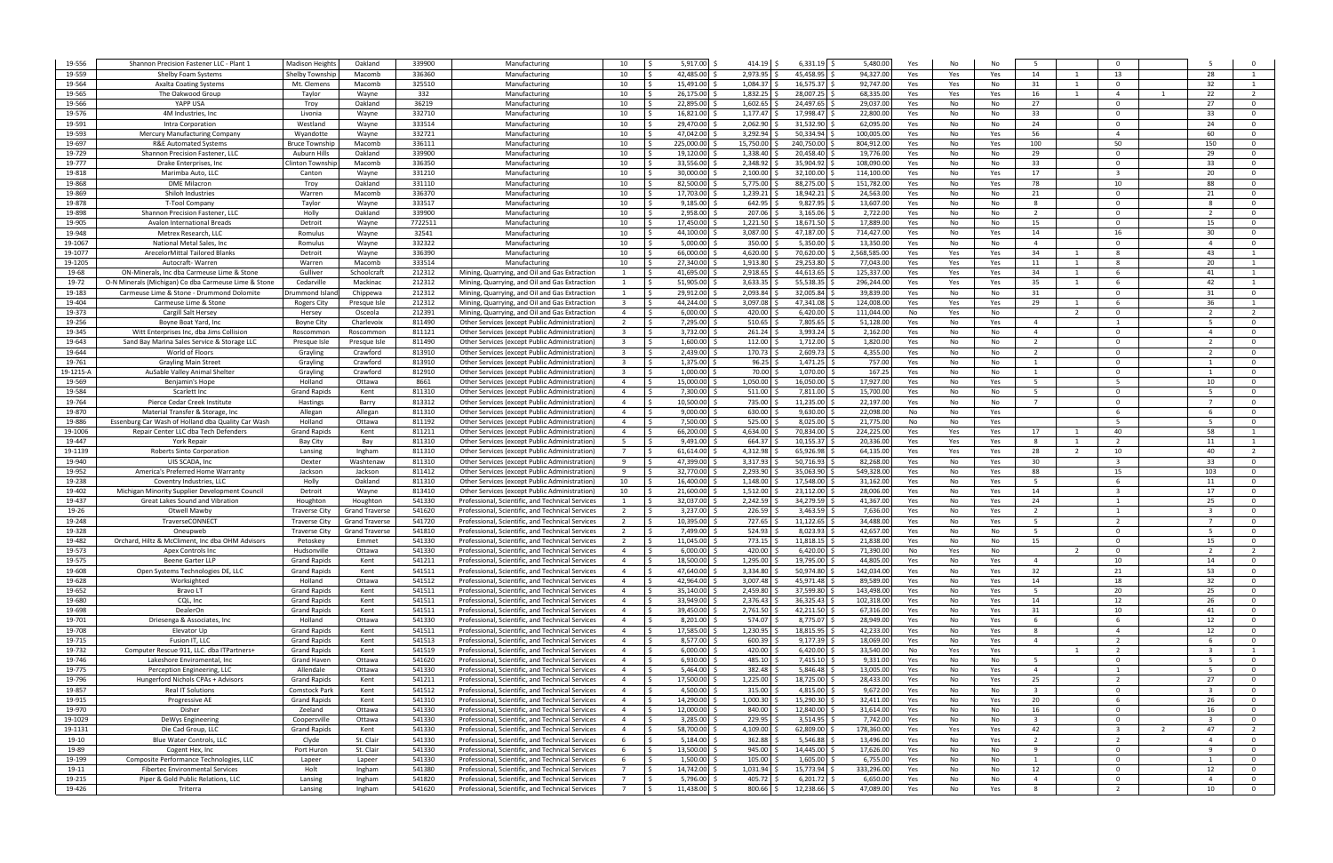| 19-556            | Shannon Precision Fastener LLC - Plant 1                   | <b>Madison Height</b>           | Oakland               | 339900           | Manufacturing                                                                                        | 10                               | 5,917.00                               | 414.19               | 6,331.19                      | 5,480.00                | Yes        | No                       |                         |                |                                  |                          |                                           |
|-------------------|------------------------------------------------------------|---------------------------------|-----------------------|------------------|------------------------------------------------------------------------------------------------------|----------------------------------|----------------------------------------|----------------------|-------------------------------|-------------------------|------------|--------------------------|-------------------------|----------------|----------------------------------|--------------------------|-------------------------------------------|
| 19-559            | Shelby Foam Systems                                        | Shelby Township                 | Macomb                | 336360           | Manufacturing                                                                                        | 10                               | 42.485.00                              | 2,973.95             | 45,458.95                     | 94,327.0                | Yes        | Yes<br>Yes               | 14                      |                | 13                               | 28                       |                                           |
| 19-564            | <b>Axalta Coating Systems</b>                              | Mt. Clemens                     | Macomb                | 325510           | Manufacturing                                                                                        | 10                               | 15,491.00                              | 1,084.37             | 16,575.37                     | 92,747.00               | Yes        | Yes<br>No                | 31                      | $\overline{1}$ | $\Omega$                         | 32                       | $\overline{1}$                            |
| 19-565            | The Oakwood Group                                          | Taylor                          | Wayne                 | 332              | Manufacturing                                                                                        | 10                               | 26,175.00                              | 1,832.25             | 28,007.25                     | 68,335.0                | Yes        | Yes<br>Yes               | 16                      | 1              | $\overline{4}$                   | 22                       | $\overline{2}$                            |
| 19-566            | YAPP USA                                                   | Troy                            | Oakland               | 36219            | Manufacturing                                                                                        | 10                               | 22,895.00                              | 1,602.65             | 24,497.65                     | 29,037.0                | Yes        | No<br>No                 | 27                      |                | $\Omega$                         | 27                       | $\overline{\mathbf{0}}$                   |
| 19-576            | 4M Industries, Inc                                         | Livonia                         | Wayne                 | 332710           | Manufacturing                                                                                        | 10                               | 16,821.00                              | 1,177.47             | 17,998.47                     | 22,800.0                | Yes        | No<br>No                 | 33                      |                | $\Omega$                         | 33                       | $\overline{0}$                            |
| 19-591            | Intra Corporation                                          | Westland                        | Wayne                 | 333514           | Manufacturing                                                                                        | 10                               | 29,470.00                              | 2,062.90             | 31,532.90                     | 62,095.0                | Yes        | No<br>No                 | 24                      |                | $\Omega$                         | 24                       | $\overline{0}$                            |
| 19-593            | Mercury Manufacturing Company                              | Wyandotte                       | Wayne                 | 332721           | Manufacturing                                                                                        | 10                               | 47,042.00                              | 3,292.94             | 50,334.9                      | 100,005.0               | Yes        | No<br>Yes                | 56                      |                | $\overline{4}$                   | 60                       | $\overline{0}$                            |
| 19-697            | <b>R&amp;E Automated Systems</b>                           | <b>Bruce Townshi</b>            | Macomb                | 336111           | Manufacturing                                                                                        | 10                               | 225,000.00                             | 15,750.00            | 240,750.00                    | 804,912.0               | Yes        | Yes<br>No                | 100                     |                | 50                               | 150                      | $\overline{0}$                            |
| 19-729            | Shannon Precision Fastener, LLC                            | Auburn Hills                    | Oakland               | 339900           | Manufacturing                                                                                        | 10                               | 19,120.00                              | 1,338.40             | 20,458.40                     | 19,776.0                | Yes        | No<br>No                 | 29                      |                | $\Omega$                         | 29                       | $\overline{0}$                            |
| 19-777            | Drake Enterprises, Inc.                                    | Clinton Townshi                 | Macomb                | 336350           | Manufacturing                                                                                        | 10                               | 33,556.00                              | 2,348.92             | 35,904.9                      | 108,090.0               | Yes        | No<br>No                 | 33                      |                | $\Omega$                         | 33                       | $\Omega$                                  |
| 19-818<br>19-868  | Marimba Auto, LLC<br><b>DME Milacron</b>                   | Canton                          | Wayne<br>Oakland      | 331210           | Manufacturing                                                                                        | 10<br>10                         | 30.000.00<br>82,500.00                 | 2,100.00<br>5,775.00 | 32,100.00<br>88,275.00        | 114,100.0               | Yes        | No<br>Yes                | 17<br>78                |                | $\overline{3}$<br>10             | 20<br>88                 | $\Omega$<br>$\Omega$                      |
| 19-869            | Shiloh Industries                                          | Troy<br>Warren                  | Macomb                | 331110<br>336370 | Manufacturing<br>Manufacturing                                                                       | 10                               | 17,703.00 \$                           | 1,239.21             | 18,942.21                     | 151,782.0<br>24,563.0   | Yes<br>Yes | No<br>Yes<br>No<br>No    | 21                      |                | $\Omega$                         | 21                       | $\Omega$                                  |
| 19-878            | <b>T-Tool Company</b>                                      | Taylor                          | Wayne                 | 333517           | Manufacturing                                                                                        | 10                               | 9,185.00                               | 642.95               | 9,827.95                      | 13,607.0                | Yes        | No<br>No                 | 8                       |                | $\Omega$                         |                          | $\Omega$                                  |
| 19-898            | Shannon Precision Fastener, LLC                            | Holly                           | Oakland               | 339900           | Manufacturing                                                                                        | 10                               | 2,958.00                               | 207.06               | 3,165.06                      | 2,722.00                | Yes        | No<br>No                 | 2                       |                | $\Omega$                         |                          | $\overline{\mathbf{0}}$                   |
| 19-905            | Avalon International Breads                                | Detroit                         | Wayne                 | 7722511          | Manufacturing                                                                                        | 10                               | 17,450.00                              | 1,221.50             | 18,671.50                     | 17,889.0                | Yes        | No<br>No                 | 15                      |                | $\Omega$                         | 15                       | $\Omega$                                  |
| 19-948            | Metrex Research, LLC                                       | Romulus                         | Wayne                 | 32541            | Manufacturing                                                                                        | 10                               | 44,100.00 \$                           | 3,087.00             | 47,187.00                     | 714,427.00              | Yes        | Yes<br>No                | 14                      |                | 16                               | 30                       | $\overline{0}$                            |
| 19-1067           | National Metal Sales, Inc                                  | Romulus                         | Wayne                 | 332322           | Manufacturing                                                                                        | 10                               | 5,000.00                               | 350.00               | 5,350.00                      | 13,350.00               | Yes        | No<br>No                 | $\overline{4}$          |                | $\Omega$                         | $\overline{a}$           | $\overline{0}$                            |
| 19-1077           | ArecelorMittal Tailored Blanks                             | Detroit                         | Wayne                 | 336390           | Manufacturing                                                                                        | 10                               | 66,000.00                              | 4,620.00             | 70,620.00                     | 2,568,585.00            | Yes        | Yes<br>Yes               | 34                      |                |                                  | 43                       | $\overline{1}$                            |
| 19-1205           | Autocraft-Warren                                           | Warren                          | Macomb                | 333514           | Manufacturing                                                                                        | 10                               | 27.340.00 \$                           | 1,913.80             | 29,253.80                     | 77,043.0                | Yes        | Yes<br>Yes               | 11                      | $\overline{1}$ | -8                               | 20                       |                                           |
| 19-68             | ON-Minerals, Inc dba Carmeuse Lime & Stone                 | Gulliver                        | Schoolcraft           | 212312           | Mining, Quarrying, and Oil and Gas Extraction                                                        |                                  | 41,695.00 \$                           | 2,918.65             | 44,613.65                     | 125,337.0               | Yes        | Yes<br>Yes               | 34                      |                | -6                               | 41                       | $\overline{1}$                            |
| 19-72             | O-N Minerals (Michigan) Co dba Carmeuse Lime & Stone       | Cedarville                      | Mackinac              | 212312           | Mining, Quarrying, and Oil and Gas Extraction                                                        | 1                                | 51,905.00                              | 3,633.35             | 55,538.35                     | 296,244.00              | Yes        | Yes<br>Yes               | 35                      | 1              | -6                               | 42                       |                                           |
| 19-183            | Carmeuse Lime & Stone - Drummond Dolomite                  | )rummond Islar                  | Chippewa              | 212312           | Mining, Quarrying, and Oil and Gas Extraction                                                        |                                  | 29,912.00                              | 2,093.84             | 32,005.84                     | 39,839.0                | Yes        | No<br>No                 | 31                      |                | $\Omega$                         | 31                       | $\overline{0}$                            |
| 19-404            | Carmeuse Lime & Stone                                      | <b>Rogers City</b>              | Presque Isle          | 212312           | Mining, Quarrying, and Oil and Gas Extraction                                                        | $\overline{\mathbf{3}}$          | 44.244.00 \$                           | 3,097.08             | 47.341.08                     | 124,008.0               | Yes        | Yes<br>Yes               | 29                      | $\overline{1}$ | -6                               | 36                       |                                           |
| 19-373            | Cargill Salt Hersey                                        | Hersey                          | Osceola               | 212391           | Mining, Quarrying, and Oil and Gas Extraction                                                        | $\overline{a}$                   | 6,000.00                               | 420.00               | 6,420.00                      | 111,044.0               | No         | Yes<br>No                |                         | 2              | $\Omega$                         |                          | $\overline{2}$                            |
| 19-256            | Boyne Boat Yard, Inc.                                      | <b>Boyne City</b>               | Charlevoix            | 811490           | Other Services (except Public Administration)                                                        | $\overline{2}$                   | 7,295.00 \$                            | 510.65               | 7,805.65                      | 51,128.0                | Yes        | Yes<br>No                | $\overline{4}$          |                | $\overline{1}$                   | -5                       | $\overline{0}$                            |
| 19-345            | Witt Enterprises Inc, dba Jims Collision                   | Roscommon                       | Roscommon             | 811121           | Other Services (except Public Administration                                                         | $\mathbf{R}$                     | 3,732.00                               | 261.24               | 3,993.24                      | 2,162.0                 | Yes        | No<br>No                 | $\overline{4}$          |                | $\Omega$                         |                          | $\overline{\mathbf{0}}$                   |
| 19-643            | Sand Bay Marina Sales Service & Storage LLC                | Presque Isle                    | Presque Isle          | 811490           | Other Services (except Public Administration                                                         | $\overline{\mathbf{3}}$          | 1,600.00                               | 112.00               | 1,712.00                      | 1,820.00                | Yes        | No<br>No                 | $\overline{2}$          |                | $\Omega$                         | $\overline{\phantom{a}}$ | $\overline{\mathbf{0}}$                   |
| 19-644            | World of Floors                                            | Grayling                        | Crawford              | 813910           | Other Services (except Public Administration                                                         | $\overline{\mathbf{3}}$          | 2,439.00                               | 170.73               | 2,609.73                      | 4,355.0                 | Yes        | No<br>No                 | $\overline{2}$          |                | $\mathbf 0$                      |                          | $\overline{\mathbf{0}}$                   |
| 19-761            | <b>Grayling Main Street</b>                                | Grayling                        | Crawford              | 813910           | Other Services (except Public Administration                                                         | $\overline{\mathbf{3}}$          | $1,375.00$ \$                          | 96.25                | 1,471.25                      | 757.00                  | Yes        | No<br>No                 | $\mathbf{1}$            |                | $\Omega$                         | $\overline{1}$           | $\overline{0}$                            |
| 19-1215-A         | AuSable Valley Animal Shelter                              | Grayling                        | Crawford              | 812910           | Other Services (except Public Administration                                                         | $\overline{\mathbf{3}}$          | $1,000.00$ \$                          | 70.00<br>1,050.00    | 1,070.00                      | 167.2                   | Yes        | No<br>No                 | 1                       |                | $\overline{0}$                   |                          | $\overline{0}$                            |
| 19-569<br>19-584  | Benjamin's Hope                                            | Holland                         | Ottawa<br>Kent        | 8661<br>811310   | Other Services (except Public Administration)                                                        | $\overline{4}$<br>$\overline{4}$ | 15,000.00<br>7,300.00                  | 511.00               | 16,050.00<br>7,811.00         | 17,927.0<br>15,700.0    | Yes<br>Yes | No<br>Yes                | 5<br>5                  |                | - 5<br>$\Omega$                  | 10                       | $\overline{\mathbf{0}}$<br>$\overline{0}$ |
| 19-764            | Scarlett Inc<br>Pierce Cedar Creek Institute               | <b>Grand Rapids</b><br>Hastings | Barry                 | 813312           | Other Services (except Public Administration)<br>Other Services (except Public Administration        | $\overline{4}$                   | 10,500.00                              | 735.00               | 11,235.00                     | 22,197.0                | Yes        | No<br>No<br>No<br>No     | $\overline{7}$          |                | $\Omega$                         | $\overline{7}$           | $\overline{0}$                            |
| 19-870            | Material Transfer & Storage, Inc                           | Allegan                         | Allegan               | 811310           | Other Services (except Public Administration)                                                        | $\overline{a}$                   | 9,000.00                               | 630.00               | 9,630.00                      | 22,098.0                | No         | No<br>Yes                |                         |                | -6                               |                          | $\Omega$                                  |
|                   |                                                            |                                 |                       |                  |                                                                                                      |                                  |                                        |                      |                               |                         |            |                          |                         |                |                                  |                          |                                           |
|                   |                                                            |                                 |                       |                  |                                                                                                      | $\overline{a}$                   |                                        |                      |                               |                         |            |                          |                         |                | -5                               |                          | $\Omega$                                  |
| 19-886            | Essenburg Car Wash of Holland dba Quality Car Wash         | Holland                         | Ottawa                | 811192           | Other Services (except Public Administration                                                         | $\overline{4}$                   | 7.500.00                               | 525.00               | 8,025.00                      | 21,775.0                | No         | No<br>Yes                |                         |                | 40                               | 58                       |                                           |
| 19-1006<br>19-447 | Repair Center LLC dba Tech Defender:<br>York Repair        | <b>Grand Rapids</b><br>Bay City | Kent<br>Bay           | 811211<br>811310 | Other Services (except Public Administration<br>Other Services (except Public Administration         | 5                                | 66,200.00<br>$9,491.00$ \$             | 4,634.00<br>664.37   | 70,834.00<br>10,155.37        | 224,225.0<br>20,336.0   | Yes<br>Yes | Yes<br>Yes<br>Yes<br>Yes | 17<br>-8                |                | $\overline{2}$                   | 11                       | $\overline{1}$                            |
| 19-1139           | Roberts Sinto Corporation                                  | Lansing                         | Ingham                | 811310           | Other Services (except Public Administration)                                                        |                                  | 61,614.00                              | 4,312.98             | 65,926.98                     | 64,135.0                | Yes        | Yes<br>Yes               | 28                      | 2              | 10                               | 40                       |                                           |
| 19-940            | UIS SCADA, Inc                                             | Dexter                          | Washtenaw             | 811310           | Other Services (except Public Administration                                                         | - 9                              | 47,399.00 \$                           | 3,317.93             | 50,716.93                     | 82,268.00               | Yes        | Yes<br>No                | 30                      |                | ્વ                               | 33                       | $\overline{0}$                            |
| 19-952            | America's Preferred Home Warranty                          | Jackson                         | Jackson               | 811412           | Other Services (except Public Administration)                                                        | -9                               | 32,770.00                              | 2,293.90             | 35,063.90                     | 549,328.0               | Yes        | No<br>Yes                | 88                      |                | 15                               | 103                      | $\overline{\mathbf{0}}$                   |
| 19-238            | Coventry Industries, LLC                                   | Holly                           | Oakland               | 811310           | Other Services (except Public Administration)                                                        | 10                               | 16,400.00 \$                           | 1,148.00             | 17,548.00                     | 31,162.00               | Yes        | Yes<br>No                | -5                      |                | -6                               | 11                       | $\overline{0}$                            |
| 19-402            | Michigan Minority Supplier Development Council             | Detroit                         | Wayne                 | 813410           | Other Services (except Public Administration)                                                        | 10                               | 21,600.00                              | 1,512.00             | 23,112.00                     | 28,006.00               | Yes        | Yes<br>No                | 14                      |                | $\overline{3}$                   | 17                       | $\overline{0}$                            |
| 19-437            | Great Lakes Sound and Vibration                            | Houghton                        | Houghton              | 541330           | Professional, Scientific, and Technical Services                                                     |                                  | 32,037.00 \$                           | 2,242.59             | 34,279.59                     | 41,367.00               | Yes        | No<br>Yes                | 24                      |                | -1                               | 25                       | $\overline{0}$                            |
| 19-26             | Otwell Mawby                                               | <b>Traverse City</b>            | <b>Grand Traverse</b> | 541620           | Professional, Scientific, and Technical Services                                                     | $\overline{2}$                   | 3,237.00                               | 226.59               | 3,463.59                      | 7,636.00                | Yes        | Yes<br>No                | 2                       |                | 1                                |                          | $\overline{0}$                            |
| 19-248            | TraverseCONNECT                                            | <b>Traverse City</b>            | <b>Grand Traverse</b> | 541720           | Professional, Scientific, and Technical Services                                                     | $\overline{2}$                   | 10,395.00                              | 727.65               | 11,122.65                     | 34,488.00               | Yes        | No<br>Yes                | 5                       |                | $\overline{2}$                   |                          | $\overline{0}$                            |
| 19-328            | Oneupweb                                                   | <b>Traverse City</b>            | <b>Grand Traverse</b> | 541810           | Professional, Scientific, and Technical Services                                                     | $\overline{2}$                   | 7,499.00                               | 524.93               | 8,023.93                      | 42,657.0                | Yes        | No<br>No                 | 5                       |                | $\Omega$                         |                          | $\Omega$                                  |
| 19-482            | Orchard, Hiltz & McCliment, Inc dba OHM Advisors           | Petoskey                        | Emmet                 | 541330           | Professional, Scientific, and Technical Services                                                     | $\overline{2}$                   | 11.045.00 \$                           | 773.15               | 11.818.15                     | 21.838.00               | Yes        | No<br>No                 | 15                      |                | $\Omega$                         | 15                       | $\Omega$                                  |
| 19-573            | Apex Controls Inc                                          | Hudsonville                     | Ottawa                | 541330           | Professional, Scientific, and Technical Services                                                     | $\overline{4}$                   | $6,000.00$ \$<br>ΙŚ                    | 420.00               | 6,420.00                      | 71,390.00               | No         | Yes<br>No                |                         | $\overline{2}$ | $\Omega$                         | 2                        | $\overline{2}$                            |
| 19-575            | <b>Beene Garter LLP</b>                                    | <b>Grand Rapids</b>             | Kent                  | 541211           | Professional, Scientific, and Technical Services                                                     | $\overline{4}$<br>$\overline{4}$ | 18,500.00 \$<br>ΙŚ                     | 1,295.00             | 19,795.00                     | 44,805.00               | Yes        | No<br>Yes                | $\overline{4}$          |                | 10                               | 14                       | $\overline{0}$                            |
| 19-608<br>19-628  | Open Systems Technologies DE, LLC<br>Worksighted           | <b>Grand Rapids</b><br>Holland  | Kent<br>Ottawa        | 541511<br>541512 | Professional, Scientific, and Technical Services<br>Professional, Scientific, and Technical Services | $\overline{4}$                   | 47,640.00 \$<br>42,964.00 \$<br>l S    | 3,334.80<br>3,007.48 | 50,974.80<br>45,971.48        | 142,034.00<br>89,589.00 | Yes<br>Yes | No<br>Yes<br>No<br>Yes   | 32<br>14                |                | 21<br>18                         | 53<br>32                 | $\overline{0}$<br>$\overline{0}$          |
| 19-652            | Bravo LT                                                   | <b>Grand Rapids</b>             | Kent                  | 541511           | Professional, Scientific, and Technical Services                                                     | $\overline{4}$                   | 35,140.00 \$                           | 2,459.80             | 37,599.80                     | 143,498.00              | Yes        | No<br>Yes                | 5                       |                | 20                               | 25                       | $\overline{0}$                            |
| 19-680            | CQL, Inc                                                   | Grand Rapids                    | Kent                  | 541511           | Professional, Scientific, and Technical Services                                                     | $\overline{4}$                   | 33,949.00 \$<br>l S                    | 2,376.43             | 36,325.43                     | 102,318.00              | Yes        | Yes<br>No                | 14                      |                | 12                               | 26                       | $\overline{0}$                            |
| 19-698            | DealerOn                                                   | <b>Grand Rapids</b>             | Kent                  | 541511           | Professional, Scientific, and Technical Services                                                     | $\overline{4}$                   | 39,450.00 \$<br>l S                    | 2,761.50             | 42,211.50                     | 67,316.00               | Yes        | No<br>Yes                | 31                      |                | 10                               | 41                       | $\overline{0}$                            |
| 19-701            | Driesenga & Associates, Inc                                | Holland                         | Ottawa                | 541330           | Professional, Scientific, and Technical Services                                                     | $\overline{4}$                   | ۱Ś.<br>$8,201.00$ \$                   | 574.07               | 8,775.07 \$                   | 28,949.00               | Yes        | Yes<br>No                | 6                       |                | - 6                              | 12                       | $\overline{0}$                            |
| 19-708            | Elevator Up                                                | <b>Grand Rapids</b>             | Kent                  | 541511           | Professional, Scientific, and Technical Services                                                     | $\overline{4}$                   | ۱Ś.<br>17,585.00 \$                    | 1,230.95             | 18,815.95                     | 42,233.0                | Yes        | Yes<br>No                | 8                       |                | $\overline{4}$                   | 12                       | $\overline{0}$                            |
| 19-715            | Fusion IT, LLC                                             | <b>Grand Rapids</b>             | Kent                  | 541513           | Professional, Scientific, and Technical Services                                                     | $\overline{4}$                   | 8,577.00 \$<br>ΙŚ                      | 600.39               | 9,177.39                      | 18,069.00               | Yes        | No<br>Yes                | $\overline{4}$          |                | $\overline{2}$                   | - 6                      | $\overline{0}$                            |
| 19-732            | Computer Rescue 911, LLC. dba ITPartners+                  | <b>Grand Rapids</b>             | Kent                  | 541519           | Professional, Scientific, and Technical Services                                                     | $\overline{4}$                   | $6,000.00$ \$                          | 420.00               | 6,420.00                      | 33,540.0                | No         | Yes<br>Yes               |                         |                | $\overline{2}$                   |                          | 1                                         |
| 19-746            | Lakeshore Enviromental, Inc                                | Grand Haven                     | Ottawa                | 541620           | Professional, Scientific, and Technical Services                                                     | $\overline{4}$                   | 6,930.00 \$                            | 485.10               | 7,415.10                      | 9,331.00                | Yes        | No<br>No                 | 5                       |                | $\Omega$                         | - 5                      | $\overline{\mathbf{0}}$                   |
| 19-775            | Perception Engineering, LLC                                | Allendale                       | Ottawa                | 541330           | Professional, Scientific, and Technical Services                                                     | $\overline{4}$                   | 5,464.00 \$                            | 382.48               | 5,846.48                      | 13,005.00               | Yes        | No<br>Yes                | $\overline{4}$          |                | $\overline{1}$                   | - 5                      | $\overline{0}$                            |
| 19-796            | Hungerford Nichols CPAs + Advisors                         | <b>Grand Rapids</b>             | Kent                  | 541211           | Professional, Scientific, and Technical Services                                                     | $\overline{a}$                   | 17,500.00 \$                           | 1,225.00             | 18,725.00                     | 28,433.00               | Yes        | Yes<br>No                | 25                      |                | $\overline{2}$                   | 27                       | $\Omega$                                  |
| 19-857            | <b>Real IT Solutions</b>                                   | <b>Comstock Park</b>            | Kent                  | 541512           | Professional, Scientific, and Technical Services                                                     | $\overline{4}$                   | 4,500.00 \$                            | 315.00               | $4,815.00$ \$                 | 9,672.00                | Yes        | No<br>No                 | $\mathbf{R}$            |                | $\Omega$                         |                          | $\overline{0}$                            |
| 19-915            | Progressive AE                                             | <b>Grand Rapids</b>             | Kent                  | 541310           | Professional, Scientific, and Technical Services                                                     | $\overline{4}$                   | 14,290.00 \$                           | 1,000.30             | 15,290.30                     | 32,411.00               | Yes        | Yes<br>No                | 20                      |                | -6                               | 26                       | $\overline{0}$                            |
| 19-970            | Disher                                                     | Zeeland                         | Ottawa                | 541330           | Professional, Scientific, and Technical Services                                                     | $\overline{4}$                   | $12,000.00$ \$<br>l S                  | 840.00               | 12,840.00 \$                  | 31,614.00               | Yes        | No<br>No                 | 16                      |                | $\Omega$                         | 16                       | $\overline{0}$                            |
| 19-1029           | DeWys Engineering                                          | Coopersville                    | Ottawa                | 541330           | Professional, Scientific, and Technical Services                                                     | $\overline{4}$                   | $3,285.00$ \$<br>l S                   | 229.95               | $3,514.95$ \$                 | 7,742.00                | Yes        | No<br>No                 | $\overline{\mathbf{3}}$ |                | $\overline{0}$                   |                          | $\overline{0}$                            |
| 19-1131           | Die Cad Group, LLC                                         | <b>Grand Rapids</b>             | Kent                  | 541330           | Professional, Scientific, and Technical Services                                                     | $\overline{4}$                   | ۱s.<br>58,700.00 \$                    | 4,109.00             | 62,809.00 \$                  | 178,360.00              | Yes        | Yes<br>Yes               | 42                      |                | -3                               | 47                       | $\overline{2}$                            |
| 19-10             | Blue Water Controls, LLC                                   | Clyde                           | St. Clair             | 541330           | Professional, Scientific, and Technical Services                                                     | 6<br>6                           | ۱s<br>$5,184.00$ \$<br>l \$            | 362.88               | 5,546.88                      | 13,496.00               | Yes        | No<br>Yes<br>No          | $\overline{2}$<br>9     |                | $\overline{2}$<br>$\overline{0}$ | $\overline{4}$<br>-9     | $\overline{0}$<br>$\overline{0}$          |
| 19-89<br>19-199   | Cogent Hex, Inc<br>Composite Performance Technologies, LLC | Port Huron<br>Lapeer            | St. Clair<br>Lapeer   | 541330<br>541330 | Professional, Scientific, and Technical Services<br>Professional, Scientific, and Technical Services | 6                                | $13,500.00$ \$<br>$1,500.00$ \$<br>۱Ś. | 945.00<br>105.00     | 14,445.00 \$<br>$1,605.00$ \$ | 17,626.00<br>6,755.00   | Yes<br>Yes | No<br>No<br>No           | 1                       |                | $\overline{0}$                   | 1                        | $\overline{0}$                            |
| 19-11             | <b>Fibertec Environmental Services</b>                     | Holt                            | Ingham                | 541380           | Professional, Scientific, and Technical Services                                                     | $\overline{7}$                   | 14,742.00 \$<br>۱Ś.                    | 1,031.94             | 15,773.94 \$                  | 333,296.00              | Yes        | No<br>No                 | 12                      |                | $\Omega$                         | 12                       | $\overline{0}$                            |
| 19-215            | Piper & Gold Public Relations, LLC                         | Lansing                         | Ingham                | 541820           | Professional, Scientific, and Technical Services                                                     | $\overline{7}$                   | ۱Ś.<br>$5,796.00$ \$                   | 405.72               | $6,201.72$ \$                 | 6,650.00                | Yes        | No<br>No                 | $\overline{4}$          |                | $\Omega$                         | $\overline{4}$           | $\overline{0}$                            |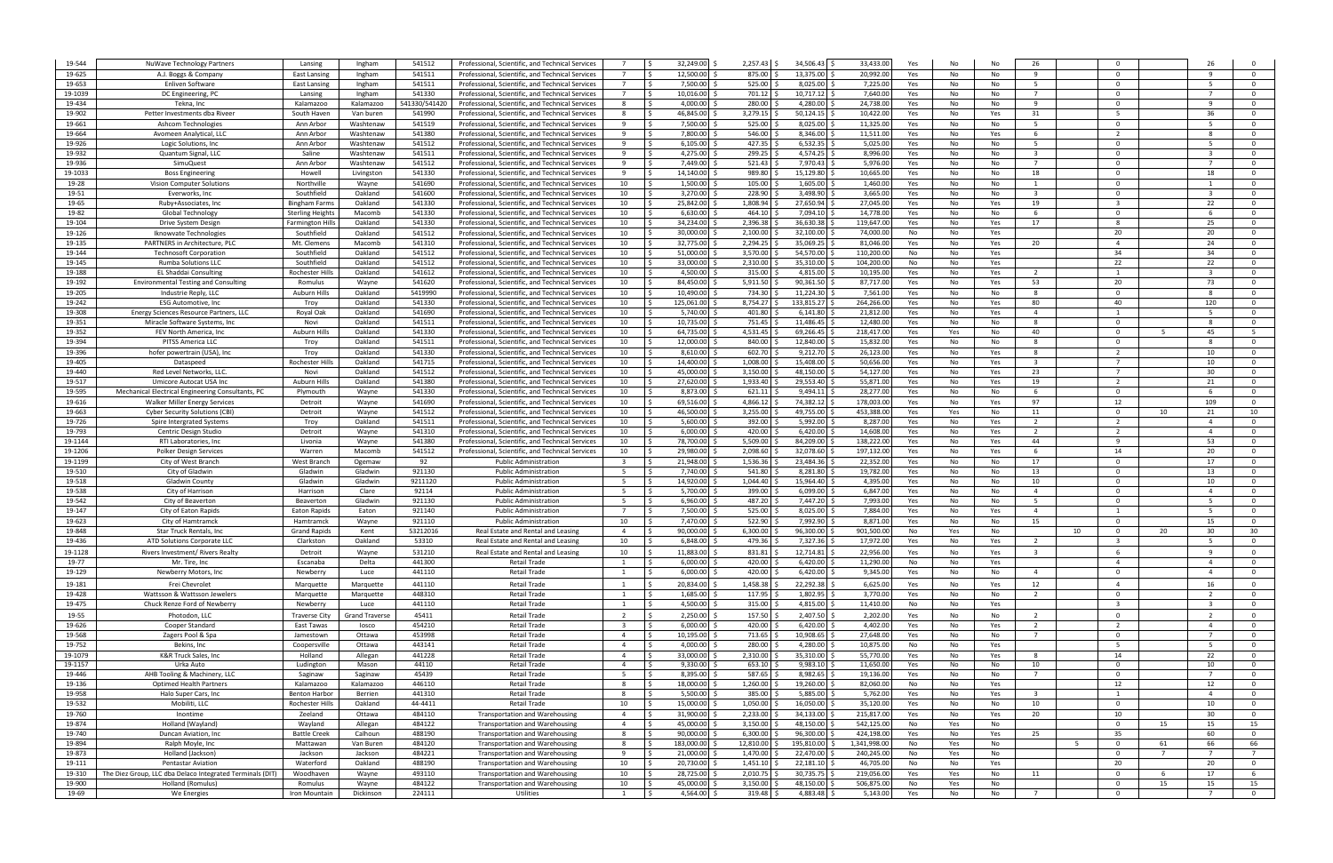| 19-544  | NuWave Technology Partners                                | Lansing               | Ingham                | 541512        | Professional, Scientific, and Technical Services |                          | 32,249.00                  | $2,257.43$ \$ | 34,506.43     | 33,433.00    | Yes | No  |     | 26                      |     |                         |             |                         |                         |
|---------|-----------------------------------------------------------|-----------------------|-----------------------|---------------|--------------------------------------------------|--------------------------|----------------------------|---------------|---------------|--------------|-----|-----|-----|-------------------------|-----|-------------------------|-------------|-------------------------|-------------------------|
|         |                                                           |                       |                       |               |                                                  |                          |                            |               |               |              |     |     |     |                         |     |                         |             |                         |                         |
| 19-625  | A.J. Boggs & Company                                      | <b>East Lansing</b>   | Ingham                | 541511        | Professional, Scientific, and Technical Services | $\overline{7}$           | 12.500.00 \$               | 875.00        | 13.375.00     | 20.992.0     | Yes | No  | No  | -9                      |     | $\Omega$                |             |                         | $\Omega$                |
| 19-653  | Enliven Software                                          | <b>East Lansing</b>   | Ingham                | 541511        | Professional, Scientific, and Technical Services | $\overline{7}$           | 7.500.00 \$                | 525.00        | 8,025.00      | 7,225.00     | Yes | No  | No  | 5                       |     | $\Omega$                |             | - 5                     | - 0                     |
| 19-1039 | DC Engineering, PC                                        | Lansing               | Ingham                | 541330        | Professional, Scientific, and Technical Services | $\overline{7}$           | 10,016.00                  | 701.12        | 10,717.12     | 7,640.00     | Yes | No  | No  | $\overline{7}$          |     | $\Omega$                |             | $\overline{7}$          | $\Omega$                |
| 19-434  | Tekna, Inc                                                | Kalamazoo             | Kalamazoo             | 541330/541420 | Professional, Scientific, and Technical Services | -8                       | $4.000.00$ S               | 280.00        | 4,280.00      | 24,738.0     | Yes | No  | No  | -9                      |     | $\Omega$                |             | - q                     | - 0                     |
| 19-902  | Petter Investments dba Riveer                             | South Haver           | Van buren             | 541990        | Professional, Scientific, and Technical Services | -8                       | 46,845.00 \$               | 3,279.15      | 50,124.15     | 10,422.0     | Yes | No  | Yes | 31                      |     | - 5                     |             | 36                      | $\Omega$                |
|         |                                                           |                       |                       |               |                                                  |                          |                            |               |               |              |     |     |     |                         |     |                         |             |                         |                         |
| 19-661  | Ashcom Technologies                                       | Ann Arbor             | Washtenaw             | 541519        | Professional, Scientific, and Technical Services | -9                       | 7,500.00                   | 525.00        | 8,025.00      | 11,325.0     | Yes | No  | No  | 5                       |     | $\Omega$                |             |                         | $\overline{\mathbf{0}}$ |
| 19-664  | Avomeen Analytical, LLC                                   | Ann Arbor             | Washtenaw             | 541380        | Professional, Scientific, and Technical Services | -9                       | 7,800.00                   | 546.00        | 8,346.00      | 11,511.0     | Yes | No  | Yes | 6                       |     | 2                       |             |                         | $\overline{\mathbf{0}}$ |
| 19-926  | Logic Solutions, Inc                                      | Ann Arbor             | Washtenaw             | 541512        | Professional, Scientific, and Technical Services | -9                       | 6,105.00                   | 427.35        | 6,532.35      | 5,025.0      | Yes | No  | No  | 5                       |     | $\Omega$                |             | - 5                     | $\overline{0}$          |
| 19-932  | Quantum Signal, LLC                                       | Saline                | Washtenaw             | 541511        | Professional, Scientific, and Technical Services | - 9                      | 4,275.00                   | 299.25        | 4,574.25      | 8,996.0      | Yes | No  | No  | $\overline{\mathbf{3}}$ |     | $\Omega$                |             |                         | $\overline{\mathbf{0}}$ |
|         |                                                           |                       |                       |               |                                                  |                          |                            |               |               |              |     |     |     |                         |     |                         |             |                         |                         |
| 19-936  | SimuQuest                                                 | Ann Arbor             | Washtenaw             | 541512        | Professional, Scientific, and Technical Services | -9                       | 7,449.00                   | 521.43        | 7,970.43      | 5,976.0      | Yes | No  | No  | $7^{\circ}$             |     | $\Omega$                |             |                         | $\overline{0}$          |
| 19-1033 | <b>Boss Engineering</b>                                   | Howell                | Livingston            | 541330        | Professional, Scientific, and Technical Services | <sup>9</sup>             | 14,140.00                  | 989.80        | 15,129.80     | 10,665.0     | Yes | No  | No  | 18                      |     | $\Omega$                |             | 18                      | $\overline{0}$          |
| 19-28   | Vision Computer Solutions                                 | Northville            | Wayne                 | 541690        | Professional, Scientific, and Technical Services | 10                       | 1,500.00                   | 105.00        | 1,605.00      | 1,460.0      | Yes | No  | No  | 1                       |     | $\Omega$                |             |                         | $\overline{0}$          |
| 19-51   | Everworks, Inc.                                           | Southfield            | Oakland               | 541600        | Professional, Scientific, and Technical Services | 10                       | 3,270.00                   | 228.90        | 3,498.90      | 3,665.0      | Yes | No  | No  | $\overline{\mathbf{3}}$ |     | $\Omega$                |             |                         | $\Omega$                |
|         |                                                           |                       |                       |               |                                                  |                          |                            |               |               |              |     |     |     |                         |     |                         |             |                         |                         |
| 19-65   | Ruby+Associates, Inc                                      | <b>Bingham Farm</b>   | Oakland               | 541330        | Professional, Scientific, and Technical Services | 10                       | 25.842.00                  | 1.808.94      | 27,650.94     | 27,045.0     | Yes | No  | Yes | 19                      |     | $\mathbf{a}$            |             | 22                      | $\Omega$                |
| 19-82   | Global Technology                                         | Sterling Height:      | Macomb                | 541330        | Professional, Scientific, and Technical Services | 10                       | $6,630.00$ \;              | 464.10        | 7,094.10      | 14,778.0     | Yes | No  | No  | - 6                     |     | $\Omega$                |             |                         | $\Omega$                |
| 19-104  | Drive System Design                                       | <b>Farmington Hil</b> | Oakland               | 541330        | Professional, Scientific, and Technical Services | 10                       | 34,234.00                  | 2,396.38      | 36,630.38     | 119,647.0    | Yes | No  | Yes | 17                      |     | 8                       |             | 25                      | - 0                     |
| 19-126  | Iknowvate Technologies                                    | Southfield            | Oakland               | 541512        | Professional, Scientific, and Technical Services | 10                       | 30,000.00                  | 2,100.00      | 32,100.00     | 74,000.0     | No  | No  | Yes |                         |     | 20                      |             | 20                      | $\overline{0}$          |
|         |                                                           |                       |                       |               |                                                  |                          |                            |               |               |              |     |     |     |                         |     |                         |             |                         |                         |
| 19-135  | PARTNERS in Architecture, PLC                             | Mt. Clemens           | Macomb                | 541310        | Professional, Scientific, and Technical Services | 10                       | 32,775.00                  | 2,294.25      | 35,069.25     | 81,046.00    | Yes | No  | Yes | 20                      |     | $\overline{4}$          |             | 24                      | $\Omega$                |
| 19-144  | <b>Technosoft Corporation</b>                             | Southfield            | Oakland               | 541512        | Professional, Scientific, and Technical Services | 10                       | $51,000.00$ \$             | 3,570.00      | 54,570.00     | 110,200.00   | No  | No  | Yes |                         |     | 34                      |             | 34                      | $\overline{\mathbf{0}}$ |
| 19-145  | <b>Rumba Solutions LLC</b>                                | Southfield            | Oakland               | 541512        | Professional, Scientific, and Technical Services | 10                       | 33,000.00                  | 2,310.00      | 35,310.00     | 104,200.00   | No  | No  | Yes |                         |     | 22                      |             | 22                      | $\overline{0}$          |
| 19-188  | EL Shaddai Consulting                                     | Rochester Hills       | Oakland               | 541612        | Professional, Scientific, and Technical Services | 10                       | 4,500.00                   | 315.00        | 4,815.00      | 10,195.00    | Yes | No  | Yes | $\overline{2}$          |     |                         |             |                         | $\overline{0}$          |
|         |                                                           |                       |                       | 541620        | Professional, Scientific, and Technical Services |                          |                            | 5,911.50      |               |              |     |     |     |                         |     | 20                      |             |                         | $\overline{0}$          |
| 19-192  | <b>Environmental Testing and Consulting</b>               | Romulus               | Wayne                 |               |                                                  | 10                       | 84,450.00                  |               | 90,361.50     | 87,717.00    | Yes | No  | Yes | 53                      |     |                         |             | 73                      |                         |
| 19-205  | Industrie Reply, LLC                                      | Auburn Hills          | Oakland               | 5419990       | Professional, Scientific, and Technical Services | 10                       | 10,490.00                  | 734.30        | 11,224.30     | 7,561.00     | Yes | No  | No  | - 8                     |     | $\Omega$                |             |                         | $\overline{0}$          |
| 19-242  | <b>ESG Automotive, Inc.</b>                               | Troy                  | Oakland               | 541330        | Professional, Scientific, and Technical Services | 10                       | 125,061.00                 | 8,754.27      | 133,815.27    | 264,266.00   | Yes | No  | Yes | 80                      |     | 40                      |             | 120                     | $\overline{0}$          |
| 19-308  | Energy Sciences Resource Partners, LLC                    | Royal Oak             | Oakland               | 541690        | Professional, Scientific, and Technical Services | 10                       | 5,740.00 \$                | 401.80        | 6,141.80      | 21,812.0     | Yes | No  | Yes | $\overline{4}$          |     | 1                       |             |                         | $\overline{\mathbf{0}}$ |
|         |                                                           |                       |                       |               |                                                  |                          |                            |               |               |              |     |     |     |                         |     | $\Omega$                |             |                         | $\Omega$                |
| 19-351  | Miracle Software Systems, Inc.                            | Novi                  | Oakland               | 541511        | Professional, Scientific, and Technical Services | 10                       | 10.735.00 \$               | 751.45        | 11,486.45     | 12,480.0     | Yes | No  | No  | - 8                     |     |                         |             |                         |                         |
| 19-352  | FEV North America, Inc                                    | <b>Auburn Hills</b>   | Oakland               | 541330        | Professional, Scientific, and Technical Services | 10                       | 64.735.00 \$               | 4,531.45      | 69,266.45     | 218,417.0    | Yes | Yes | No  | 40                      |     | $\Omega$                | -5          | 45                      | - 5                     |
| 19-394  | PITSS America LLC                                         | Troy                  | Oakland               | 541511        | Professional, Scientific, and Technical Services | 10                       | 12,000.00                  | 840.00        | 12,840.00     | 15,832.0     | Yes | No  | No  | - 8                     |     | $\Omega$                |             |                         | $\Omega$                |
| 19-396  | hofer powertrain (USA), Inc.                              | Troy                  | Oakland               | 541330        | Professional, Scientific, and Technical Services | 10                       | 8,610.00                   | 602.70        | 9,212.70      | 26,123.0     | Yes | No  | Yes | - 8                     |     | $\overline{2}$          |             | 10                      | $\overline{\mathbf{0}}$ |
| 19-405  |                                                           | Rochester Hill        | Oakland               |               | Professional, Scientific, and Technical Services | 10                       | 14,400.00                  | 1,008.00      | 15,408.00     | 50,656.0     |     |     |     | $\overline{\mathbf{3}}$ |     | $\overline{7}$          |             | 10                      | $\Omega$                |
|         | Dataspeed                                                 |                       |                       | 541715        |                                                  |                          |                            |               |               |              | Yes | No  | Yes |                         |     |                         |             |                         |                         |
| 19-440  | Red Level Networks, LLC.                                  | Novi                  | Oakland               | 541512        | Professional, Scientific, and Technical Services | 10                       | 45,000.00                  | 3,150.00      | 48,150.00     | 54,127.0     | Yes | No  | Yes | 23                      |     | $\overline{7}$          |             | 30                      | $\overline{\mathbf{0}}$ |
| 19-517  | Umicore Autocat USA Inc                                   | Auburn Hills          | Oakland               | 541380        | Professional, Scientific, and Technical Services | 10                       | 27,620.00                  | 1,933.40      | 29,553.40     | 55,871.0     | Yes | No  | Yes | 19                      |     | $\overline{2}$          |             | 21                      | $\overline{\mathbf{0}}$ |
| 19-595  | Mechanical Electrical Engineering Consultants, PC         | Plymouth              | Wayne                 | 541330        | Professional, Scientific, and Technical Services | 10                       | 8,873.00                   | 621.11        | 9,494.11      | 28,277.0     | Yes | No  | No  | 6                       |     | $\Omega$                |             |                         | $\overline{0}$          |
| 19-616  | Walker Miller Energy Services                             | Detroit               |                       | 541690        | Professional, Scientific, and Technical Services | 10                       | 69,516.00                  | 4,866.12      | 74,382.12     | 178,003.0    | Yes | No  | Yes | 97                      |     | 12                      |             | 109                     | $\overline{0}$          |
|         |                                                           |                       | Wayne                 |               |                                                  |                          |                            |               |               |              |     |     |     |                         |     |                         |             |                         |                         |
| 19-663  | <b>Cyber Security Solutions (CBI</b>                      | Detroit               | Wayne                 | 541512        | Professional, Scientific, and Technical Services | 10                       | 46,500.00                  | 3,255.00      | 49,755.00     | 453,388.0    | Yes | Yes | No  | 11                      |     | $\Omega$                | 10          | 21                      | 10                      |
| 19-726  | Spire Intergrated Systems                                 | Troy                  | Oakland               | 541511        | Professional, Scientific, and Technical Services | 10                       | 5,600.00                   | 392.00        | 5,992.00      | 8,287.0      | Yes | No  | Yes | $\overline{2}$          |     | $\overline{2}$          |             | $\overline{a}$          | $\overline{0}$          |
| 19-793  | Centric Design Studio                                     | Detroit               | Wayne                 | 541310        | Professional, Scientific, and Technical Services | 10                       | $6,000.00$ \ $\frac{9}{2}$ | 420.00        | 6,420.00      | 14,608.0     | Yes | No  | Yes | 2                       |     | $\overline{2}$          |             |                         | $\Omega$                |
| 19-1144 | RTI Laboratories, Inc                                     | Livonia               | Wayne                 | 541380        | Professional, Scientific, and Technical Services | 10                       | 78,700.00                  | 5,509.00      | 84,209.00     | 138,222.0    | Yes | No  | Yes | 44                      |     | -9                      |             | 53                      | $\Omega$                |
|         |                                                           |                       |                       |               |                                                  |                          |                            |               |               |              |     |     |     |                         |     |                         |             |                         |                         |
| 19-1206 | <b>Polker Design Services</b>                             | Warren                | Macomb                | 541512        | Professional, Scientific, and Technical Services | 10                       | 29.980.00                  | 2,098.60      | 32,078.60     | 197,132.0    | Yes | No  | Yes | 6                       |     | 14                      |             | 20                      | $\Omega$                |
| 19-1199 | City of West Branch                                       | West Branch           | Ogemaw                | 92            | <b>Public Administration</b>                     |                          | 21,948.00                  | 1,536.36      | 23,484.36     | 22,352.0     | Yes | No  | No  | 17                      |     | $\Omega$                |             | 17                      | $\Omega$                |
| 19-510  | City of Gladwin                                           | Gladwin               | Gladwin               | 921130        | <b>Public Administration</b>                     | - 5                      | 7,740.00 \$                | 541.80        | 8,281.80      | 19,782.0     | Yes | No  | No  | 13                      |     | $\Omega$                |             | 13                      | $\Omega$                |
| 19-518  | Gladwin County                                            | Gladwin               | Gladwin               | 9211120       | <b>Public Administration</b>                     | -5                       | 14,920.00 \$               | 1,044.40      | 15,964.40     | 4,395.00     | Yes | No  | No  | 10                      |     | $\Omega$                |             | 10                      | $\overline{0}$          |
|         |                                                           |                       |                       |               |                                                  |                          |                            |               |               |              |     |     |     |                         |     |                         |             |                         |                         |
| 19-538  | City of Harrison                                          | Harrison              | Clare                 | 92114         | <b>Public Administration</b>                     |                          | 5,700.00                   | 399.00        | 6,099.00      | 6,847.0      | Yes | No  | No  | $\overline{4}$          |     | $\Omega$                |             |                         | $\Omega$                |
| 19-542  | City of Beavertor                                         | Beaverton             | Gladwin               | 921130        | <b>Public Administration</b>                     | - 5                      | 6,960.00                   | 487.20        | 7,447.20      | 7,993.00     | Yes | No  | No  | -5                      |     | $\Omega$                |             |                         | $\overline{\mathbf{0}}$ |
| 19-147  | City of Eaton Rapids                                      | Eaton Rapids          | Eaton                 | 921140        | <b>Public Administration</b>                     |                          | 7,500.00                   | 525.00        | 8,025.00      | 7,884.00     | Yes | No  | Yes | $\overline{4}$          |     | 1                       |             |                         | $\overline{0}$          |
| 19-623  | City of Hamtramck                                         | Hamtramck             | Wayne                 | 921110        | <b>Public Administration</b>                     | 10                       | 7,470.00 \$                | 522.90        | 7,992.90      | 8,871.00     | Yes | No  | No  | 15                      |     | $\Omega$                |             | 15                      | $\overline{\mathbf{0}}$ |
|         |                                                           |                       |                       |               |                                                  |                          |                            |               |               |              |     |     |     |                         |     |                         |             |                         |                         |
| 19-848  | Star Truck Rentals, Inc.                                  | <b>Grand Rapids</b>   | Kent                  | 53212016      | Real Estate and Rental and Leasing               | $\overline{a}$           | 90,000.00 \$               | 6,300.00      | 96,300.00     | 901,500.00   | No  | Yes | No  |                         | 10  | $\Omega$                | 20          | 30                      | 30                      |
| 19-436  | ATD Solutions Corporate LLO                               | Clarkston             | Oakland               | 53310         | Real Estate and Rental and Leasing               | 10                       | 6.848.00 \$                | 479.36        | 7,327.36      | 17,972.00    | Yes | No  | Yes |                         |     |                         |             |                         | $\Omega$                |
| 19-1128 | Rivers Investment/ Rivers Realty                          | Detroit               | Wayne                 | 531210        | Real Estate and Rental and Leasing               | 10                       | 11,883.00 \$               | 831.81        | 12,714.81 \$  | 22,956.00    | Yes | No  | Yes | $\mathbf{R}$            |     |                         |             |                         |                         |
| 19-77   | Mr. Tire, Inc                                             | Escanaba              | Delta                 | 441300        | <b>Retail Trade</b>                              | -1                       | $6,000.00$ \$              | 420.00        | 6,420.00      | 11,290.00    | No  | No  | Yes |                         |     | $\overline{4}$          |             | $\overline{4}$          | $\mathbf{0}$            |
|         |                                                           |                       |                       |               |                                                  |                          |                            |               |               |              |     |     |     |                         |     |                         |             |                         |                         |
| 19-129  | Newberry Motors, Inc.                                     | Newberry              | Luce                  | 441110        | <b>Retail Trade</b>                              | 1                        | $6,000.00$ \$              | 420.00        | 6,420.00      | 9,345.00     | Yes | No  | No  | $\overline{4}$          |     | $\Omega$                |             |                         | $\mathbf{0}$            |
| 19-181  | Frei Chevrolet                                            | Marquette             | Marquette             | 441110        | Retail Trade                                     | $\overline{\mathbf{1}}$  | 20,834.00                  | 1,458.38      | 22,292.38     | 6,625.00     | Yes | No  | Yes | 12                      |     | $\overline{4}$          |             | 16                      | $\overline{\mathbf{0}}$ |
| 19-428  | Wattsson & Wattsson Jewelers                              | Marquette             | Marquette             | 448310        | Retail Trade                                     |                          | 1,685.00 \$<br>- S         | 117.95        | 1,802.95 \$   | 3,770.00     | Yes | No  | No  | <sup>2</sup>            |     | $\Omega$                |             | 2                       | $\overline{0}$          |
| 19-475  | Chuck Renze Ford of Newberry                              | Newberry              |                       | 441110        |                                                  | $\mathbf{1}$             | 4,500.00 \$                |               | 4,815.00      |              |     |     |     |                         |     | $\overline{\mathbf{3}}$ |             | $\overline{\mathbf{3}}$ |                         |
|         |                                                           |                       | Luce                  |               | Retail Trade                                     |                          |                            | 315.00        |               | 11,410.00    | No  | No  | Yes |                         |     |                         |             |                         | $\overline{0}$          |
| 19-55   | Photodon, LLC                                             | <b>Traverse City</b>  | <b>Grand Traverse</b> | 45411         | <b>Retail Trade</b>                              | $\overline{\phantom{a}}$ | $2,250.00$ \$              | 157.50        | 2,407.50 \$   | 2,202.00     | Yes | No  | No  | 2                       |     | $\Omega$                |             | $\overline{2}$          | $\overline{0}$          |
| 19-626  | Cooper Standard                                           | East Tawas            | losco                 | 454210        | <b>Retail Trade</b>                              | $\overline{\mathbf{3}}$  | $6,000.00$ \$<br>-Ŝ        | 420.00        | $6,420.00$ \$ | 4,402.00     | Yes | No  | Yes | $\overline{2}$          |     | $\overline{2}$          |             | $\overline{4}$          | $\overline{0}$          |
| 19-568  | Zagers Pool & Spa                                         | Jamestown             | Ottawa                | 453998        | Retail Trade                                     | $\overline{4}$           | 10,195.00 \$               | 713.65        | 10,908.65     | 27,648.00    | Yes | No  | No  | $\overline{7}$          |     | $\mathbf 0$             |             | $\overline{7}$          | $\overline{0}$          |
|         |                                                           |                       |                       |               |                                                  |                          |                            |               |               |              |     |     |     |                         |     |                         |             |                         |                         |
| 19-752  | Bekins, Inc                                               | Coopersville          | Ottawa                | 443141        | Retail Trade                                     | $\overline{4}$           | $4,000.00$ \$<br>۱s        | 280.00        | 4,280.00 \$   | 10,875.00    | No  | No  | Yes |                         |     | 5                       |             | - 5                     | $\overline{0}$          |
| 19-1079 | K&R Truck Sales, Inc                                      | Holland               | Allegan               | 441228        | <b>Retail Trade</b>                              | $\overline{4}$           | 33,000.00 \$<br>$\zeta$    | 2,310.00      | 35,310.00     | 55,770.00    | Yes | No  | Yes | 8                       |     | 14                      |             | 22                      | $\overline{0}$          |
| 19-1157 | Urka Auto                                                 | Ludington             | Mason                 | 44110         | Retail Trade                                     | $\overline{a}$           | $9,330.00$ \$              | 653.10        | $9,983.10$ \$ | 11,650.00    | Yes | No  | No  | 10                      |     | $\Omega$                |             | 10                      | $\overline{\mathbf{0}}$ |
| 19-446  | AHB Tooling & Machinery, LLC                              | Saginaw               | Saginaw               | 45439         | <b>Retail Trade</b>                              | - 5                      | 8,395.00 \$                | 587.65        | 8,982.65 \$   | 19,136.00    | Yes | No  | No  | $\overline{7}$          |     | $\Omega$                |             |                         | $\overline{0}$          |
| 19-136  | <b>Optimed Health Partners</b>                            | Kalamazoo             | Kalamazoo             | 446110        | Retail Trade                                     | -8                       | 18,000.00 \$               | 1,260.00      | 19,260.00     | 82,060.00    | No  | No  | Yes |                         |     | 12                      |             | 12                      | $\overline{0}$          |
|         |                                                           |                       |                       |               |                                                  |                          |                            |               |               |              |     |     |     |                         |     |                         |             |                         |                         |
| 19-958  | Halo Super Cars, Inc                                      | <b>Benton Harbor</b>  | Berrien               | 441310        | Retail Trade                                     | -8                       | $5,500.00$ \$<br>- Ś       | 385.00        | $5,885.00$ \$ | 5,762.00     | Yes | No  | Yes | $\overline{\mathbf{3}}$ |     | 1                       |             | $\overline{4}$          | $\overline{0}$          |
| 19-532  | Mobiliti, LLC                                             | Rochester Hills       | Oakland               | 44-4411       | <b>Retail Trade</b>                              | 10                       | 15,000.00 \$<br>Ŝ.         | 1,050.00      | 16,050.00 \$  | 35,120.00    | Yes | No  | No  | 10                      |     | $\overline{0}$          |             | 10                      | $\overline{0}$          |
| 19-760  | Inontime                                                  | Zeeland               | Ottawa                | 484110        | <b>Transportation and Warehousing</b>            | $\overline{4}$           | 31,900.00 \$<br>-Ś         | 2,233.00      | 34,133.00 \$  | 215,817.00   | Yes | No  | Yes | 20                      |     | 10                      |             | 30                      | $\overline{0}$          |
| 19-874  | Holland (Wayland)                                         | Wayland               | Allegan               | 484122        | Transportation and Warehousing                   | $\overline{4}$           | 45,000.00 \$<br>۱s.        | 3,150.00      | 48,150.00 \$  | 542,125.00   | No  | Yes | No  |                         |     | $\overline{0}$          | 15          | 15                      | 15                      |
|         |                                                           |                       |                       |               |                                                  |                          |                            |               |               |              |     |     |     |                         |     |                         |             |                         |                         |
| 19-740  | Duncan Aviation, Inc.                                     | <b>Battle Creek</b>   | Calhoun               | 488190        | <b>Transportation and Warehousing</b>            | 8                        | 90,000.00 \$<br>$\zeta$    | 6,300.00      | 96,300.00     | 424,198.00   | Yes | No  | Yes | 25                      |     | 35                      |             | 60                      | $\overline{0}$          |
| 19-894  | Ralph Moyle, Inc                                          | Mattawan              | Van Buren             | 484120        | Transportation and Warehousing                   | -8                       | 183,000.00 \$<br>۱Ś.       | 12,810.00     | 195,810.00 \$ | 1,341,998.00 | No  | Yes | No  |                         | - 5 | $\Omega$                | 61          | 66                      | 66                      |
| 19-873  | Holland (Jackson)                                         | Jackson               | Jackson               | 484221        | <b>Transportation and Warehousing</b>            | - 9                      | 21,000.00 \$               | 1,470.00      | 22,470.00     | 240,245.00   | No  | Yes | No  |                         |     | $\overline{0}$          | $7^{\circ}$ | $\overline{7}$          | $\overline{7}$          |
| 19-111  |                                                           |                       | Oakland               | 488190        | <b>Transportation and Warehousing</b>            | 10                       | 20,730.00 \$               | 1,451.10      | 22,181.10     | 46,705.00    | No  | No  | Yes |                         |     | 20                      |             | 20                      | $\overline{0}$          |
|         |                                                           |                       |                       |               |                                                  |                          |                            |               |               |              |     |     |     |                         |     |                         |             |                         |                         |
|         | <b>Pentastar Aviation</b>                                 | Waterford             |                       |               |                                                  |                          |                            |               |               |              |     |     |     |                         |     |                         |             |                         |                         |
| 19-310  | The Diez Group, LLC dba Delaco Integrated Terminals (DIT) | Woodhaven             | Wayne                 | 493110        | <b>Transportation and Warehousing</b>            | 10                       | 28,725.00 \$               | 2,010.75      | 30,735.75     | 219,056.00   | Yes | Yes | No  | 11                      |     | $\overline{0}$          | 6           | 17                      | 6                       |
| 19-900  | Holland (Romulus)                                         | Romulus               | Wayne                 | 484122        | <b>Transportation and Warehousing</b>            | 10                       | 45,000.00 \$               | 3,150.00      | 48,150.00     | 506,875.00   | No  | Yes | No  |                         |     | $\overline{0}$          | 15          | 15                      | 15                      |
| 19-69   | We Energies                                               | Iron Mountain         | Dickinson             | 224111        | Utilities                                        | 1                        | 4,564.00 \$<br>l S         | 319.48        | 4,883.48 \$   | 5,143.00     | Yes | No  | No  | $\overline{7}$          |     | $\overline{0}$          |             | $7^{\circ}$             | $\overline{0}$          |